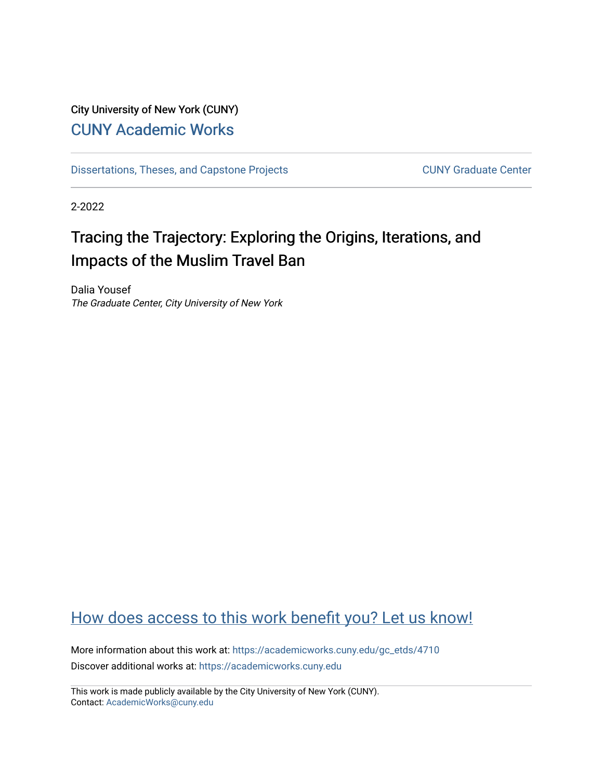# City University of New York (CUNY) [CUNY Academic Works](https://academicworks.cuny.edu/)

[Dissertations, Theses, and Capstone Projects](https://academicworks.cuny.edu/gc_etds) CUNY Graduate Center

2-2022

# Tracing the Trajectory: Exploring the Origins, Iterations, and Impacts of the Muslim Travel Ban

Dalia Yousef The Graduate Center, City University of New York

# [How does access to this work benefit you? Let us know!](http://ols.cuny.edu/academicworks/?ref=https://academicworks.cuny.edu/gc_etds/4710)

More information about this work at: [https://academicworks.cuny.edu/gc\\_etds/4710](https://academicworks.cuny.edu/gc_etds/4710) Discover additional works at: [https://academicworks.cuny.edu](https://academicworks.cuny.edu/?)

This work is made publicly available by the City University of New York (CUNY). Contact: [AcademicWorks@cuny.edu](mailto:AcademicWorks@cuny.edu)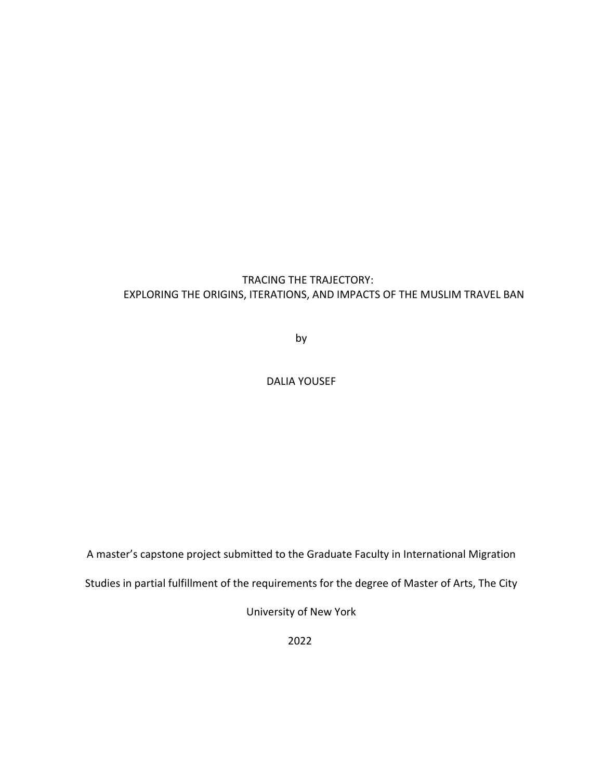# TRACING THE TRAJECTORY: EXPLORING THE ORIGINS, ITERATIONS, AND IMPACTS OF THE MUSLIM TRAVEL BAN

by

## DALIA YOUSEF

A master's capstone project submitted to the Graduate Faculty in International Migration

Studies in partial fulfillment of the requirements for the degree of Master of Arts, The City

University of New York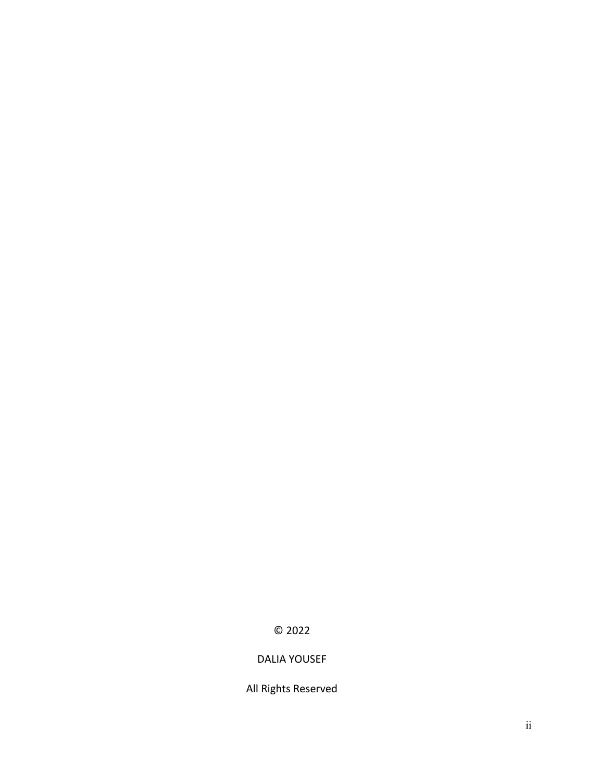# © 2022

# DALIA YOUSEF

All Rights Reserved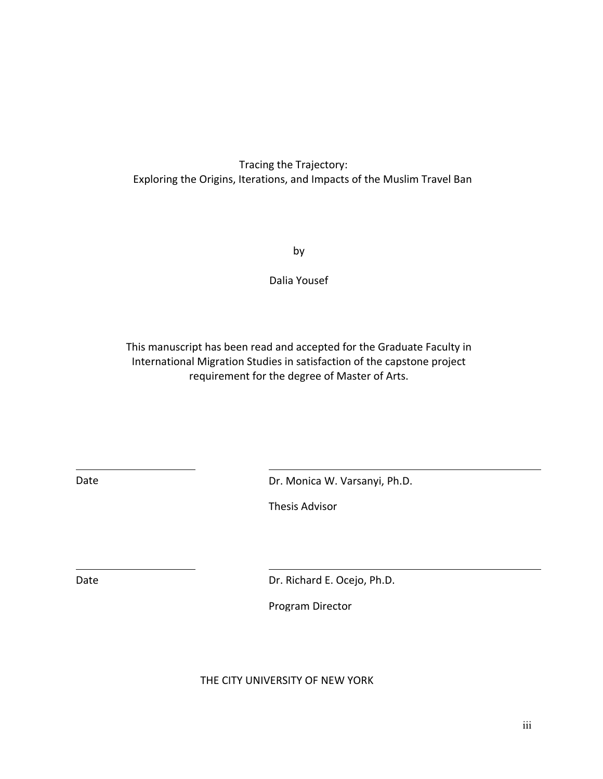# Tracing the Trajectory: Exploring the Origins, Iterations, and Impacts of the Muslim Travel Ban

by

Dalia Yousef

This manuscript has been read and accepted for the Graduate Faculty in International Migration Studies in satisfaction of the capstone project requirement for the degree of Master of Arts.

Date Date Dr. Monica W. Varsanyi, Ph.D.

Thesis Advisor

Date Dr. Richard E. Ocejo, Ph.D.

Program Director

## THE CITY UNIVERSITY OF NEW YORK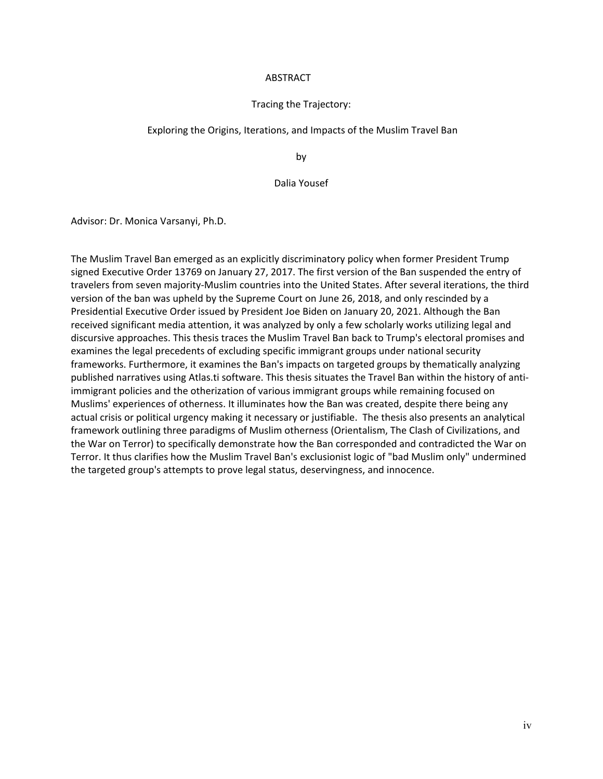#### ABSTRACT

#### Tracing the Trajectory:

#### Exploring the Origins, Iterations, and Impacts of the Muslim Travel Ban

by

#### Dalia Yousef

Advisor: Dr. Monica Varsanyi, Ph.D.

The Muslim Travel Ban emerged as an explicitly discriminatory policy when former President Trump signed Executive Order 13769 on January 27, 2017. The first version of the Ban suspended the entry of travelers from seven majority-Muslim countries into the United States. After several iterations, the third version of the ban was upheld by the Supreme Court on June 26, 2018, and only rescinded by a Presidential Executive Order issued by President Joe Biden on January 20, 2021. Although the Ban received significant media attention, it was analyzed by only a few scholarly works utilizing legal and discursive approaches. This thesis traces the Muslim Travel Ban back to Trump's electoral promises and examines the legal precedents of excluding specific immigrant groups under national security frameworks. Furthermore, it examines the Ban's impacts on targeted groups by thematically analyzing published narratives using Atlas.ti software. This thesis situates the Travel Ban within the history of antiimmigrant policies and the otherization of various immigrant groups while remaining focused on Muslims' experiences of otherness. It illuminates how the Ban was created, despite there being any actual crisis or political urgency making it necessary or justifiable. The thesis also presents an analytical framework outlining three paradigms of Muslim otherness (Orientalism, The Clash of Civilizations, and the War on Terror) to specifically demonstrate how the Ban corresponded and contradicted the War on Terror. It thus clarifies how the Muslim Travel Ban's exclusionist logic of "bad Muslim only" undermined the targeted group's attempts to prove legal status, deservingness, and innocence.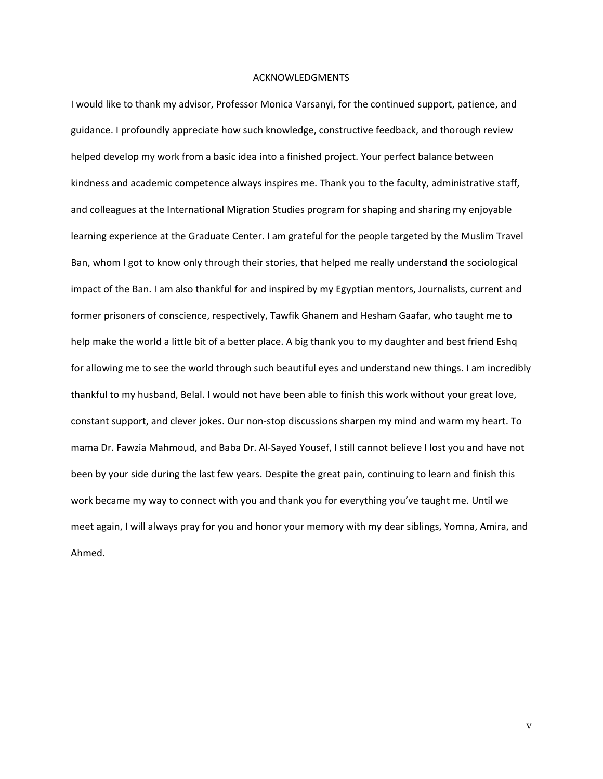#### ACKNOWLEDGMENTS

I would like to thank my advisor, Professor Monica Varsanyi, for the continued support, patience, and guidance. I profoundly appreciate how such knowledge, constructive feedback, and thorough review helped develop my work from a basic idea into a finished project. Your perfect balance between kindness and academic competence always inspires me. Thank you to the faculty, administrative staff, and colleagues at the International Migration Studies program for shaping and sharing my enjoyable learning experience at the Graduate Center. I am grateful for the people targeted by the Muslim Travel Ban, whom I got to know only through their stories, that helped me really understand the sociological impact of the Ban. I am also thankful for and inspired by my Egyptian mentors, Journalists, current and former prisoners of conscience, respectively, Tawfik Ghanem and Hesham Gaafar, who taught me to help make the world a little bit of a better place. A big thank you to my daughter and best friend Eshq for allowing me to see the world through such beautiful eyes and understand new things. I am incredibly thankful to my husband, Belal. I would not have been able to finish this work without your great love, constant support, and clever jokes. Our non-stop discussions sharpen my mind and warm my heart. To mama Dr. Fawzia Mahmoud, and Baba Dr. Al-Sayed Yousef, I still cannot believe I lost you and have not been by your side during the last few years. Despite the great pain, continuing to learn and finish this work became my way to connect with you and thank you for everything you've taught me. Until we meet again, I will always pray for you and honor your memory with my dear siblings, Yomna, Amira, and Ahmed.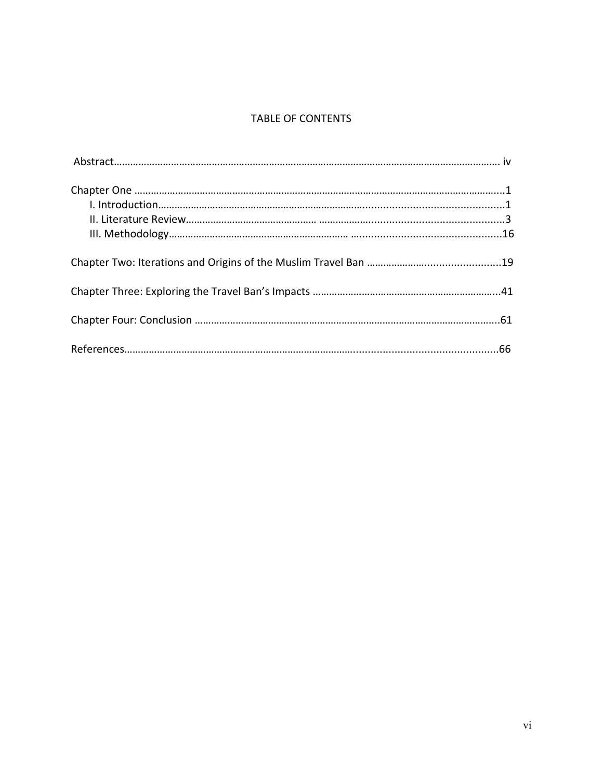## TABLE OF CONTENTS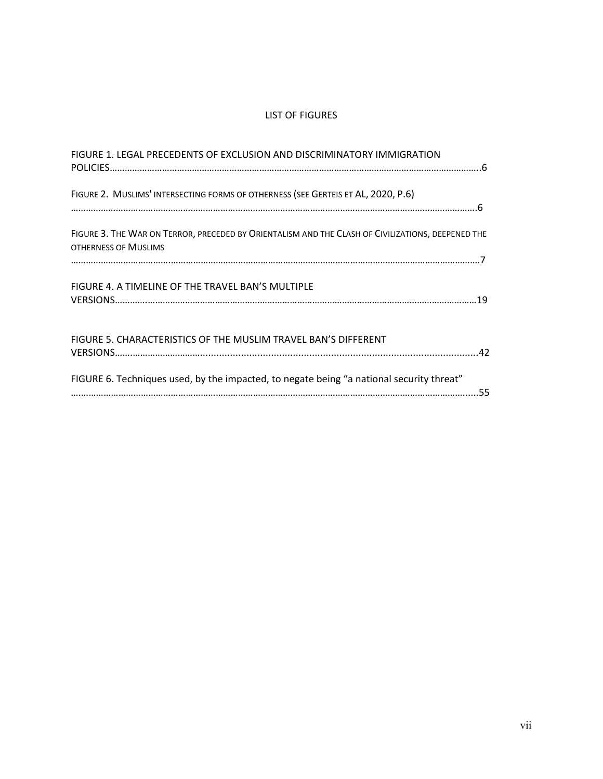## LIST OF FIGURES

| FIGURE 1. LEGAL PRECEDENTS OF EXCLUSION AND DISCRIMINATORY IMMIGRATION                                                    |  |
|---------------------------------------------------------------------------------------------------------------------------|--|
| FIGURE 2. MUSLIMS' INTERSECTING FORMS OF OTHERNESS (SEE GERTEIS ET AL, 2020, P.6)                                         |  |
| FIGURE 3. THE WAR ON TERROR, PRECEDED BY ORIENTALISM AND THE CLASH OF CIVILIZATIONS, DEEPENED THE<br>OTHERNESS OF MUSLIMS |  |
| FIGURE 4. A TIMELINE OF THE TRAVEL BAN'S MULTIPLE                                                                         |  |
| FIGURE 5. CHARACTERISTICS OF THE MUSLIM TRAVEL BAN'S DIFFERENT                                                            |  |
| FIGURE 6. Techniques used, by the impacted, to negate being "a national security threat"                                  |  |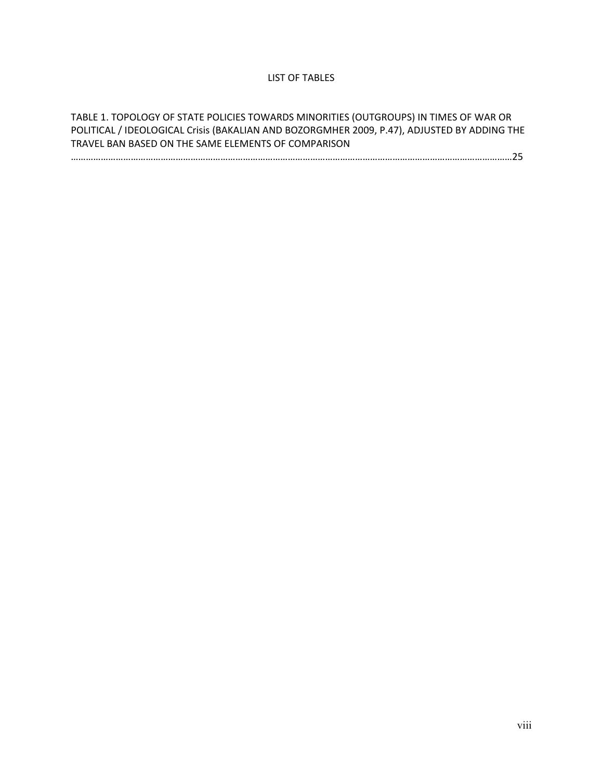## LIST OF TABLES

TABLE 1. TOPOLOGY OF STATE POLICIES TOWARDS MINORITIES (OUTGROUPS) IN TIMES OF WAR OR POLITICAL / IDEOLOGICAL Crisis (BAKALIAN AND BOZORGMHER 2009, P.47), ADJUSTED BY ADDING THE TRAVEL BAN BASED ON THE SAME ELEMENTS OF COMPARISON ……………………………………………………………………………………………………………………………………………………………25

viii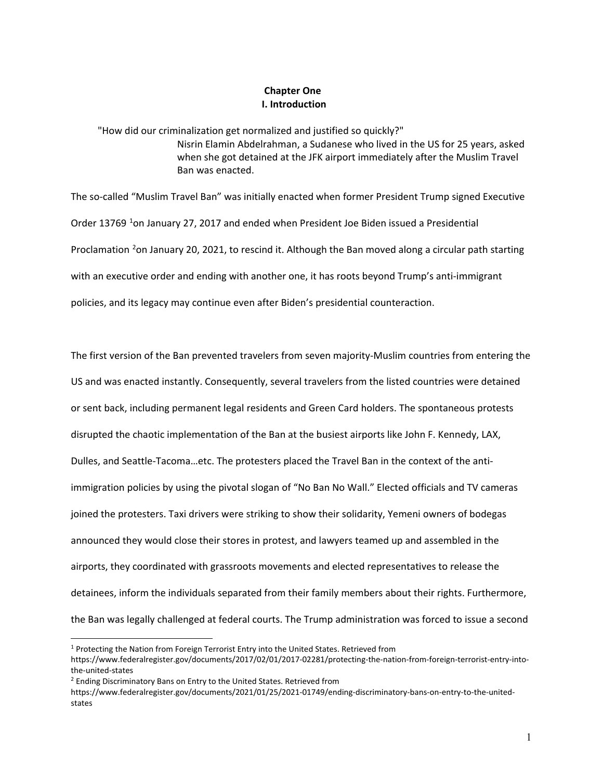## **Chapter One I. Introduction**

"How did our criminalization get normalized and justified so quickly?" Nisrin Elamin Abdelrahman, a Sudanese who lived in the US for 25 years, asked when she got detained at the JFK airport immediately after the Muslim Travel Ban was enacted.

The so-called "Muslim Travel Ban" was initially enacted when former President Trump signed Executive Order [1](#page-9-0)3769 <sup>1</sup>on January 27, 2017 and ended when President Joe Biden issued a Presidential Proclamation <sup>[2](#page-9-1)</sup>on January 20, 2021, to rescind it. Although the Ban moved along a circular path starting with an executive order and ending with another one, it has roots beyond Trump's anti-immigrant policies, and its legacy may continue even after Biden's presidential counteraction.

The first version of the Ban prevented travelers from seven majority-Muslim countries from entering the US and was enacted instantly. Consequently, several travelers from the listed countries were detained or sent back, including permanent legal residents and Green Card holders. The spontaneous protests disrupted the chaotic implementation of the Ban at the busiest airports like John F. Kennedy, LAX, Dulles, and Seattle-Tacoma…etc. The protesters placed the Travel Ban in the context of the antiimmigration policies by using the pivotal slogan of "No Ban No Wall." Elected officials and TV cameras joined the protesters. Taxi drivers were striking to show their solidarity, Yemeni owners of bodegas announced they would close their stores in protest, and lawyers teamed up and assembled in the airports, they coordinated with grassroots movements and elected representatives to release the detainees, inform the individuals separated from their family members about their rights. Furthermore, the Ban was legally challenged at federal courts. The Trump administration was forced to issue a second

<span id="page-9-0"></span><sup>&</sup>lt;sup>1</sup> Protecting the Nation from Foreign Terrorist Entry into the United States. Retrieved from https://www.federalregister.gov/documents/2017/02/01/2017-02281/protecting-the-nation-from-foreign-terrorist-entry-intothe-united-states

<span id="page-9-1"></span><sup>&</sup>lt;sup>2</sup> Ending Discriminatory Bans on Entry to the United States. Retrieved from

https://www.federalregister.gov/documents/2021/01/25/2021-01749/ending-discriminatory-bans-on-entry-to-the-unitedstates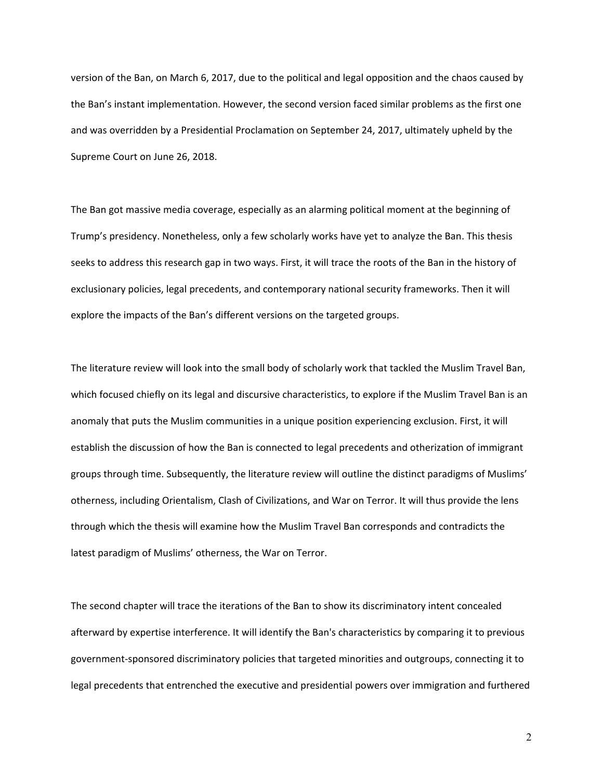version of the Ban, on March 6, 2017, due to the political and legal opposition and the chaos caused by the Ban's instant implementation. However, the second version faced similar problems as the first one and was overridden by a Presidential Proclamation on September 24, 2017, ultimately upheld by the Supreme Court on June 26, 2018.

The Ban got massive media coverage, especially as an alarming political moment at the beginning of Trump's presidency. Nonetheless, only a few scholarly works have yet to analyze the Ban. This thesis seeks to address this research gap in two ways. First, it will trace the roots of the Ban in the history of exclusionary policies, legal precedents, and contemporary national security frameworks. Then it will explore the impacts of the Ban's different versions on the targeted groups.

The literature review will look into the small body of scholarly work that tackled the Muslim Travel Ban, which focused chiefly on its legal and discursive characteristics, to explore if the Muslim Travel Ban is an anomaly that puts the Muslim communities in a unique position experiencing exclusion. First, it will establish the discussion of how the Ban is connected to legal precedents and otherization of immigrant groups through time. Subsequently, the literature review will outline the distinct paradigms of Muslims' otherness, including Orientalism, Clash of Civilizations, and War on Terror. It will thus provide the lens through which the thesis will examine how the Muslim Travel Ban corresponds and contradicts the latest paradigm of Muslims' otherness, the War on Terror.

The second chapter will trace the iterations of the Ban to show its discriminatory intent concealed afterward by expertise interference. It will identify the Ban's characteristics by comparing it to previous government-sponsored discriminatory policies that targeted minorities and outgroups, connecting it to legal precedents that entrenched the executive and presidential powers over immigration and furthered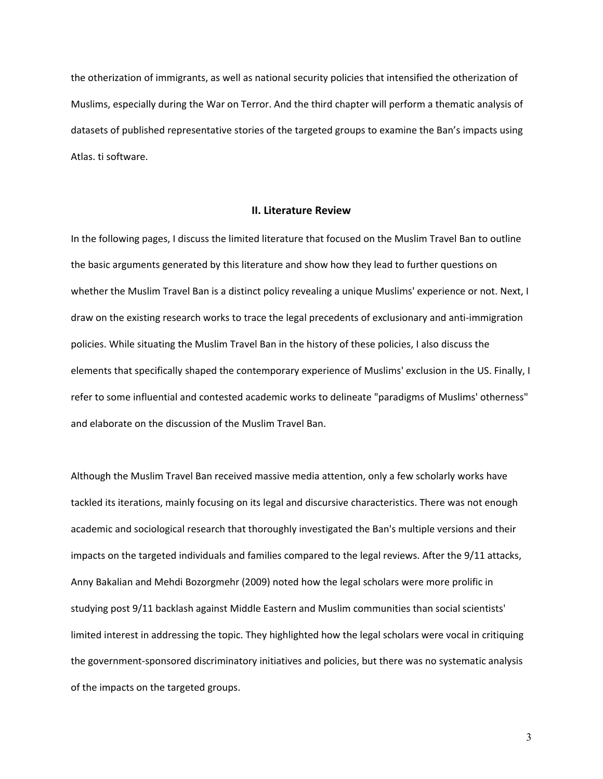the otherization of immigrants, as well as national security policies that intensified the otherization of Muslims, especially during the War on Terror. And the third chapter will perform a thematic analysis of datasets of published representative stories of the targeted groups to examine the Ban's impacts using Atlas. ti software.

## **II. Literature Review**

In the following pages, I discuss the limited literature that focused on the Muslim Travel Ban to outline the basic arguments generated by this literature and show how they lead to further questions on whether the Muslim Travel Ban is a distinct policy revealing a unique Muslims' experience or not. Next, I draw on the existing research works to trace the legal precedents of exclusionary and anti-immigration policies. While situating the Muslim Travel Ban in the history of these policies, I also discuss the elements that specifically shaped the contemporary experience of Muslims' exclusion in the US. Finally, I refer to some influential and contested academic works to delineate "paradigms of Muslims' otherness" and elaborate on the discussion of the Muslim Travel Ban.

Although the Muslim Travel Ban received massive media attention, only a few scholarly works have tackled its iterations, mainly focusing on its legal and discursive characteristics. There was not enough academic and sociological research that thoroughly investigated the Ban's multiple versions and their impacts on the targeted individuals and families compared to the legal reviews. After the 9/11 attacks, Anny Bakalian and Mehdi Bozorgmehr (2009) noted how the legal scholars were more prolific in studying post 9/11 backlash against Middle Eastern and Muslim communities than social scientists' limited interest in addressing the topic. They highlighted how the legal scholars were vocal in critiquing the government-sponsored discriminatory initiatives and policies, but there was no systematic analysis of the impacts on the targeted groups.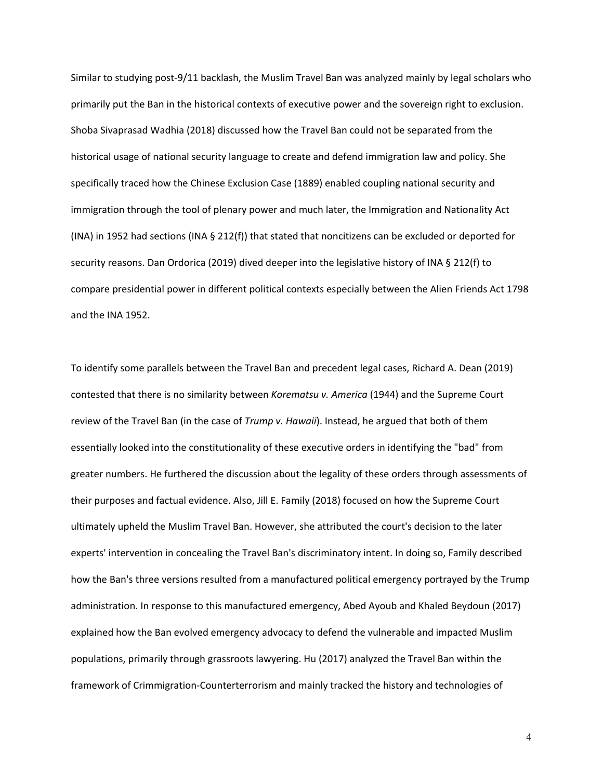Similar to studying post-9/11 backlash, the Muslim Travel Ban was analyzed mainly by legal scholars who primarily put the Ban in the historical contexts of executive power and the sovereign right to exclusion. Shoba Sivaprasad Wadhia (2018) discussed how the Travel Ban could not be separated from the historical usage of national security language to create and defend immigration law and policy. She specifically traced how the Chinese Exclusion Case (1889) enabled coupling national security and immigration through the tool of plenary power and much later, the Immigration and Nationality Act (INA) in 1952 had sections (INA § 212(f)) that stated that noncitizens can be excluded or deported for security reasons. Dan Ordorica (2019) dived deeper into the legislative history of INA § 212(f) to compare presidential power in different political contexts especially between the Alien Friends Act 1798 and the INA 1952.

To identify some parallels between the Travel Ban and precedent legal cases, Richard A. Dean (2019) contested that there is no similarity between *Korematsu v. America* (1944) and the Supreme Court review of the Travel Ban (in the case of *Trump v. Hawaii*). Instead, he argued that both of them essentially looked into the constitutionality of these executive orders in identifying the "bad" from greater numbers. He furthered the discussion about the legality of these orders through assessments of their purposes and factual evidence. Also, Jill E. Family (2018) focused on how the Supreme Court ultimately upheld the Muslim Travel Ban. However, she attributed the court's decision to the later experts' intervention in concealing the Travel Ban's discriminatory intent. In doing so, Family described how the Ban's three versions resulted from a manufactured political emergency portrayed by the Trump administration. In response to this manufactured emergency, Abed Ayoub and Khaled Beydoun (2017) explained how the Ban evolved emergency advocacy to defend the vulnerable and impacted Muslim populations, primarily through grassroots lawyering. Hu (2017) analyzed the Travel Ban within the framework of Crimmigration-Counterterrorism and mainly tracked the history and technologies of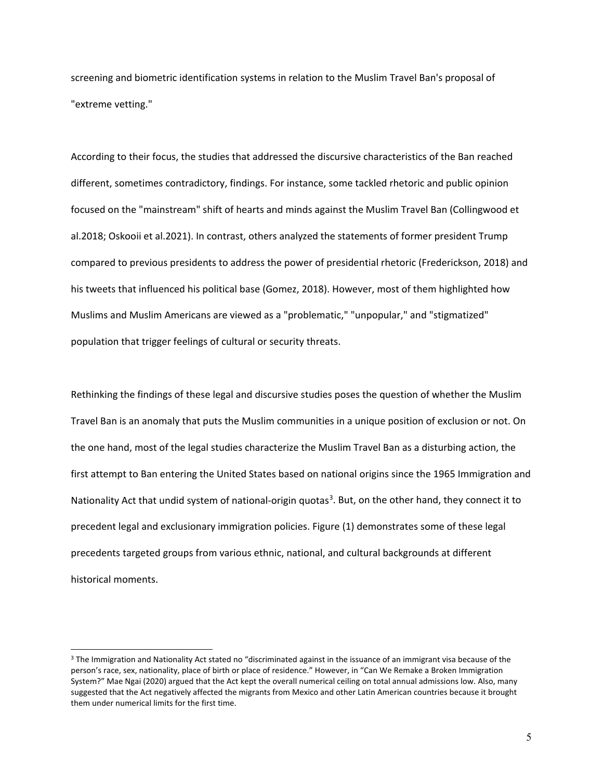screening and biometric identification systems in relation to the Muslim Travel Ban's proposal of "extreme vetting."

According to their focus, the studies that addressed the discursive characteristics of the Ban reached different, sometimes contradictory, findings. For instance, some tackled rhetoric and public opinion focused on the "mainstream" shift of hearts and minds against the Muslim Travel Ban (Collingwood et al.2018; Oskooii et al.2021). In contrast, others analyzed the statements of former president Trump compared to previous presidents to address the power of presidential rhetoric (Frederickson, 2018) and his tweets that influenced his political base (Gomez, 2018). However, most of them highlighted how Muslims and Muslim Americans are viewed as a "problematic," "unpopular," and "stigmatized" population that trigger feelings of cultural or security threats.

Rethinking the findings of these legal and discursive studies poses the question of whether the Muslim Travel Ban is an anomaly that puts the Muslim communities in a unique position of exclusion or not. On the one hand, most of the legal studies characterize the Muslim Travel Ban as a disturbing action, the first attempt to Ban entering the United States based on national origins since the 1965 Immigration and Nationality Act that undid system of national-origin quotas<sup>[3](#page-13-0)</sup>. But, on the other hand, they connect it to precedent legal and exclusionary immigration policies. Figure (1) demonstrates some of these legal precedents targeted groups from various ethnic, national, and cultural backgrounds at different historical moments.

<span id="page-13-0"></span><sup>&</sup>lt;sup>3</sup> The Immigration and Nationality Act stated no "discriminated against in the issuance of an immigrant visa because of the person's race, sex, nationality, place of birth or place of residence." However, in "Can We Remake a Broken Immigration System?" Mae Ngai (2020) argued that the Act kept the overall numerical ceiling on total annual admissions low. Also, many suggested that the Act negatively affected the migrants from Mexico and other Latin American countries because it brought them under numerical limits for the first time.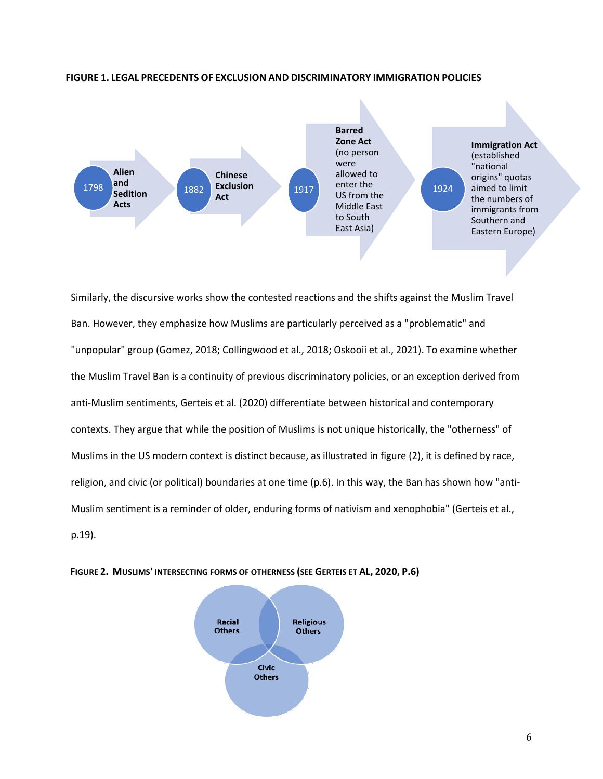

#### **FIGURE 1. LEGAL PRECEDENTS OF EXCLUSION AND DISCRIMINATORY IMMIGRATION POLICIES**

Similarly, the discursive works show the contested reactions and the shifts against the Muslim Travel Ban. However, they emphasize how Muslims are particularly perceived as a "problematic" and "unpopular" group (Gomez, 2018; Collingwood et al., 2018; Oskooii et al., 2021). To examine whether the Muslim Travel Ban is a continuity of previous discriminatory policies, or an exception derived from anti-Muslim sentiments, Gerteis et al. (2020) differentiate between historical and contemporary contexts. They argue that while the position of Muslims is not unique historically, the "otherness" of Muslims in the US modern context is distinct because, as illustrated in figure (2), it is defined by race, religion, and civic (or political) boundaries at one time (p.6). In this way, the Ban has shown how "anti-Muslim sentiment is a reminder of older, enduring forms of nativism and xenophobia" (Gerteis et al., p.19).



### **FIGURE 2. MUSLIMS' INTERSECTING FORMS OF OTHERNESS (SEE GERTEIS ET AL, 2020, P.6)**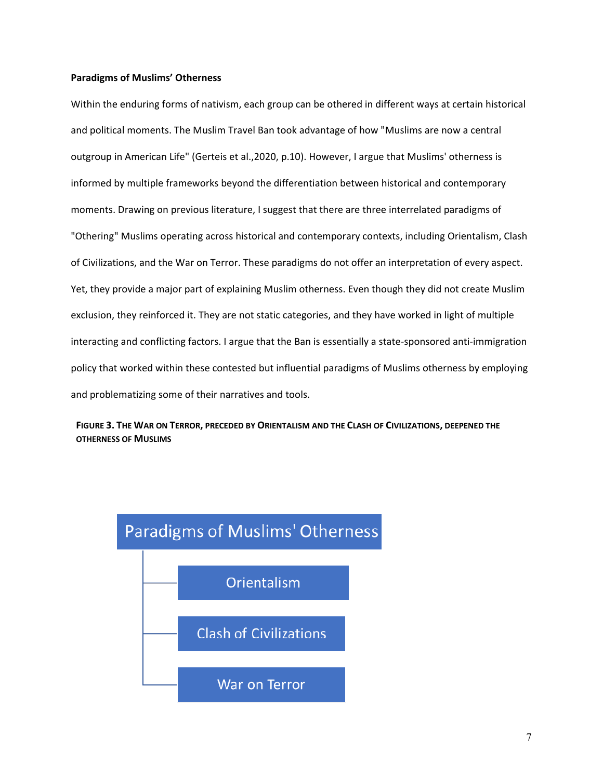## **Paradigms of Muslims' Otherness**

Within the enduring forms of nativism, each group can be othered in different ways at certain historical and political moments. The Muslim Travel Ban took advantage of how "Muslims are now a central outgroup in American Life" (Gerteis et al.,2020, p.10). However, I argue that Muslims' otherness is informed by multiple frameworks beyond the differentiation between historical and contemporary moments. Drawing on previous literature, I suggest that there are three interrelated paradigms of "Othering" Muslims operating across historical and contemporary contexts, including Orientalism, Clash of Civilizations, and the War on Terror. These paradigms do not offer an interpretation of every aspect. Yet, they provide a major part of explaining Muslim otherness. Even though they did not create Muslim exclusion, they reinforced it. They are not static categories, and they have worked in light of multiple interacting and conflicting factors. I argue that the Ban is essentially a state-sponsored anti-immigration policy that worked within these contested but influential paradigms of Muslims otherness by employing and problematizing some of their narratives and tools.



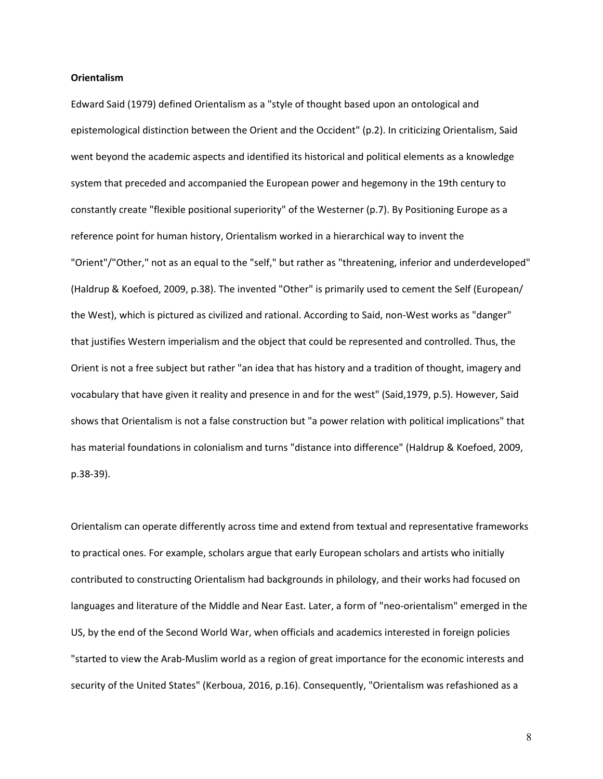#### **Orientalism**

Edward Said (1979) defined Orientalism as a "style of thought based upon an ontological and epistemological distinction between the Orient and the Occident" (p.2). In criticizing Orientalism, Said went beyond the academic aspects and identified its historical and political elements as a knowledge system that preceded and accompanied the European power and hegemony in the 19th century to constantly create "flexible positional superiority" of the Westerner (p.7). By Positioning Europe as a reference point for human history, Orientalism worked in a hierarchical way to invent the "Orient"/"Other," not as an equal to the "self," but rather as "threatening, inferior and underdeveloped" (Haldrup & Koefoed, 2009, p.38). The invented "Other" is primarily used to cement the Self (European/ the West), which is pictured as civilized and rational. According to Said, non-West works as "danger" that justifies Western imperialism and the object that could be represented and controlled. Thus, the Orient is not a free subject but rather "an idea that has history and a tradition of thought, imagery and vocabulary that have given it reality and presence in and for the west" (Said,1979, p.5). However, Said shows that Orientalism is not a false construction but "a power relation with political implications" that has material foundations in colonialism and turns "distance into difference" (Haldrup & Koefoed, 2009, p.38-39).

Orientalism can operate differently across time and extend from textual and representative frameworks to practical ones. For example, scholars argue that early European scholars and artists who initially contributed to constructing Orientalism had backgrounds in philology, and their works had focused on languages and literature of the Middle and Near East. Later, a form of "neo-orientalism" emerged in the US, by the end of the Second World War, when officials and academics interested in foreign policies "started to view the Arab-Muslim world as a region of great importance for the economic interests and security of the United States" (Kerboua, 2016, p.16). Consequently, "Orientalism was refashioned as a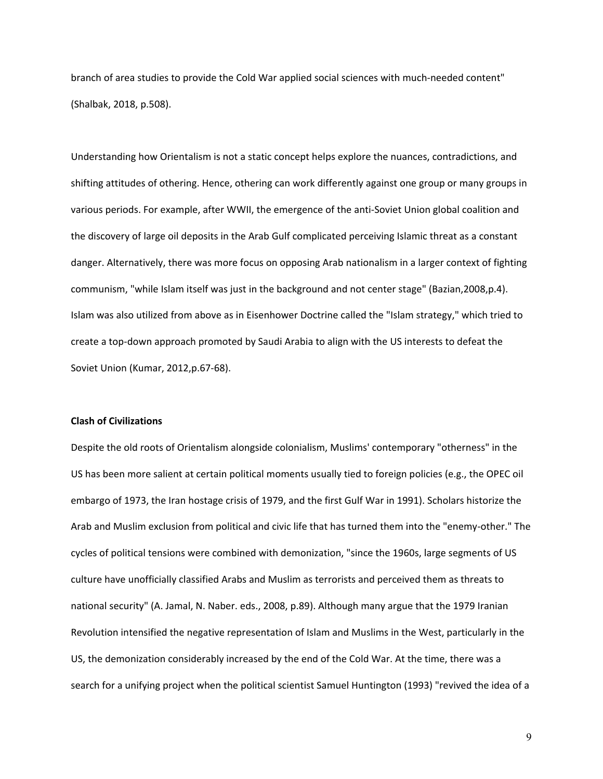branch of area studies to provide the Cold War applied social sciences with much-needed content" (Shalbak, 2018, p.508).

Understanding how Orientalism is not a static concept helps explore the nuances, contradictions, and shifting attitudes of othering. Hence, othering can work differently against one group or many groups in various periods. For example, after WWII, the emergence of the anti-Soviet Union global coalition and the discovery of large oil deposits in the Arab Gulf complicated perceiving Islamic threat as a constant danger. Alternatively, there was more focus on opposing Arab nationalism in a larger context of fighting communism, "while Islam itself was just in the background and not center stage" (Bazian,2008,p.4). Islam was also utilized from above as in Eisenhower Doctrine called the "Islam strategy," which tried to create a top-down approach promoted by Saudi Arabia to align with the US interests to defeat the Soviet Union (Kumar, 2012,p.67-68).

## **Clash of Civilizations**

Despite the old roots of Orientalism alongside colonialism, Muslims' contemporary "otherness" in the US has been more salient at certain political moments usually tied to foreign policies (e.g., the OPEC oil embargo of 1973, the Iran hostage crisis of 1979, and the first Gulf War in 1991). Scholars historize the Arab and Muslim exclusion from political and civic life that has turned them into the "enemy-other." The cycles of political tensions were combined with demonization, "since the 1960s, large segments of US culture have unofficially classified Arabs and Muslim as terrorists and perceived them as threats to national security" (A. Jamal, N. Naber. eds., 2008, p.89). Although many argue that the 1979 Iranian Revolution intensified the negative representation of Islam and Muslims in the West, particularly in the US, the demonization considerably increased by the end of the Cold War. At the time, there was a search for a unifying project when the political scientist Samuel Huntington (1993) "revived the idea of a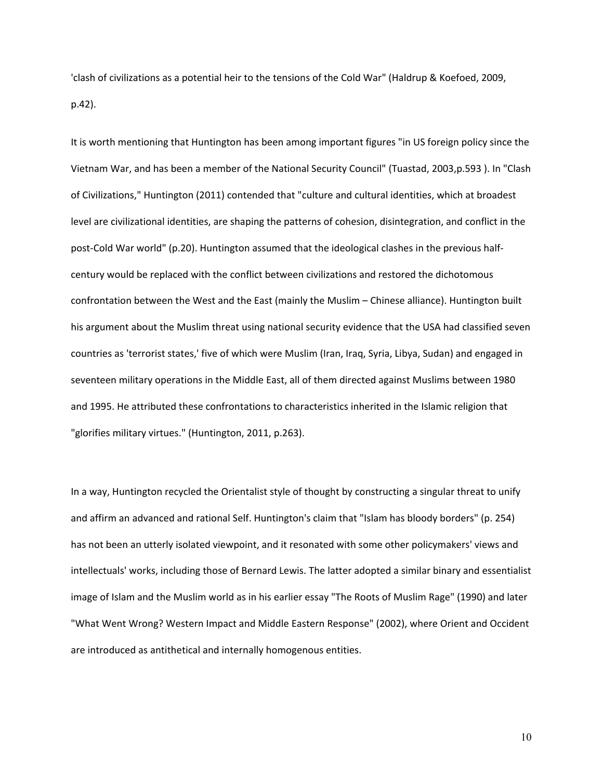'clash of civilizations as a potential heir to the tensions of the Cold War" (Haldrup & Koefoed, 2009, p.42).

It is worth mentioning that Huntington has been among important figures "in US foreign policy since the Vietnam War, and has been a member of the National Security Council" (Tuastad, 2003,p.593 ). In "Clash of Civilizations," Huntington (2011) contended that "culture and cultural identities, which at broadest level are civilizational identities, are shaping the patterns of cohesion, disintegration, and conflict in the post-Cold War world" (p.20). Huntington assumed that the ideological clashes in the previous halfcentury would be replaced with the conflict between civilizations and restored the dichotomous confrontation between the West and the East (mainly the Muslim – Chinese alliance). Huntington built his argument about the Muslim threat using national security evidence that the USA had classified seven countries as 'terrorist states,' five of which were Muslim (Iran, Iraq, Syria, Libya, Sudan) and engaged in seventeen military operations in the Middle East, all of them directed against Muslims between 1980 and 1995. He attributed these confrontations to characteristics inherited in the Islamic religion that "glorifies military virtues." (Huntington, 2011, p.263).

In a way, Huntington recycled the Orientalist style of thought by constructing a singular threat to unify and affirm an advanced and rational Self. Huntington's claim that "Islam has bloody borders" (p. 254) has not been an utterly isolated viewpoint, and it resonated with some other policymakers' views and intellectuals' works, including those of Bernard Lewis. The latter adopted a similar binary and essentialist image of Islam and the Muslim world as in his earlier essay "The Roots of Muslim Rage" (1990) and later "What Went Wrong? Western Impact and Middle Eastern Response" (2002), where Orient and Occident are introduced as antithetical and internally homogenous entities.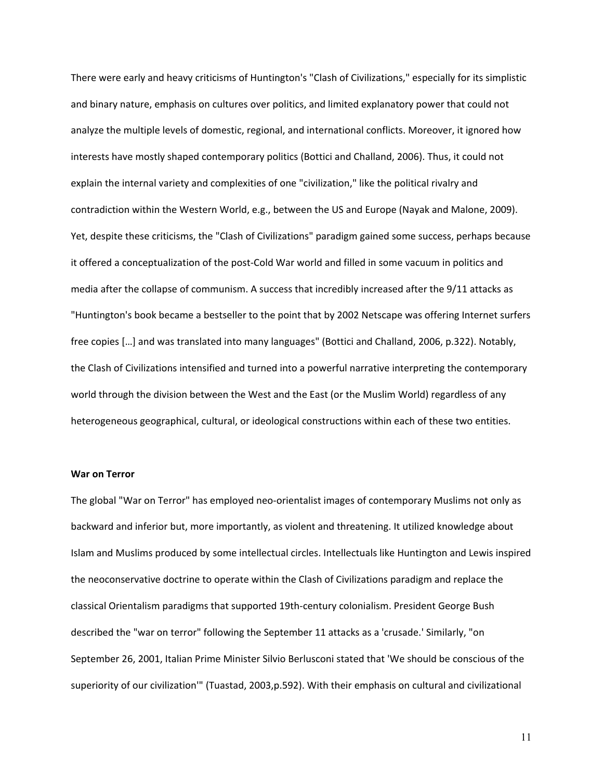There were early and heavy criticisms of Huntington's "Clash of Civilizations," especially for its simplistic and binary nature, emphasis on cultures over politics, and limited explanatory power that could not analyze the multiple levels of domestic, regional, and international conflicts. Moreover, it ignored how interests have mostly shaped contemporary politics (Bottici and Challand, 2006). Thus, it could not explain the internal variety and complexities of one "civilization," like the political rivalry and contradiction within the Western World, e.g., between the US and Europe (Nayak and Malone, 2009). Yet, despite these criticisms, the "Clash of Civilizations" paradigm gained some success, perhaps because it offered a conceptualization of the post-Cold War world and filled in some vacuum in politics and media after the collapse of communism. A success that incredibly increased after the 9/11 attacks as "Huntington's book became a bestseller to the point that by 2002 Netscape was offering Internet surfers free copies […] and was translated into many languages" (Bottici and Challand, 2006, p.322). Notably, the Clash of Civilizations intensified and turned into a powerful narrative interpreting the contemporary world through the division between the West and the East (or the Muslim World) regardless of any heterogeneous geographical, cultural, or ideological constructions within each of these two entities.

#### **War on Terror**

The global "War on Terror" has employed neo-orientalist images of contemporary Muslims not only as backward and inferior but, more importantly, as violent and threatening. It utilized knowledge about Islam and Muslims produced by some intellectual circles. Intellectuals like Huntington and Lewis inspired the neoconservative doctrine to operate within the Clash of Civilizations paradigm and replace the classical Orientalism paradigms that supported 19th-century colonialism. President George Bush described the "war on terror" following the September 11 attacks as a 'crusade.' Similarly, "on September 26, 2001, Italian Prime Minister Silvio Berlusconi stated that 'We should be conscious of the superiority of our civilization'" (Tuastad, 2003,p.592). With their emphasis on cultural and civilizational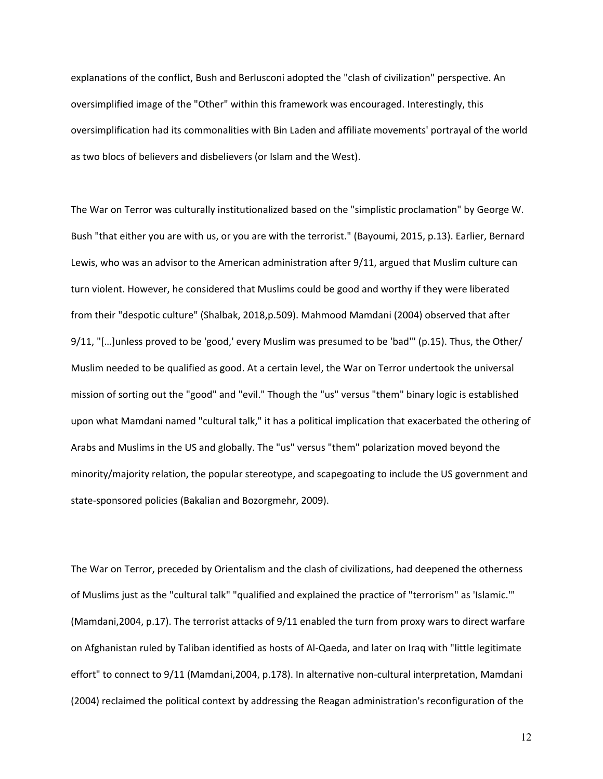explanations of the conflict, Bush and Berlusconi adopted the "clash of civilization" perspective. An oversimplified image of the "Other" within this framework was encouraged. Interestingly, this oversimplification had its commonalities with Bin Laden and affiliate movements' portrayal of the world as two blocs of believers and disbelievers (or Islam and the West).

The War on Terror was culturally institutionalized based on the "simplistic proclamation" by George W. Bush "that either you are with us, or you are with the terrorist." (Bayoumi, 2015, p.13). Earlier, Bernard Lewis, who was an advisor to the American administration after 9/11, argued that Muslim culture can turn violent. However, he considered that Muslims could be good and worthy if they were liberated from their "despotic culture" (Shalbak, 2018,p.509). Mahmood Mamdani (2004) observed that after 9/11, "[…]unless proved to be 'good,' every Muslim was presumed to be 'bad'" (p.15). Thus, the Other/ Muslim needed to be qualified as good. At a certain level, the War on Terror undertook the universal mission of sorting out the "good" and "evil." Though the "us" versus "them" binary logic is established upon what Mamdani named "cultural talk," it has a political implication that exacerbated the othering of Arabs and Muslims in the US and globally. The "us" versus "them" polarization moved beyond the minority/majority relation, the popular stereotype, and scapegoating to include the US government and state-sponsored policies (Bakalian and Bozorgmehr, 2009).

The War on Terror, preceded by Orientalism and the clash of civilizations, had deepened the otherness of Muslims just as the "cultural talk" "qualified and explained the practice of "terrorism" as 'Islamic.'" (Mamdani,2004, p.17). The terrorist attacks of 9/11 enabled the turn from proxy wars to direct warfare on Afghanistan ruled by Taliban identified as hosts of Al-Qaeda, and later on Iraq with "little legitimate effort" to connect to 9/11 (Mamdani,2004, p.178). In alternative non-cultural interpretation, Mamdani (2004) reclaimed the political context by addressing the Reagan administration's reconfiguration of the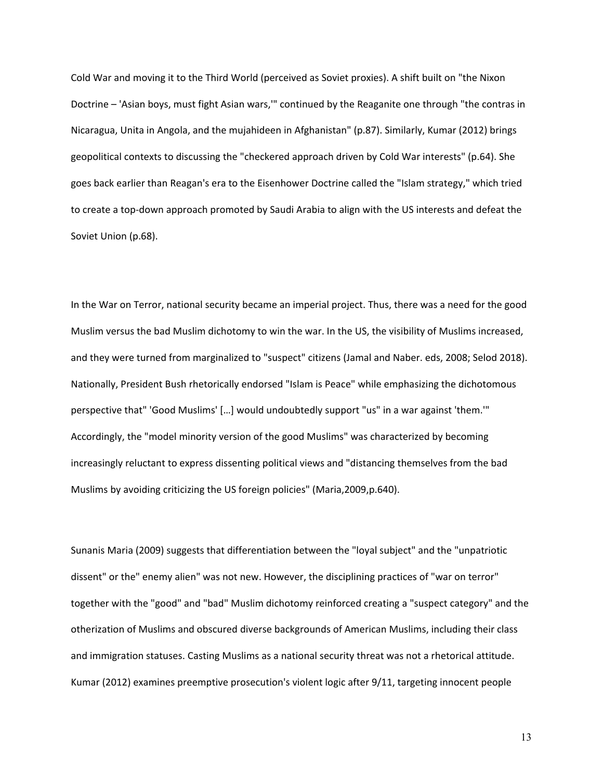Cold War and moving it to the Third World (perceived as Soviet proxies). A shift built on "the Nixon Doctrine – 'Asian boys, must fight Asian wars,'" continued by the Reaganite one through "the contras in Nicaragua, Unita in Angola, and the mujahideen in Afghanistan" (p.87). Similarly, Kumar (2012) brings geopolitical contexts to discussing the "checkered approach driven by Cold War interests" (p.64). She goes back earlier than Reagan's era to the Eisenhower Doctrine called the "Islam strategy," which tried to create a top-down approach promoted by Saudi Arabia to align with the US interests and defeat the Soviet Union (p.68).

In the War on Terror, national security became an imperial project. Thus, there was a need for the good Muslim versus the bad Muslim dichotomy to win the war. In the US, the visibility of Muslims increased, and they were turned from marginalized to "suspect" citizens (Jamal and Naber. eds, 2008; Selod 2018). Nationally, President Bush rhetorically endorsed "Islam is Peace" while emphasizing the dichotomous perspective that" 'Good Muslims' […] would undoubtedly support "us" in a war against 'them.'" Accordingly, the "model minority version of the good Muslims" was characterized by becoming increasingly reluctant to express dissenting political views and "distancing themselves from the bad Muslims by avoiding criticizing the US foreign policies" (Maria,2009,p.640).

Sunanis Maria (2009) suggests that differentiation between the "loyal subject" and the "unpatriotic dissent" or the" enemy alien" was not new. However, the disciplining practices of "war on terror" together with the "good" and "bad" Muslim dichotomy reinforced creating a "suspect category" and the otherization of Muslims and obscured diverse backgrounds of American Muslims, including their class and immigration statuses. Casting Muslims as a national security threat was not a rhetorical attitude. Kumar (2012) examines preemptive prosecution's violent logic after 9/11, targeting innocent people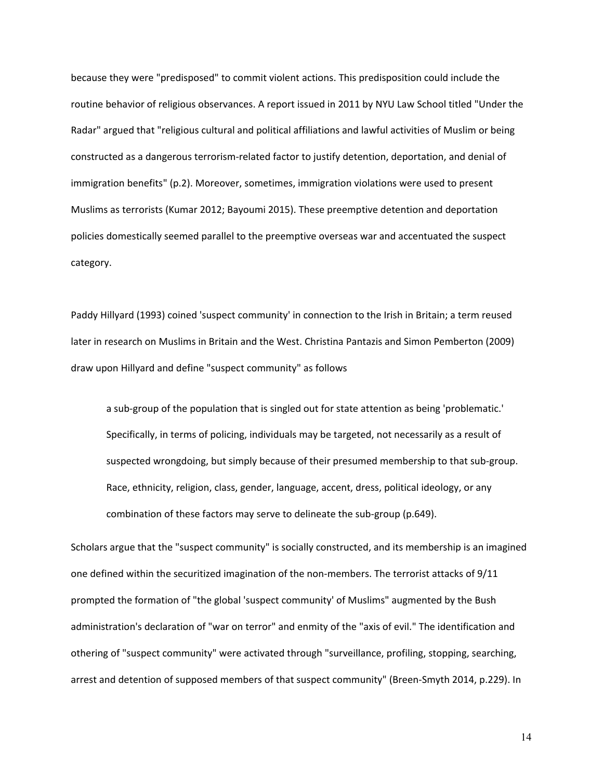because they were "predisposed" to commit violent actions. This predisposition could include the routine behavior of religious observances. A report issued in 2011 by NYU Law School titled "Under the Radar" argued that "religious cultural and political affiliations and lawful activities of Muslim or being constructed as a dangerous terrorism-related factor to justify detention, deportation, and denial of immigration benefits" (p.2). Moreover, sometimes, immigration violations were used to present Muslims as terrorists (Kumar 2012; Bayoumi 2015). These preemptive detention and deportation policies domestically seemed parallel to the preemptive overseas war and accentuated the suspect category.

Paddy Hillyard (1993) coined 'suspect community' in connection to the Irish in Britain; a term reused later in research on Muslims in Britain and the West. Christina Pantazis and Simon Pemberton (2009) draw upon Hillyard and define "suspect community" as follows

a sub-group of the population that is singled out for state attention as being 'problematic.' Specifically, in terms of policing, individuals may be targeted, not necessarily as a result of suspected wrongdoing, but simply because of their presumed membership to that sub-group. Race, ethnicity, religion, class, gender, language, accent, dress, political ideology, or any combination of these factors may serve to delineate the sub-group (p.649).

Scholars argue that the "suspect community" is socially constructed, and its membership is an imagined one defined within the securitized imagination of the non-members. The terrorist attacks of 9/11 prompted the formation of "the global 'suspect community' of Muslims" augmented by the Bush administration's declaration of "war on terror" and enmity of the "axis of evil." The identification and othering of "suspect community" were activated through "surveillance, profiling, stopping, searching, arrest and detention of supposed members of that suspect community" (Breen-Smyth 2014, p.229). In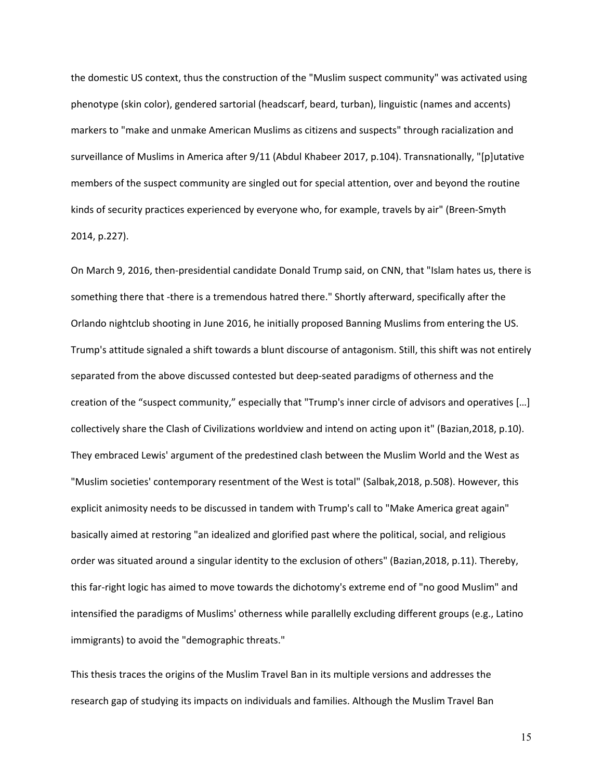the domestic US context, thus the construction of the "Muslim suspect community" was activated using phenotype (skin color), gendered sartorial (headscarf, beard, turban), linguistic (names and accents) markers to "make and unmake American Muslims as citizens and suspects" through racialization and surveillance of Muslims in America after 9/11 (Abdul Khabeer 2017, p.104). Transnationally, "[p]utative members of the suspect community are singled out for special attention, over and beyond the routine kinds of security practices experienced by everyone who, for example, travels by air" (Breen-Smyth 2014, p.227).

On March 9, 2016, then-presidential candidate Donald Trump said, on CNN, that "Islam hates us, there is something there that -there is a tremendous hatred there." Shortly afterward, specifically after the Orlando nightclub shooting in June 2016, he initially proposed Banning Muslims from entering the US. Trump's attitude signaled a shift towards a blunt discourse of antagonism. Still, this shift was not entirely separated from the above discussed contested but deep-seated paradigms of otherness and the creation of the "suspect community," especially that "Trump's inner circle of advisors and operatives […] collectively share the Clash of Civilizations worldview and intend on acting upon it" (Bazian,2018, p.10). They embraced Lewis' argument of the predestined clash between the Muslim World and the West as "Muslim societies' contemporary resentment of the West is total" (Salbak,2018, p.508). However, this explicit animosity needs to be discussed in tandem with Trump's call to "Make America great again" basically aimed at restoring "an idealized and glorified past where the political, social, and religious order was situated around a singular identity to the exclusion of others" (Bazian,2018, p.11). Thereby, this far-right logic has aimed to move towards the dichotomy's extreme end of "no good Muslim" and intensified the paradigms of Muslims' otherness while parallelly excluding different groups (e.g., Latino immigrants) to avoid the "demographic threats."

This thesis traces the origins of the Muslim Travel Ban in its multiple versions and addresses the research gap of studying its impacts on individuals and families. Although the Muslim Travel Ban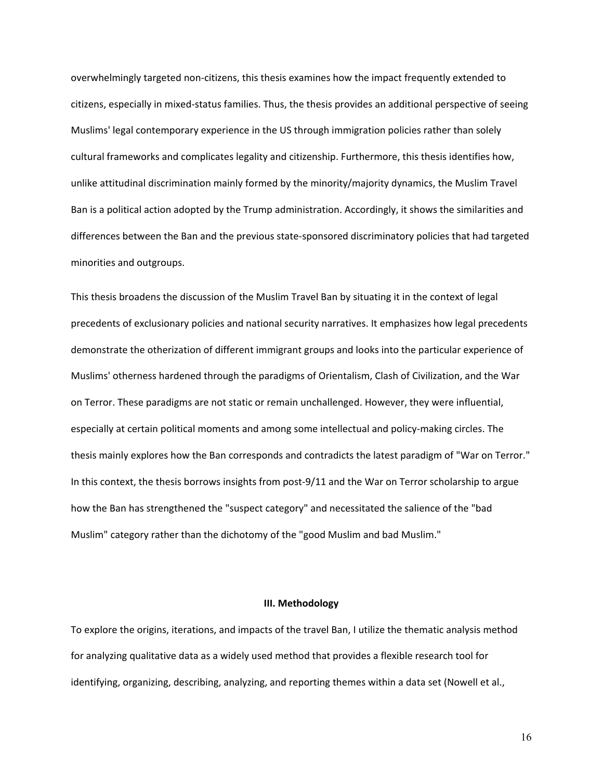overwhelmingly targeted non-citizens, this thesis examines how the impact frequently extended to citizens, especially in mixed-status families. Thus, the thesis provides an additional perspective of seeing Muslims' legal contemporary experience in the US through immigration policies rather than solely cultural frameworks and complicates legality and citizenship. Furthermore, this thesis identifies how, unlike attitudinal discrimination mainly formed by the minority/majority dynamics, the Muslim Travel Ban is a political action adopted by the Trump administration. Accordingly, it shows the similarities and differences between the Ban and the previous state-sponsored discriminatory policies that had targeted minorities and outgroups.

This thesis broadens the discussion of the Muslim Travel Ban by situating it in the context of legal precedents of exclusionary policies and national security narratives. It emphasizes how legal precedents demonstrate the otherization of different immigrant groups and looks into the particular experience of Muslims' otherness hardened through the paradigms of Orientalism, Clash of Civilization, and the War on Terror. These paradigms are not static or remain unchallenged. However, they were influential, especially at certain political moments and among some intellectual and policy-making circles. The thesis mainly explores how the Ban corresponds and contradicts the latest paradigm of "War on Terror." In this context, the thesis borrows insights from post-9/11 and the War on Terror scholarship to argue how the Ban has strengthened the "suspect category" and necessitated the salience of the "bad Muslim" category rather than the dichotomy of the "good Muslim and bad Muslim."

### **III. Methodology**

To explore the origins, iterations, and impacts of the travel Ban, I utilize the thematic analysis method for analyzing qualitative data as a widely used method that provides a flexible research tool for identifying, organizing, describing, analyzing, and reporting themes within a data set (Nowell et al.,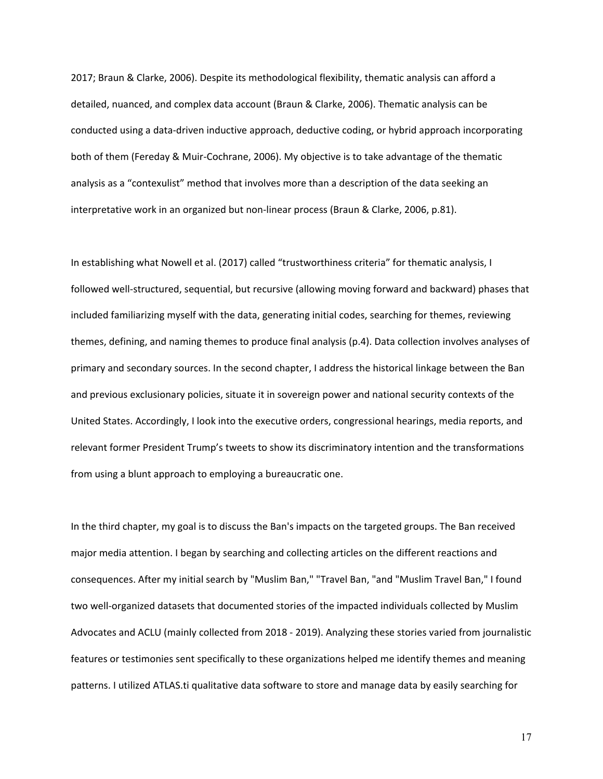2017; Braun & Clarke, 2006). Despite its methodological flexibility, thematic analysis can afford a detailed, nuanced, and complex data account (Braun & Clarke, 2006). Thematic analysis can be conducted using a data-driven inductive approach, deductive coding, or hybrid approach incorporating both of them (Fereday & Muir-Cochrane, 2006). My objective is to take advantage of the thematic analysis as a "contexulist" method that involves more than a description of the data seeking an interpretative work in an organized but non-linear process (Braun & Clarke, 2006, p.81).

In establishing what Nowell et al. (2017) called "trustworthiness criteria" for thematic analysis, I followed well-structured, sequential, but recursive (allowing moving forward and backward) phases that included familiarizing myself with the data, generating initial codes, searching for themes, reviewing themes, defining, and naming themes to produce final analysis (p.4). Data collection involves analyses of primary and secondary sources. In the second chapter, I address the historical linkage between the Ban and previous exclusionary policies, situate it in sovereign power and national security contexts of the United States. Accordingly, I look into the executive orders, congressional hearings, media reports, and relevant former President Trump's tweets to show its discriminatory intention and the transformations from using a blunt approach to employing a bureaucratic one.

In the third chapter, my goal is to discuss the Ban's impacts on the targeted groups. The Ban received major media attention. I began by searching and collecting articles on the different reactions and consequences. After my initial search by "Muslim Ban," "Travel Ban, "and "Muslim Travel Ban," I found two well-organized datasets that documented stories of the impacted individuals collected by Muslim Advocates and ACLU (mainly collected from 2018 - 2019). Analyzing these stories varied from journalistic features or testimonies sent specifically to these organizations helped me identify themes and meaning patterns. I utilized ATLAS.ti qualitative data software to store and manage data by easily searching for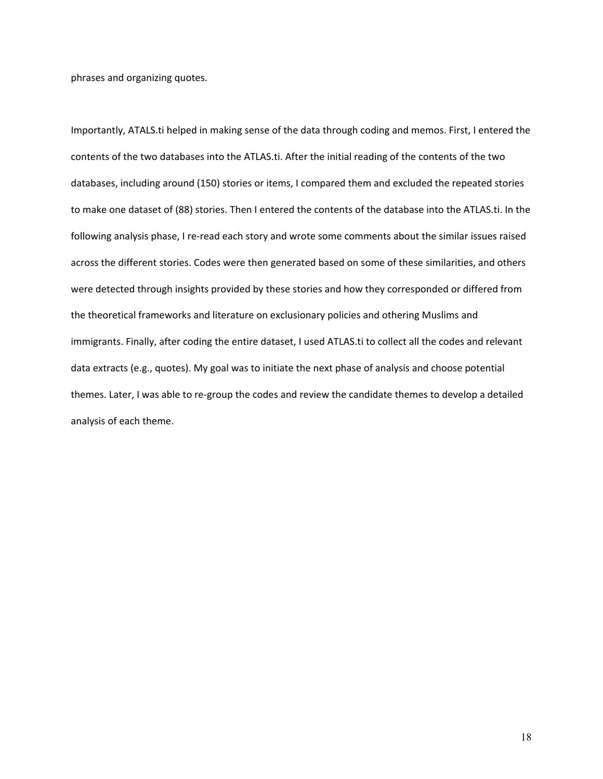phrases and organizing quotes.

Importantly, ATALS.ti helped in making sense of the data through coding and memos. First, I entered the contents of the two databases into the ATLAS.ti. After the initial reading of the contents of the two databases, including around (150) stories or items, I compared them and excluded the repeated stories to make one dataset of (88) stories. Then I entered the contents of the database into the ATLAS.ti. In the following analysis phase, I re-read each story and wrote some comments about the similar issues raised across the different stories. Codes were then generated based on some of these similarities, and others were detected through insights provided by these stories and how they corresponded or differed from the theoretical frameworks and literature on exclusionary policies and othering Muslims and immigrants. Finally, after coding the entire dataset, I used ATLAS.ti to collect all the codes and relevant data extracts (e.g., quotes). My goal was to initiate the next phase of analysis and choose potential themes. Later, I was able to re-group the codes and review the candidate themes to develop a detailed analysis of each theme.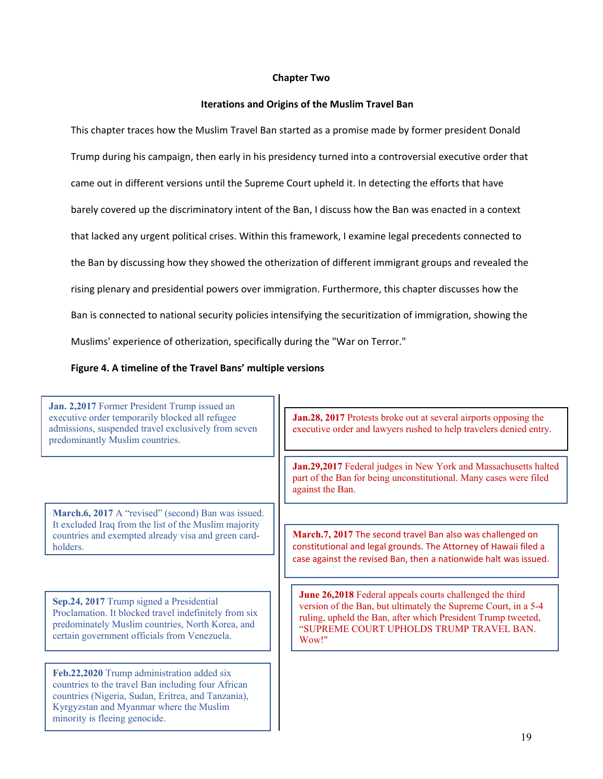## **Chapter Two**

## **Iterations and Origins of the Muslim Travel Ban**

This chapter traces how the Muslim Travel Ban started as a promise made by former president Donald Trump during his campaign, then early in his presidency turned into a controversial executive order that came out in different versions until the Supreme Court upheld it. In detecting the efforts that have barely covered up the discriminatory intent of the Ban, I discuss how the Ban was enacted in a context that lacked any urgent political crises. Within this framework, I examine legal precedents connected to the Ban by discussing how they showed the otherization of different immigrant groups and revealed the rising plenary and presidential powers over immigration. Furthermore, this chapter discusses how the Ban is connected to national security policies intensifying the securitization of immigration, showing the Muslims' experience of otherization, specifically during the "War on Terror."

## **Figure 4. A timeline of the Travel Bans' multiple versions**

**Jan. 2,2017** Former President Trump issued an executive order temporarily blocked all refugee admissions, suspended travel exclusively from seven predominantly Muslim countries.

**March.6, 2017** A "revised" (second) Ban was issued. It excluded Iraq from the list of the Muslim majority countries and exempted already visa and green cardholders.

**Sep.24, 2017** Trump signed a Presidential Proclamation. It blocked travel indefinitely from six predominately Muslim countries, North Korea, and certain government officials from Venezuela.

**Feb.22,2020** Trump administration added six countries to the travel Ban including four African countries (Nigeria, Sudan, Eritrea, and Tanzania), Kyrgyzstan and Myanmar where the Muslim minority is fleeing genocide.

**Jan.28, 2017** Protests broke out at several airports opposing the executive order and lawyers rushed to help travelers denied entry.

**Jan.29,2017** Federal judges in New York and Massachusetts halted part of the Ban for being unconstitutional. Many cases were filed against the Ban.

**March.7, 2017** The second travel Ban also was challenged on constitutional and legal grounds. The Attorney of Hawaii filed a case against the revised Ban, then a nationwide halt was issued.

**June 26,2018** Federal appeals courts challenged the third version of the Ban, but ultimately the Supreme Court, in a 5-4 ruling, upheld the Ban, after which President Trump tweeted, "SUPREME COURT UPHOLDS TRUMP TRAVEL BAN. Wow!"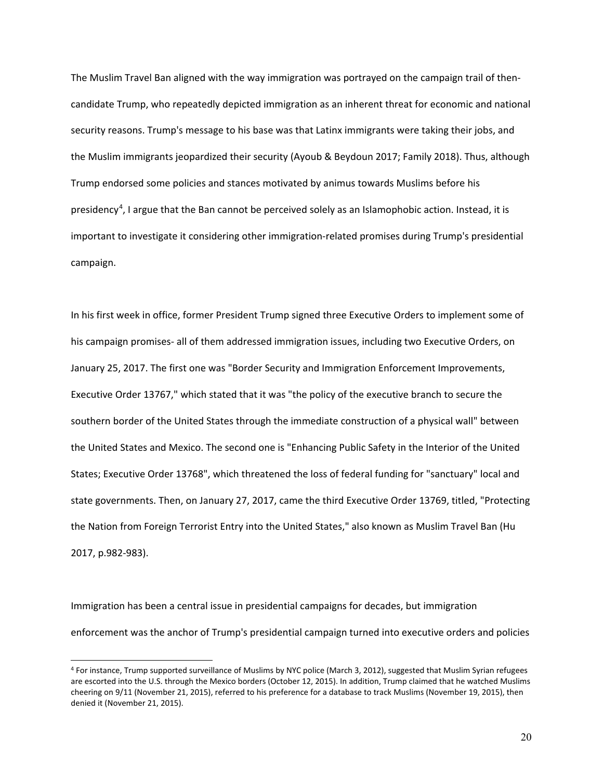The Muslim Travel Ban aligned with the way immigration was portrayed on the campaign trail of thencandidate Trump, who repeatedly depicted immigration as an inherent threat for economic and national security reasons. Trump's message to his base was that Latinx immigrants were taking their jobs, and the Muslim immigrants jeopardized their security (Ayoub & Beydoun 2017; Family 2018). Thus, although Trump endorsed some policies and stances motivated by animus towards Muslims before his presidency<sup>[4](#page-28-0)</sup>, I argue that the Ban cannot be perceived solely as an Islamophobic action. Instead, it is important to investigate it considering other immigration-related promises during Trump's presidential campaign.

In his first week in office, former President Trump signed three Executive Orders to implement some of his campaign promises- all of them addressed immigration issues, including two Executive Orders, on January 25, 2017. The first one was "Border Security and Immigration Enforcement Improvements, Executive Order 13767," which stated that it was "the policy of the executive branch to secure the southern border of the United States through the immediate construction of a physical wall" between the United States and Mexico. The second one is "Enhancing Public Safety in the Interior of the United States; Executive Order 13768", which threatened the loss of federal funding for "sanctuary" local and state governments. Then, on January 27, 2017, came the third Executive Order 13769, titled, "Protecting the Nation from Foreign Terrorist Entry into the United States," also known as Muslim Travel Ban (Hu 2017, p.982-983).

Immigration has been a central issue in presidential campaigns for decades, but immigration enforcement was the anchor of Trump's presidential campaign turned into executive orders and policies

<span id="page-28-0"></span><sup>4</sup> For instance, Trump supported surveillance of Muslims by NYC police (March 3, 2012), suggested that Muslim Syrian refugees are escorted into the U.S. through the Mexico borders (October 12, 2015). In addition, Trump claimed that he watched Muslims cheering on 9/11 (November 21, 2015), referred to his preference for a database to track Muslims (November 19, 2015), then denied it (November 21, 2015).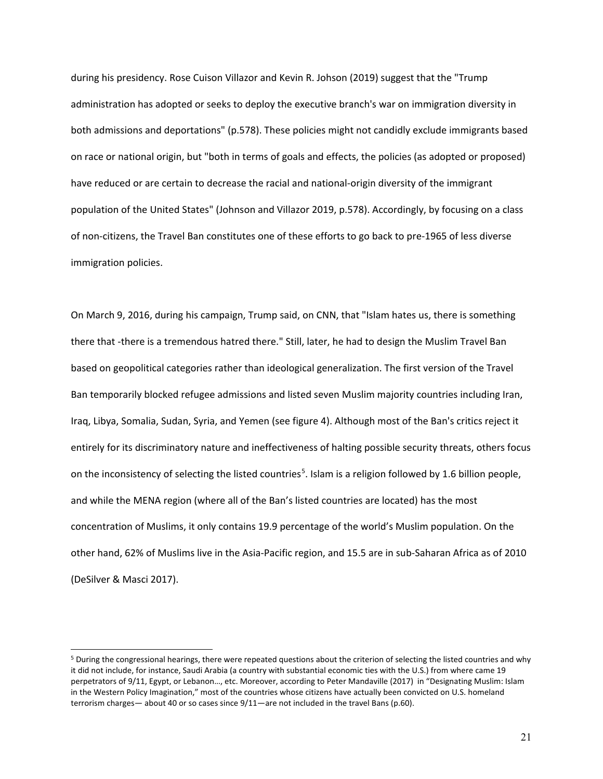during his presidency. Rose Cuison Villazor and Kevin R. Johson (2019) suggest that the "Trump administration has adopted or seeks to deploy the executive branch's war on immigration diversity in both admissions and deportations" (p.578). These policies might not candidly exclude immigrants based on race or national origin, but "both in terms of goals and effects, the policies (as adopted or proposed) have reduced or are certain to decrease the racial and national-origin diversity of the immigrant population of the United States" (Johnson and Villazor 2019, p.578). Accordingly, by focusing on a class of non-citizens, the Travel Ban constitutes one of these efforts to go back to pre-1965 of less diverse immigration policies.

On March 9, 2016, during his campaign, Trump said, on CNN, that "Islam hates us, there is something there that -there is a tremendous hatred there." Still, later, he had to design the Muslim Travel Ban based on geopolitical categories rather than ideological generalization. The first version of the Travel Ban temporarily blocked refugee admissions and listed seven Muslim majority countries including Iran, Iraq, Libya, Somalia, Sudan, Syria, and Yemen (see figure 4). Although most of the Ban's critics reject it entirely for its discriminatory nature and ineffectiveness of halting possible security threats, others focus on the inconsistency of selecting the listed countries<sup>[5](#page-29-0)</sup>. Islam is a religion followed by 1.6 billion people, and while the MENA region (where all of the Ban's listed countries are located) has the most concentration of Muslims, it only contains 19.9 percentage of the world's Muslim population. On the other hand, 62% of Muslims live in the Asia-Pacific region, and 15.5 are in sub-Saharan Africa as of 2010 (DeSilver & Masci 2017).

<span id="page-29-0"></span><sup>&</sup>lt;sup>5</sup> During the congressional hearings, there were repeated questions about the criterion of selecting the listed countries and why it did not include, for instance, Saudi Arabia (a country with substantial economic ties with the U.S.) from where came 19 perpetrators of 9/11, Egypt, or Lebanon…, etc. Moreover, according to Peter Mandaville (2017) in "Designating Muslim: Islam in the Western Policy Imagination," most of the countries whose citizens have actually been convicted on U.S. homeland terrorism charges— about 40 or so cases since  $9/11$ —are not included in the travel Bans (p.60).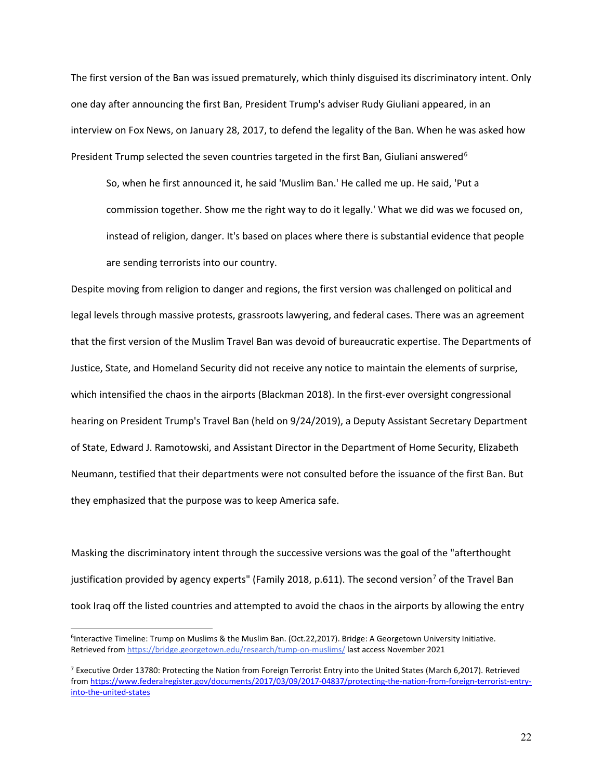The first version of the Ban was issued prematurely, which thinly disguised its discriminatory intent. Only one day after announcing the first Ban, President Trump's adviser Rudy Giuliani appeared, in an interview on Fox News, on January 28, 2017, to defend the legality of the Ban. When he was asked how President Trump selected the seven countries targeted in the first Ban, Giuliani answered<sup>[6](#page-30-0)</sup>

So, when he first announced it, he said 'Muslim Ban.' He called me up. He said, 'Put a commission together. Show me the right way to do it legally.' What we did was we focused on, instead of religion, danger. It's based on places where there is substantial evidence that people are sending terrorists into our country.

Despite moving from religion to danger and regions, the first version was challenged on political and legal levels through massive protests, grassroots lawyering, and federal cases. There was an agreement that the first version of the Muslim Travel Ban was devoid of bureaucratic expertise. The Departments of Justice, State, and Homeland Security did not receive any notice to maintain the elements of surprise, which intensified the chaos in the airports (Blackman 2018). In the first-ever oversight congressional hearing on President Trump's Travel Ban (held on 9/24/2019), a Deputy Assistant Secretary Department of State, Edward J. Ramotowski, and Assistant Director in the Department of Home Security, Elizabeth Neumann, testified that their departments were not consulted before the issuance of the first Ban. But they emphasized that the purpose was to keep America safe.

Masking the discriminatory intent through the successive versions was the goal of the "afterthought justification provided by agency experts" (Family 2018, p.611). The second version<sup>[7](#page-30-1)</sup> of the Travel Ban took Iraq off the listed countries and attempted to avoid the chaos in the airports by allowing the entry

<span id="page-30-0"></span><sup>&</sup>lt;sup>6</sup>Interactive Timeline: Trump on Muslims & the Muslim Ban. (Oct.22,2017). Bridge: A Georgetown University Initiative. Retrieved from <https://bridge.georgetown.edu/research/tump-on-muslims/> last access November 2021

<span id="page-30-1"></span> $7$  Executive Order 13780: Protecting the Nation from Foreign Terrorist Entry into the United States (March 6,2017). Retrieved from [https://www.federalregister.gov/documents/2017/03/09/2017-04837/protecting-the-nation-from-foreign-terrorist-entry](https://www.federalregister.gov/documents/2017/03/09/2017-04837/protecting-the-nation-from-foreign-terrorist-entry-into-the-united-states)[into-the-united-states](https://www.federalregister.gov/documents/2017/03/09/2017-04837/protecting-the-nation-from-foreign-terrorist-entry-into-the-united-states)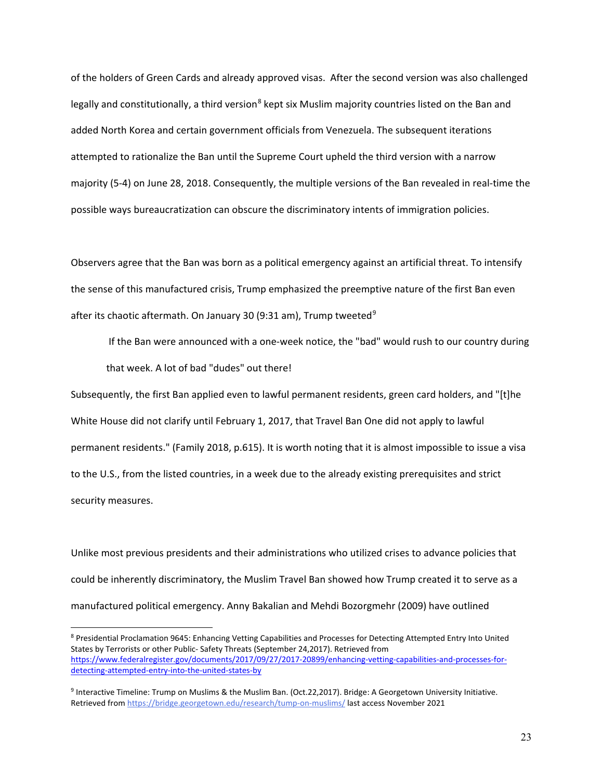of the holders of Green Cards and already approved visas. After the second version was also challenged legally and constitutionally, a third version<sup>[8](#page-31-0)</sup> kept six Muslim majority countries listed on the Ban and added North Korea and certain government officials from Venezuela. The subsequent iterations attempted to rationalize the Ban until the Supreme Court upheld the third version with a narrow majority (5-4) on June 28, 2018. Consequently, the multiple versions of the Ban revealed in real-time the possible ways bureaucratization can obscure the discriminatory intents of immigration policies.

Observers agree that the Ban was born as a political emergency against an artificial threat. To intensify the sense of this manufactured crisis, Trump emphasized the preemptive nature of the first Ban even after its chaotic aftermath. On January 30 ([9](#page-31-1):31 am), Trump tweeted<sup>9</sup>

If the Ban were announced with a one-week notice, the "bad" would rush to our country during that week. A lot of bad "dudes" out there!

Subsequently, the first Ban applied even to lawful permanent residents, green card holders, and "[t]he White House did not clarify until February 1, 2017, that Travel Ban One did not apply to lawful permanent residents." (Family 2018, p.615). It is worth noting that it is almost impossible to issue a visa to the U.S., from the listed countries, in a week due to the already existing prerequisites and strict security measures.

Unlike most previous presidents and their administrations who utilized crises to advance policies that could be inherently discriminatory, the Muslim Travel Ban showed how Trump created it to serve as a manufactured political emergency. Anny Bakalian and Mehdi Bozorgmehr (2009) have outlined

<span id="page-31-0"></span><sup>8</sup> Presidential Proclamation 9645: Enhancing Vetting Capabilities and Processes for Detecting Attempted Entry Into United States by Terrorists or other Public- Safety Threats (September 24,2017). Retrieved from [https://www.federalregister.gov/documents/2017/09/27/2017-20899/enhancing-vetting-capabilities-and-processes-for](https://www.federalregister.gov/documents/2017/09/27/2017-20899/enhancing-vetting-capabilities-and-processes-for-detecting-attempted-entry-into-the-united-states-by)[detecting-attempted-entry-into-the-united-states-by](https://www.federalregister.gov/documents/2017/09/27/2017-20899/enhancing-vetting-capabilities-and-processes-for-detecting-attempted-entry-into-the-united-states-by)

<span id="page-31-1"></span><sup>9</sup> Interactive Timeline: Trump on Muslims & the Muslim Ban. (Oct.22,2017). Bridge: A Georgetown University Initiative. Retrieved from <https://bridge.georgetown.edu/research/tump-on-muslims/> last access November 2021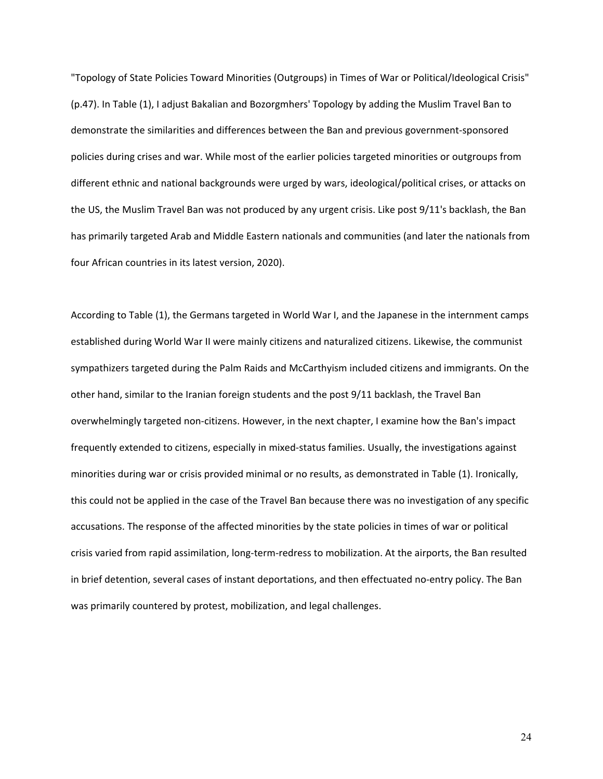"Topology of State Policies Toward Minorities (Outgroups) in Times of War or Political/Ideological Crisis" (p.47). In Table (1), I adjust Bakalian and Bozorgmhers' Topology by adding the Muslim Travel Ban to demonstrate the similarities and differences between the Ban and previous government-sponsored policies during crises and war. While most of the earlier policies targeted minorities or outgroups from different ethnic and national backgrounds were urged by wars, ideological/political crises, or attacks on the US, the Muslim Travel Ban was not produced by any urgent crisis. Like post 9/11's backlash, the Ban has primarily targeted Arab and Middle Eastern nationals and communities (and later the nationals from four African countries in its latest version, 2020).

According to Table (1), the Germans targeted in World War I, and the Japanese in the internment camps established during World War II were mainly citizens and naturalized citizens. Likewise, the communist sympathizers targeted during the Palm Raids and McCarthyism included citizens and immigrants. On the other hand, similar to the Iranian foreign students and the post 9/11 backlash, the Travel Ban overwhelmingly targeted non-citizens. However, in the next chapter, I examine how the Ban's impact frequently extended to citizens, especially in mixed-status families. Usually, the investigations against minorities during war or crisis provided minimal or no results, as demonstrated in Table (1). Ironically, this could not be applied in the case of the Travel Ban because there was no investigation of any specific accusations. The response of the affected minorities by the state policies in times of war or political crisis varied from rapid assimilation, long-term-redress to mobilization. At the airports, the Ban resulted in brief detention, several cases of instant deportations, and then effectuated no-entry policy. The Ban was primarily countered by protest, mobilization, and legal challenges.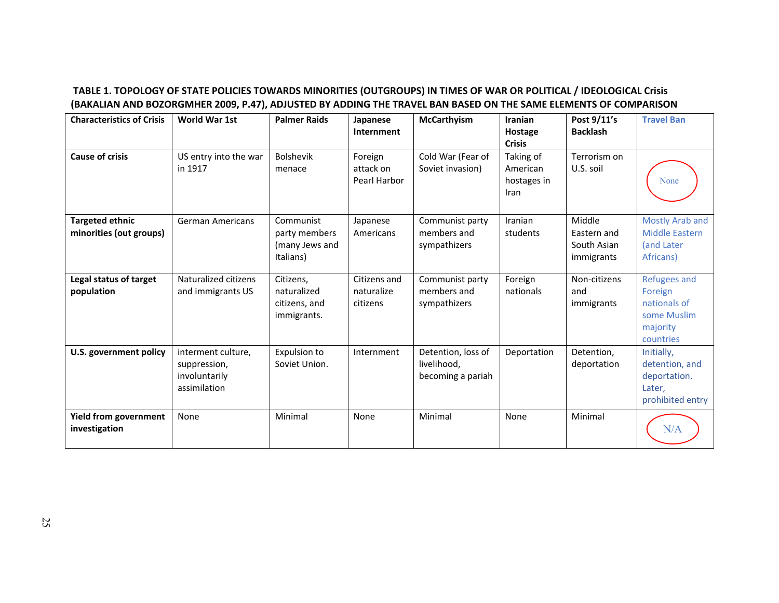## **TABLE 1. TOPOLOGY OF STATE POLICIES TOWARDS MINORITIES (OUTGROUPS) IN TIMES OF WAR OR POLITICAL / IDEOLOGICAL Crisis (BAKALIAN AND BOZORGMHER 2009, P.47), ADJUSTED BY ADDING THE TRAVEL BAN BASED ON THE SAME ELEMENTS OF COMPARISON**

| <b>Characteristics of Crisis</b>                  | World War 1st                                                       | <b>Palmer Raids</b>                                       | Japanese<br>Internment                 | <b>McCarthyism</b>                                     | <b>Iranian</b><br>Hostage<br><b>Crisis</b>   | Post 9/11's<br><b>Backlash</b>                     | <b>Travel Ban</b>                                                                      |
|---------------------------------------------------|---------------------------------------------------------------------|-----------------------------------------------------------|----------------------------------------|--------------------------------------------------------|----------------------------------------------|----------------------------------------------------|----------------------------------------------------------------------------------------|
| <b>Cause of crisis</b>                            | US entry into the war<br>in 1917                                    | <b>Bolshevik</b><br>menace                                | Foreign<br>attack on<br>Pearl Harbor   | Cold War (Fear of<br>Soviet invasion)                  | Taking of<br>American<br>hostages in<br>Iran | Terrorism on<br>U.S. soil                          | None                                                                                   |
| <b>Targeted ethnic</b><br>minorities (out groups) | <b>German Americans</b>                                             | Communist<br>party members<br>(many Jews and<br>Italians) | Japanese<br>Americans                  | Communist party<br>members and<br>sympathizers         | Iranian<br>students                          | Middle<br>Eastern and<br>South Asian<br>immigrants | Mostly Arab and<br><b>Middle Eastern</b><br>(and Later<br>Africans)                    |
| Legal status of target<br>population              | Naturalized citizens<br>and immigrants US                           | Citizens,<br>naturalized<br>citizens, and<br>immigrants.  | Citizens and<br>naturalize<br>citizens | Communist party<br>members and<br>sympathizers         | Foreign<br>nationals                         | Non-citizens<br>and<br>immigrants                  | <b>Refugees and</b><br>Foreign<br>nationals of<br>some Muslim<br>majority<br>countries |
| U.S. government policy                            | interment culture,<br>suppression,<br>involuntarily<br>assimilation | Expulsion to<br>Soviet Union.                             | Internment                             | Detention, loss of<br>livelihood,<br>becoming a pariah | Deportation                                  | Detention,<br>deportation                          | Initially,<br>detention, and<br>deportation.<br>Later,<br>prohibited entry             |
| <b>Yield from government</b><br>investigation     | None                                                                | Minimal                                                   | None                                   | Minimal                                                | None                                         | Minimal                                            | N/A                                                                                    |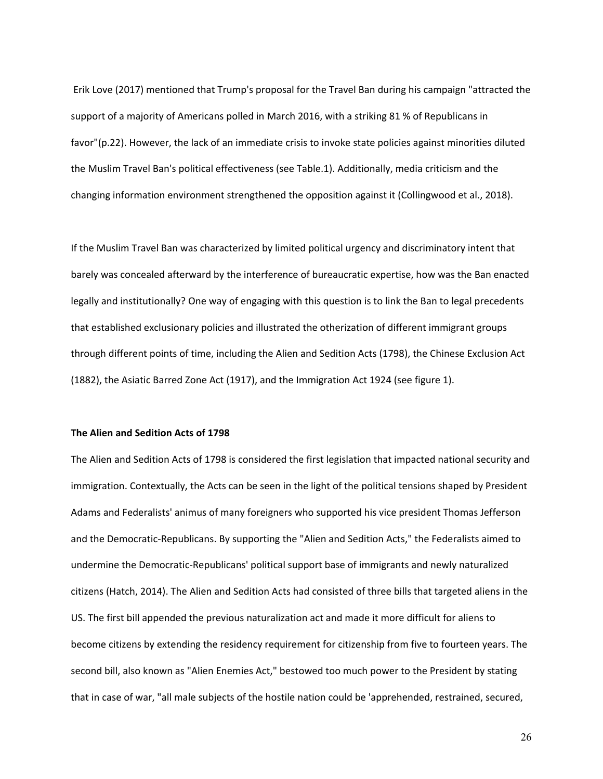Erik Love (2017) mentioned that Trump's proposal for the Travel Ban during his campaign "attracted the support of a majority of Americans polled in March 2016, with a striking 81 % of Republicans in favor"(p.22). However, the lack of an immediate crisis to invoke state policies against minorities diluted the Muslim Travel Ban's political effectiveness (see Table.1). Additionally, media criticism and the changing information environment strengthened the opposition against it (Collingwood et al., 2018).

If the Muslim Travel Ban was characterized by limited political urgency and discriminatory intent that barely was concealed afterward by the interference of bureaucratic expertise, how was the Ban enacted legally and institutionally? One way of engaging with this question is to link the Ban to legal precedents that established exclusionary policies and illustrated the otherization of different immigrant groups through different points of time, including the Alien and Sedition Acts (1798), the Chinese Exclusion Act (1882), the Asiatic Barred Zone Act (1917), and the Immigration Act 1924 (see figure 1).

#### **The Alien and Sedition Acts of 1798**

The Alien and Sedition Acts of 1798 is considered the first legislation that impacted national security and immigration. Contextually, the Acts can be seen in the light of the political tensions shaped by President Adams and Federalists' animus of many foreigners who supported his vice president Thomas Jefferson and the Democratic-Republicans. By supporting the "Alien and Sedition Acts," the Federalists aimed to undermine the Democratic-Republicans' political support base of immigrants and newly naturalized citizens (Hatch, 2014). The Alien and Sedition Acts had consisted of three bills that targeted aliens in the US. The first bill appended the previous naturalization act and made it more difficult for aliens to become citizens by extending the residency requirement for citizenship from five to fourteen years. The second bill, also known as "Alien Enemies Act," bestowed too much power to the President by stating that in case of war, "all male subjects of the hostile nation could be 'apprehended, restrained, secured,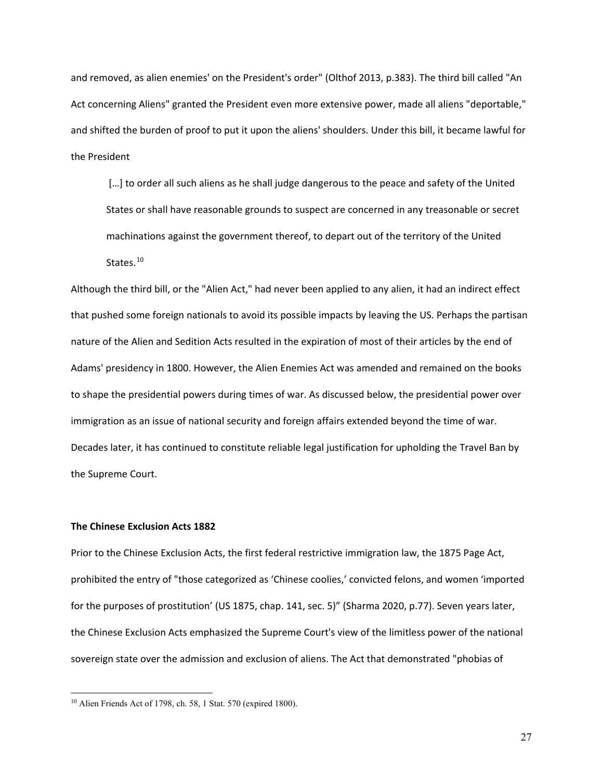and removed, as alien enemies' on the President's order" (Olthof 2013, p.383). The third bill called "An Act concerning Aliens" granted the President even more extensive power, made all aliens "deportable," and shifted the burden of proof to put it upon the aliens' shoulders. Under this bill, it became lawful for the President

[...] to order all such aliens as he shall judge dangerous to the peace and safety of the United States or shall have reasonable grounds to suspect are concerned in any treasonable or secret machinations against the government thereof, to depart out of the territory of the United States.<sup>[10](#page-35-0)</sup>

Although the third bill, or the "Alien Act," had never been applied to any alien, it had an indirect effect that pushed some foreign nationals to avoid its possible impacts by leaving the US. Perhaps the partisan nature of the Alien and Sedition Acts resulted in the expiration of most of their articles by the end of Adams' presidency in 1800. However, the Alien Enemies Act was amended and remained on the books to shape the presidential powers during times of war. As discussed below, the presidential power over immigration as an issue of national security and foreign affairs extended beyond the time of war. Decades later, it has continued to constitute reliable legal justification for upholding the Travel Ban by the Supreme Court.

#### **The Chinese Exclusion Acts 1882**

 $\overline{a}$ 

Prior to the Chinese Exclusion Acts, the first federal restrictive immigration law, the 1875 Page Act, prohibited the entry of "those categorized as 'Chinese coolies,' convicted felons, and women 'imported for the purposes of prostitution' (US 1875, chap. 141, sec. 5)" (Sharma 2020, p.77). Seven years later, the Chinese Exclusion Acts emphasized the Supreme Court's view of the limitless power of the national sovereign state over the admission and exclusion of aliens. The Act that demonstrated "phobias of

<span id="page-35-0"></span><sup>10</sup> Alien Friends Act of 1798, ch. 58, 1 Stat. 570 (expired 1800).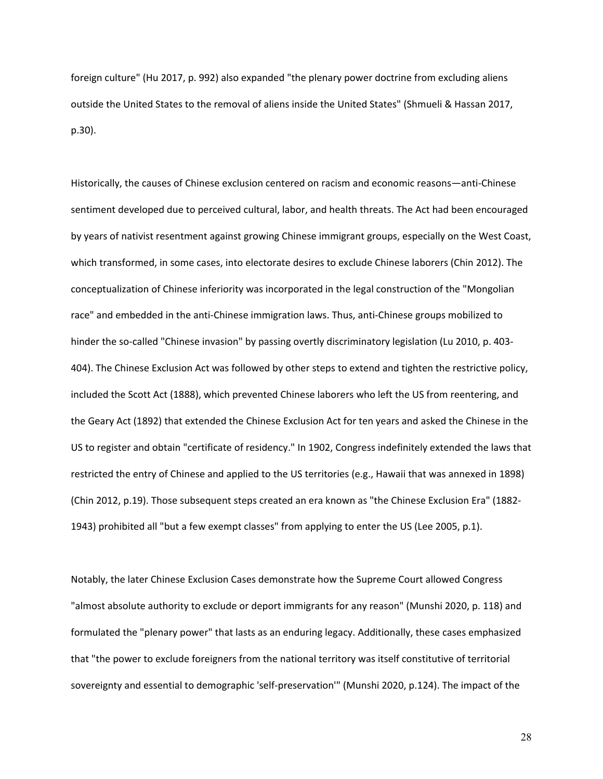foreign culture" (Hu 2017, p. 992) also expanded "the plenary power doctrine from excluding aliens outside the United States to the removal of aliens inside the United States" (Shmueli & Hassan 2017, p.30).

Historically, the causes of Chinese exclusion centered on racism and economic reasons—anti-Chinese sentiment developed due to perceived cultural, labor, and health threats. The Act had been encouraged by years of nativist resentment against growing Chinese immigrant groups, especially on the West Coast, which transformed, in some cases, into electorate desires to exclude Chinese laborers (Chin 2012). The conceptualization of Chinese inferiority was incorporated in the legal construction of the "Mongolian race" and embedded in the anti-Chinese immigration laws. Thus, anti-Chinese groups mobilized to hinder the so-called "Chinese invasion" by passing overtly discriminatory legislation (Lu 2010, p. 403- 404). The Chinese Exclusion Act was followed by other steps to extend and tighten the restrictive policy, included the Scott Act (1888), which prevented Chinese laborers who left the US from reentering, and the Geary Act (1892) that extended the Chinese Exclusion Act for ten years and asked the Chinese in the US to register and obtain "certificate of residency." In 1902, Congress indefinitely extended the laws that restricted the entry of Chinese and applied to the US territories (e.g., Hawaii that was annexed in 1898) (Chin 2012, p.19). Those subsequent steps created an era known as "the Chinese Exclusion Era" (1882- 1943) prohibited all "but a few exempt classes" from applying to enter the US (Lee 2005, p.1).

Notably, the later Chinese Exclusion Cases demonstrate how the Supreme Court allowed Congress "almost absolute authority to exclude or deport immigrants for any reason" (Munshi 2020, p. 118) and formulated the "plenary power" that lasts as an enduring legacy. Additionally, these cases emphasized that "the power to exclude foreigners from the national territory was itself constitutive of territorial sovereignty and essential to demographic 'self-preservation'" (Munshi 2020, p.124). The impact of the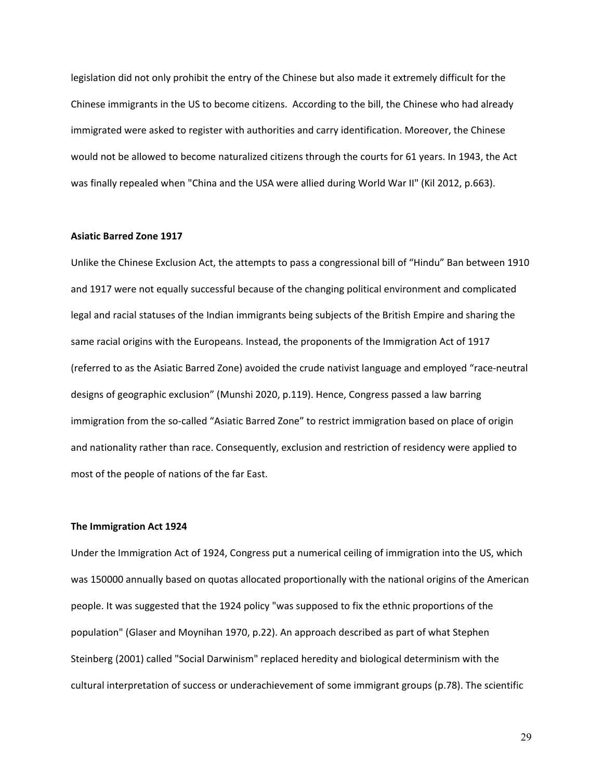legislation did not only prohibit the entry of the Chinese but also made it extremely difficult for the Chinese immigrants in the US to become citizens. According to the bill, the Chinese who had already immigrated were asked to register with authorities and carry identification. Moreover, the Chinese would not be allowed to become naturalized citizens through the courts for 61 years. In 1943, the Act was finally repealed when "China and the USA were allied during World War II" (Kil 2012, p.663).

#### **Asiatic Barred Zone 1917**

Unlike the Chinese Exclusion Act, the attempts to pass a congressional bill of "Hindu" Ban between 1910 and 1917 were not equally successful because of the changing political environment and complicated legal and racial statuses of the Indian immigrants being subjects of the British Empire and sharing the same racial origins with the Europeans. Instead, the proponents of the Immigration Act of 1917 (referred to as the Asiatic Barred Zone) avoided the crude nativist language and employed "race-neutral designs of geographic exclusion" (Munshi 2020, p.119). Hence, Congress passed a law barring immigration from the so-called "Asiatic Barred Zone" to restrict immigration based on place of origin and nationality rather than race. Consequently, exclusion and restriction of residency were applied to most of the people of nations of the far East.

### **The Immigration Act 1924**

Under the Immigration Act of 1924, Congress put a numerical ceiling of immigration into the US, which was 150000 annually based on quotas allocated proportionally with the national origins of the American people. It was suggested that the 1924 policy "was supposed to fix the ethnic proportions of the population" (Glaser and Moynihan 1970, p.22). An approach described as part of what Stephen Steinberg (2001) called "Social Darwinism" replaced heredity and biological determinism with the cultural interpretation of success or underachievement of some immigrant groups (p.78). The scientific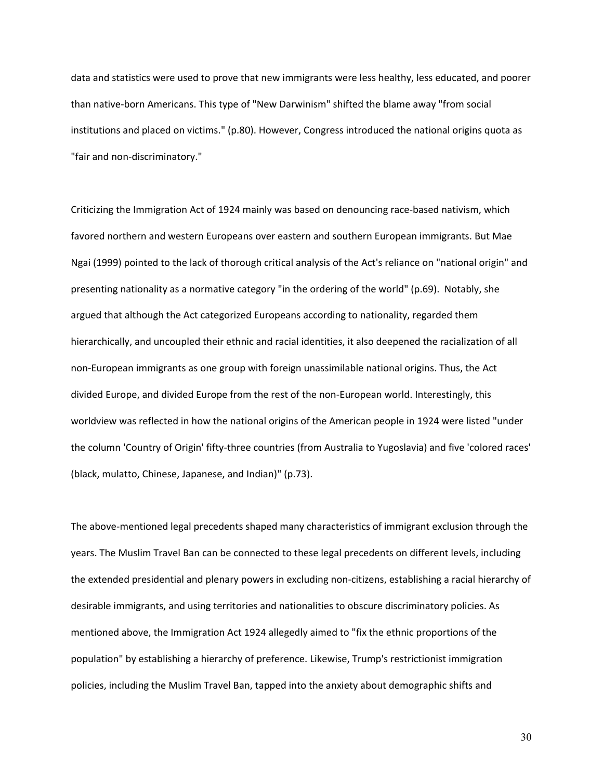data and statistics were used to prove that new immigrants were less healthy, less educated, and poorer than native-born Americans. This type of "New Darwinism" shifted the blame away "from social institutions and placed on victims." (p.80). However, Congress introduced the national origins quota as "fair and non-discriminatory."

Criticizing the Immigration Act of 1924 mainly was based on denouncing race-based nativism, which favored northern and western Europeans over eastern and southern European immigrants. But Mae Ngai (1999) pointed to the lack of thorough critical analysis of the Act's reliance on "national origin" and presenting nationality as a normative category "in the ordering of the world" (p.69). Notably, she argued that although the Act categorized Europeans according to nationality, regarded them hierarchically, and uncoupled their ethnic and racial identities, it also deepened the racialization of all non-European immigrants as one group with foreign unassimilable national origins. Thus, the Act divided Europe, and divided Europe from the rest of the non-European world. Interestingly, this worldview was reflected in how the national origins of the American people in 1924 were listed "under the column 'Country of Origin' fifty-three countries (from Australia to Yugoslavia) and five 'colored races' (black, mulatto, Chinese, Japanese, and Indian)" (p.73).

The above-mentioned legal precedents shaped many characteristics of immigrant exclusion through the years. The Muslim Travel Ban can be connected to these legal precedents on different levels, including the extended presidential and plenary powers in excluding non-citizens, establishing a racial hierarchy of desirable immigrants, and using territories and nationalities to obscure discriminatory policies. As mentioned above, the Immigration Act 1924 allegedly aimed to "fix the ethnic proportions of the population" by establishing a hierarchy of preference. Likewise, Trump's restrictionist immigration policies, including the Muslim Travel Ban, tapped into the anxiety about demographic shifts and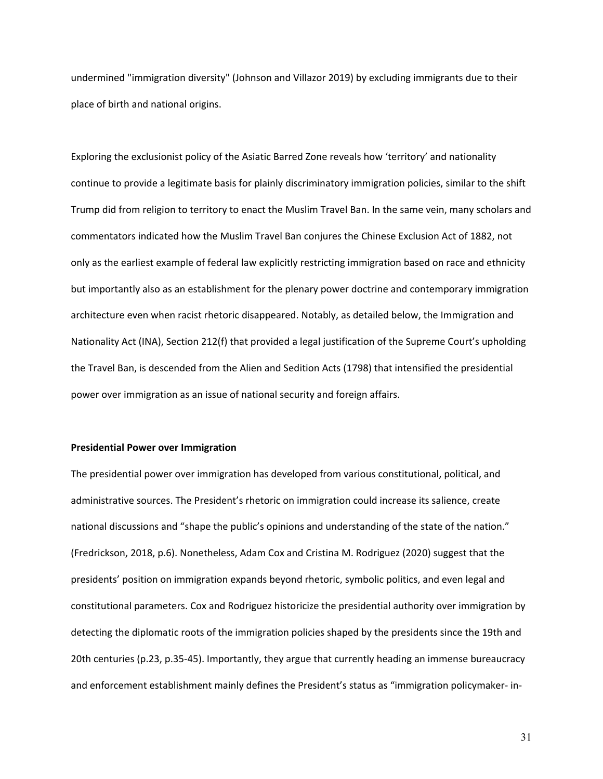undermined "immigration diversity" (Johnson and Villazor 2019) by excluding immigrants due to their place of birth and national origins.

Exploring the exclusionist policy of the Asiatic Barred Zone reveals how 'territory' and nationality continue to provide a legitimate basis for plainly discriminatory immigration policies, similar to the shift Trump did from religion to territory to enact the Muslim Travel Ban. In the same vein, many scholars and commentators indicated how the Muslim Travel Ban conjures the Chinese Exclusion Act of 1882, not only as the earliest example of federal law explicitly restricting immigration based on race and ethnicity but importantly also as an establishment for the plenary power doctrine and contemporary immigration architecture even when racist rhetoric disappeared. Notably, as detailed below, the Immigration and Nationality Act (INA), Section 212(f) that provided a legal justification of the Supreme Court's upholding the Travel Ban, is descended from the Alien and Sedition Acts (1798) that intensified the presidential power over immigration as an issue of national security and foreign affairs.

### **Presidential Power over Immigration**

The presidential power over immigration has developed from various constitutional, political, and administrative sources. The President's rhetoric on immigration could increase its salience, create national discussions and "shape the public's opinions and understanding of the state of the nation." (Fredrickson, 2018, p.6). Nonetheless, Adam Cox and Cristina M. Rodriguez (2020) suggest that the presidents' position on immigration expands beyond rhetoric, symbolic politics, and even legal and constitutional parameters. Cox and Rodriguez historicize the presidential authority over immigration by detecting the diplomatic roots of the immigration policies shaped by the presidents since the 19th and 20th centuries (p.23, p.35-45). Importantly, they argue that currently heading an immense bureaucracy and enforcement establishment mainly defines the President's status as "immigration policymaker- in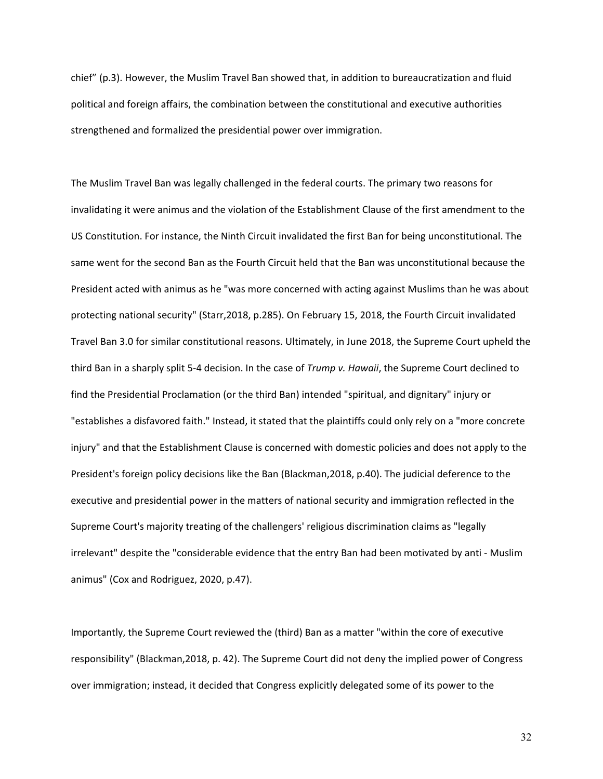chief" (p.3). However, the Muslim Travel Ban showed that, in addition to bureaucratization and fluid political and foreign affairs, the combination between the constitutional and executive authorities strengthened and formalized the presidential power over immigration.

The Muslim Travel Ban was legally challenged in the federal courts. The primary two reasons for invalidating it were animus and the violation of the Establishment Clause of the first amendment to the US Constitution. For instance, the Ninth Circuit invalidated the first Ban for being unconstitutional. The same went for the second Ban as the Fourth Circuit held that the Ban was unconstitutional because the President acted with animus as he "was more concerned with acting against Muslims than he was about protecting national security" (Starr,2018, p.285). On February 15, 2018, the Fourth Circuit invalidated Travel Ban 3.0 for similar constitutional reasons. Ultimately, in June 2018, the Supreme Court upheld the third Ban in a sharply split 5-4 decision. In the case of *Trump v. Hawaii*, the Supreme Court declined to find the Presidential Proclamation (or the third Ban) intended "spiritual, and dignitary" injury or "establishes a disfavored faith." Instead, it stated that the plaintiffs could only rely on a "more concrete injury" and that the Establishment Clause is concerned with domestic policies and does not apply to the President's foreign policy decisions like the Ban (Blackman,2018, p.40). The judicial deference to the executive and presidential power in the matters of national security and immigration reflected in the Supreme Court's majority treating of the challengers' religious discrimination claims as "legally irrelevant" despite the "considerable evidence that the entry Ban had been motivated by anti - Muslim animus" (Cox and Rodriguez, 2020, p.47).

Importantly, the Supreme Court reviewed the (third) Ban as a matter "within the core of executive responsibility" (Blackman,2018, p. 42). The Supreme Court did not deny the implied power of Congress over immigration; instead, it decided that Congress explicitly delegated some of its power to the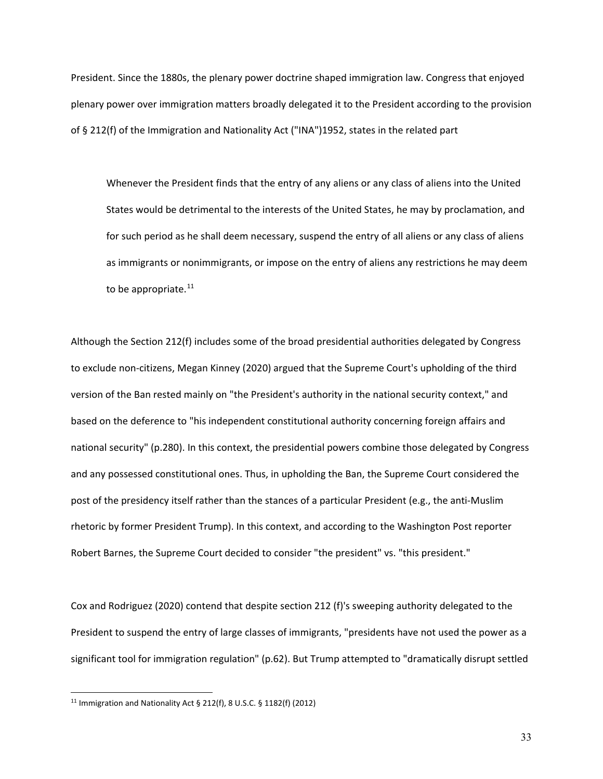President. Since the 1880s, the plenary power doctrine shaped immigration law. Congress that enjoyed plenary power over immigration matters broadly delegated it to the President according to the provision of § 212(f) of the Immigration and Nationality Act ("INA")1952, states in the related part

Whenever the President finds that the entry of any aliens or any class of aliens into the United States would be detrimental to the interests of the United States, he may by proclamation, and for such period as he shall deem necessary, suspend the entry of all aliens or any class of aliens as immigrants or nonimmigrants, or impose on the entry of aliens any restrictions he may deem to be appropriate. $^{11}$  $^{11}$  $^{11}$ 

Although the Section 212(f) includes some of the broad presidential authorities delegated by Congress to exclude non-citizens, Megan Kinney (2020) argued that the Supreme Court's upholding of the third version of the Ban rested mainly on "the President's authority in the national security context," and based on the deference to "his independent constitutional authority concerning foreign affairs and national security" (p.280). In this context, the presidential powers combine those delegated by Congress and any possessed constitutional ones. Thus, in upholding the Ban, the Supreme Court considered the post of the presidency itself rather than the stances of a particular President (e.g., the anti-Muslim rhetoric by former President Trump). In this context, and according to the Washington Post reporter Robert Barnes, the Supreme Court decided to consider "the president" vs. "this president."

Cox and Rodriguez (2020) contend that despite section 212 (f)'s sweeping authority delegated to the President to suspend the entry of large classes of immigrants, "presidents have not used the power as a significant tool for immigration regulation" (p.62). But Trump attempted to "dramatically disrupt settled

l

<span id="page-41-0"></span><sup>11</sup> Immigration and Nationality Act § 212(f), 8 U.S.C. § 1182(f) (2012)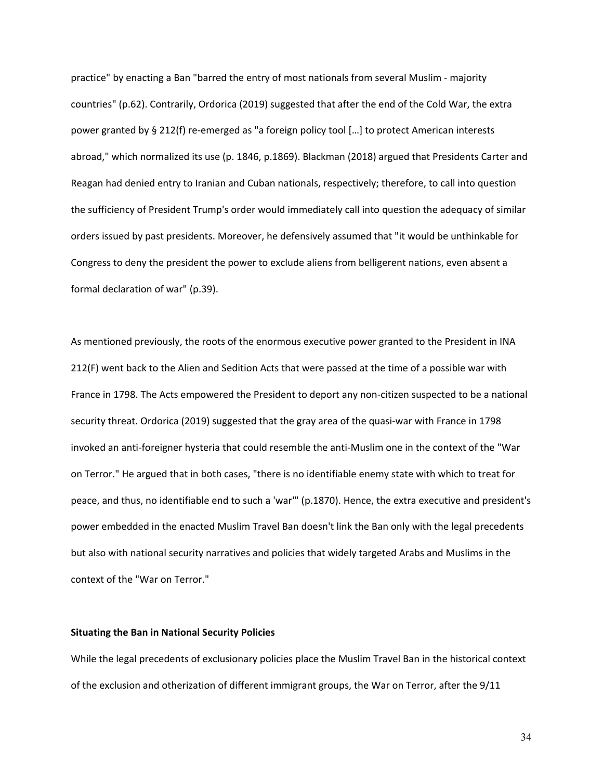practice" by enacting a Ban "barred the entry of most nationals from several Muslim - majority countries" (p.62). Contrarily, Ordorica (2019) suggested that after the end of the Cold War, the extra power granted by § 212(f) re-emerged as "a foreign policy tool […] to protect American interests abroad," which normalized its use (p. 1846, p.1869). Blackman (2018) argued that Presidents Carter and Reagan had denied entry to Iranian and Cuban nationals, respectively; therefore, to call into question the sufficiency of President Trump's order would immediately call into question the adequacy of similar orders issued by past presidents. Moreover, he defensively assumed that "it would be unthinkable for Congress to deny the president the power to exclude aliens from belligerent nations, even absent a formal declaration of war" (p.39).

As mentioned previously, the roots of the enormous executive power granted to the President in INA 212(F) went back to the Alien and Sedition Acts that were passed at the time of a possible war with France in 1798. The Acts empowered the President to deport any non-citizen suspected to be a national security threat. Ordorica (2019) suggested that the gray area of the quasi-war with France in 1798 invoked an anti-foreigner hysteria that could resemble the anti-Muslim one in the context of the "War on Terror." He argued that in both cases, "there is no identifiable enemy state with which to treat for peace, and thus, no identifiable end to such a 'war'" (p.1870). Hence, the extra executive and president's power embedded in the enacted Muslim Travel Ban doesn't link the Ban only with the legal precedents but also with national security narratives and policies that widely targeted Arabs and Muslims in the context of the "War on Terror."

# **Situating the Ban in National Security Policies**

While the legal precedents of exclusionary policies place the Muslim Travel Ban in the historical context of the exclusion and otherization of different immigrant groups, the War on Terror, after the 9/11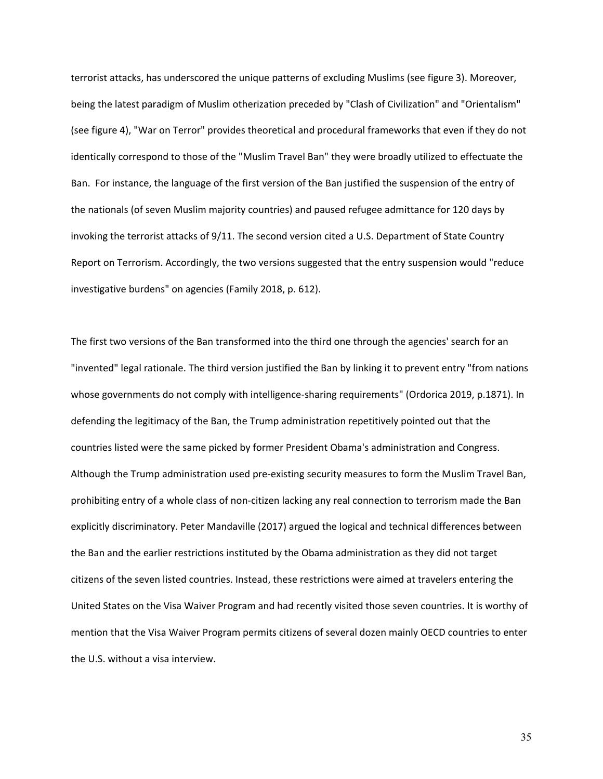terrorist attacks, has underscored the unique patterns of excluding Muslims (see figure 3). Moreover, being the latest paradigm of Muslim otherization preceded by "Clash of Civilization" and "Orientalism" (see figure 4), "War on Terror" provides theoretical and procedural frameworks that even if they do not identically correspond to those of the "Muslim Travel Ban" they were broadly utilized to effectuate the Ban. For instance, the language of the first version of the Ban justified the suspension of the entry of the nationals (of seven Muslim majority countries) and paused refugee admittance for 120 days by invoking the terrorist attacks of 9/11. The second version cited a U.S. Department of State Country Report on Terrorism. Accordingly, the two versions suggested that the entry suspension would "reduce investigative burdens" on agencies (Family 2018, p. 612).

The first two versions of the Ban transformed into the third one through the agencies' search for an "invented" legal rationale. The third version justified the Ban by linking it to prevent entry "from nations whose governments do not comply with intelligence-sharing requirements" (Ordorica 2019, p.1871). In defending the legitimacy of the Ban, the Trump administration repetitively pointed out that the countries listed were the same picked by former President Obama's administration and Congress. Although the Trump administration used pre-existing security measures to form the Muslim Travel Ban, prohibiting entry of a whole class of non-citizen lacking any real connection to terrorism made the Ban explicitly discriminatory. Peter Mandaville (2017) argued the logical and technical differences between the Ban and the earlier restrictions instituted by the Obama administration as they did not target citizens of the seven listed countries. Instead, these restrictions were aimed at travelers entering the United States on the Visa Waiver Program and had recently visited those seven countries. It is worthy of mention that the Visa Waiver Program permits citizens of several dozen mainly OECD countries to enter the U.S. without a visa interview.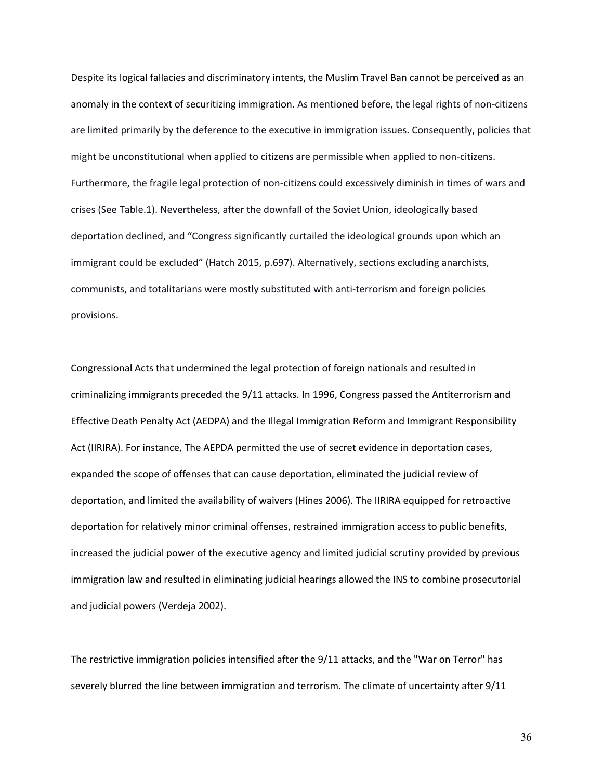Despite its logical fallacies and discriminatory intents, the Muslim Travel Ban cannot be perceived as an anomaly in the context of securitizing immigration. As mentioned before, the legal rights of non-citizens are limited primarily by the deference to the executive in immigration issues. Consequently, policies that might be unconstitutional when applied to citizens are permissible when applied to non-citizens. Furthermore, the fragile legal protection of non-citizens could excessively diminish in times of wars and crises (See Table.1). Nevertheless, after the downfall of the Soviet Union, ideologically based deportation declined, and "Congress significantly curtailed the ideological grounds upon which an immigrant could be excluded" (Hatch 2015, p.697). Alternatively, sections excluding anarchists, communists, and totalitarians were mostly substituted with anti-terrorism and foreign policies provisions.

Congressional Acts that undermined the legal protection of foreign nationals and resulted in criminalizing immigrants preceded the 9/11 attacks. In 1996, Congress passed the Antiterrorism and Effective Death Penalty Act (AEDPA) and the Illegal Immigration Reform and Immigrant Responsibility Act (IIRIRA). For instance, The AEPDA permitted the use of secret evidence in deportation cases, expanded the scope of offenses that can cause deportation, eliminated the judicial review of deportation, and limited the availability of waivers (Hines 2006). The IIRIRA equipped for retroactive deportation for relatively minor criminal offenses, restrained immigration access to public benefits, increased the judicial power of the executive agency and limited judicial scrutiny provided by previous immigration law and resulted in eliminating judicial hearings allowed the INS to combine prosecutorial and judicial powers (Verdeja 2002).

The restrictive immigration policies intensified after the 9/11 attacks, and the "War on Terror" has severely blurred the line between immigration and terrorism. The climate of uncertainty after 9/11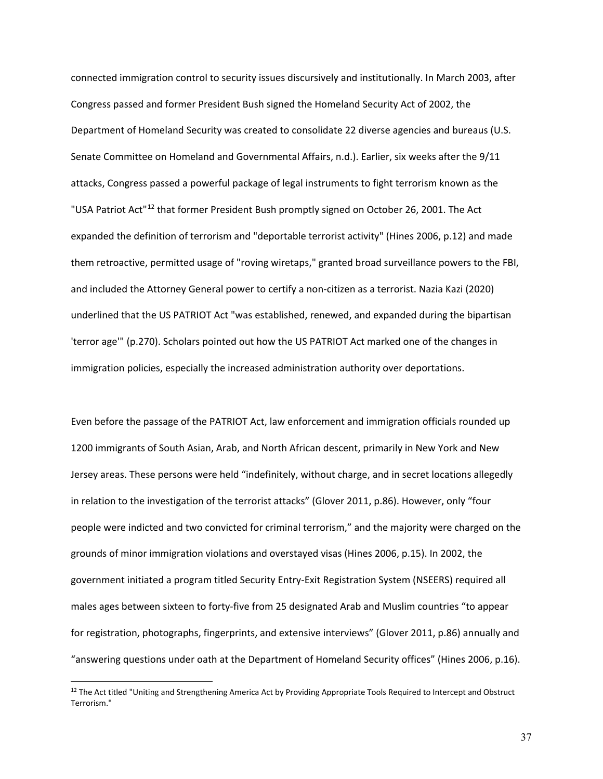connected immigration control to security issues discursively and institutionally. In March 2003, after Congress passed and former President Bush signed the Homeland Security Act of 2002, the Department of Homeland Security was created to consolidate 22 diverse agencies and bureaus (U.S. Senate Committee on Homeland and Governmental Affairs, n.d.). Earlier, six weeks after the 9/11 attacks, Congress passed a powerful package of legal instruments to fight terrorism known as the "USA Patriot Act"<sup>[12](#page-45-0)</sup> that former President Bush promptly signed on October 26, 2001. The Act expanded the definition of terrorism and "deportable terrorist activity" (Hines 2006, p.12) and made them retroactive, permitted usage of "roving wiretaps," granted broad surveillance powers to the FBI, and included the Attorney General power to certify a non-citizen as a terrorist. Nazia Kazi (2020) underlined that the US PATRIOT Act "was established, renewed, and expanded during the bipartisan 'terror age'" (p.270). Scholars pointed out how the US PATRIOT Act marked one of the changes in immigration policies, especially the increased administration authority over deportations.

Even before the passage of the PATRIOT Act, law enforcement and immigration officials rounded up 1200 immigrants of South Asian, Arab, and North African descent, primarily in New York and New Jersey areas. These persons were held "indefinitely, without charge, and in secret locations allegedly in relation to the investigation of the terrorist attacks" (Glover 2011, p.86). However, only "four people were indicted and two convicted for criminal terrorism," and the majority were charged on the grounds of minor immigration violations and overstayed visas (Hines 2006, p.15). In 2002, the government initiated a program titled Security Entry-Exit Registration System (NSEERS) required all males ages between sixteen to forty-five from 25 designated Arab and Muslim countries "to appear for registration, photographs, fingerprints, and extensive interviews" (Glover 2011, p.86) annually and "answering questions under oath at the Department of Homeland Security offices" (Hines 2006, p.16).

 $\overline{a}$ 

<span id="page-45-0"></span> $12$  The Act titled "Uniting and Strengthening America Act by Providing Appropriate Tools Required to Intercept and Obstruct Terrorism."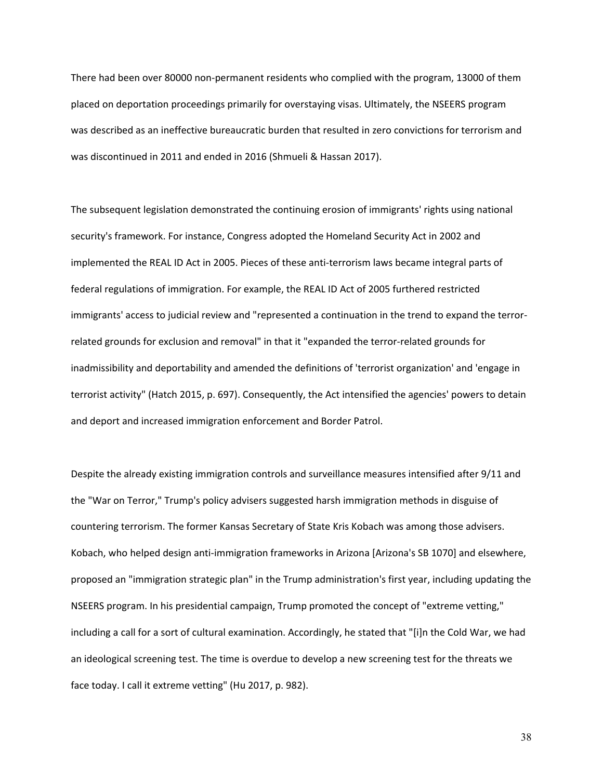There had been over 80000 non-permanent residents who complied with the program, 13000 of them placed on deportation proceedings primarily for overstaying visas. Ultimately, the NSEERS program was described as an ineffective bureaucratic burden that resulted in zero convictions for terrorism and was discontinued in 2011 and ended in 2016 (Shmueli & Hassan 2017).

The subsequent legislation demonstrated the continuing erosion of immigrants' rights using national security's framework. For instance, Congress adopted the Homeland Security Act in 2002 and implemented the REAL ID Act in 2005. Pieces of these anti-terrorism laws became integral parts of federal regulations of immigration. For example, the REAL ID Act of 2005 furthered restricted immigrants' access to judicial review and "represented a continuation in the trend to expand the terrorrelated grounds for exclusion and removal" in that it "expanded the terror-related grounds for inadmissibility and deportability and amended the definitions of 'terrorist organization' and 'engage in terrorist activity" (Hatch 2015, p. 697). Consequently, the Act intensified the agencies' powers to detain and deport and increased immigration enforcement and Border Patrol.

Despite the already existing immigration controls and surveillance measures intensified after 9/11 and the "War on Terror," Trump's policy advisers suggested harsh immigration methods in disguise of countering terrorism. The former Kansas Secretary of State Kris Kobach was among those advisers. Kobach, who helped design anti-immigration frameworks in Arizona [Arizona's SB 1070] and elsewhere, proposed an "immigration strategic plan" in the Trump administration's first year, including updating the NSEERS program. In his presidential campaign, Trump promoted the concept of "extreme vetting," including a call for a sort of cultural examination. Accordingly, he stated that "[i]n the Cold War, we had an ideological screening test. The time is overdue to develop a new screening test for the threats we face today. I call it extreme vetting" (Hu 2017, p. 982).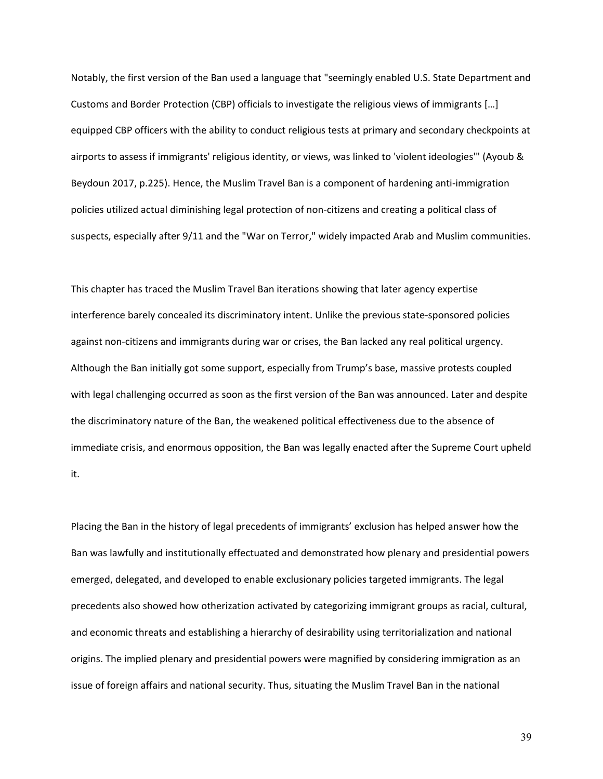Notably, the first version of the Ban used a language that "seemingly enabled U.S. State Department and Customs and Border Protection (CBP) officials to investigate the religious views of immigrants […] equipped CBP officers with the ability to conduct religious tests at primary and secondary checkpoints at airports to assess if immigrants' religious identity, or views, was linked to 'violent ideologies'" (Ayoub & Beydoun 2017, p.225). Hence, the Muslim Travel Ban is a component of hardening anti-immigration policies utilized actual diminishing legal protection of non-citizens and creating a political class of suspects, especially after 9/11 and the "War on Terror," widely impacted Arab and Muslim communities.

This chapter has traced the Muslim Travel Ban iterations showing that later agency expertise interference barely concealed its discriminatory intent. Unlike the previous state-sponsored policies against non-citizens and immigrants during war or crises, the Ban lacked any real political urgency. Although the Ban initially got some support, especially from Trump's base, massive protests coupled with legal challenging occurred as soon as the first version of the Ban was announced. Later and despite the discriminatory nature of the Ban, the weakened political effectiveness due to the absence of immediate crisis, and enormous opposition, the Ban was legally enacted after the Supreme Court upheld it.

Placing the Ban in the history of legal precedents of immigrants' exclusion has helped answer how the Ban was lawfully and institutionally effectuated and demonstrated how plenary and presidential powers emerged, delegated, and developed to enable exclusionary policies targeted immigrants. The legal precedents also showed how otherization activated by categorizing immigrant groups as racial, cultural, and economic threats and establishing a hierarchy of desirability using territorialization and national origins. The implied plenary and presidential powers were magnified by considering immigration as an issue of foreign affairs and national security. Thus, situating the Muslim Travel Ban in the national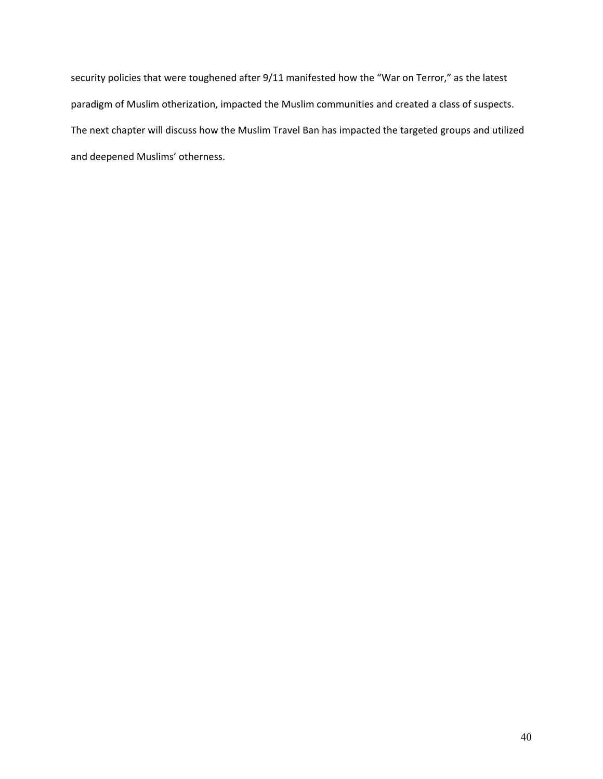security policies that were toughened after 9/11 manifested how the "War on Terror," as the latest paradigm of Muslim otherization, impacted the Muslim communities and created a class of suspects. The next chapter will discuss how the Muslim Travel Ban has impacted the targeted groups and utilized and deepened Muslims' otherness.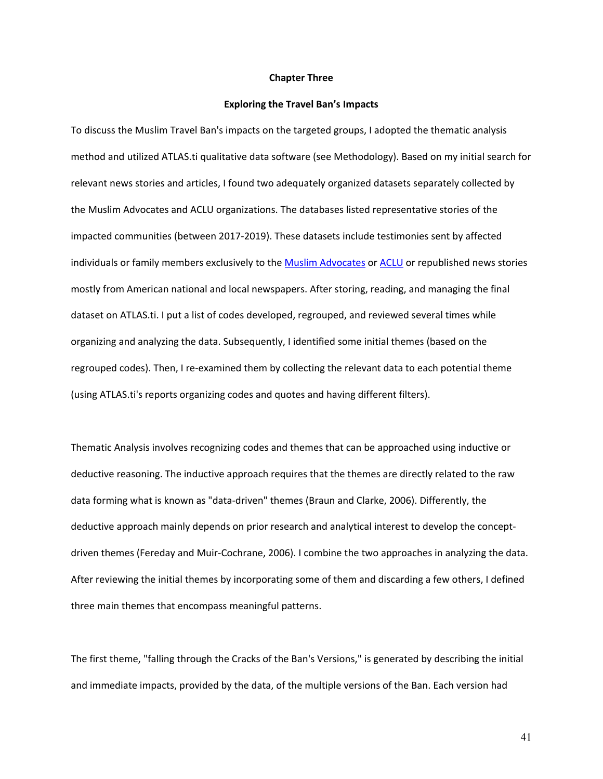#### **Chapter Three**

#### **Exploring the Travel Ban's Impacts**

To discuss the Muslim Travel Ban's impacts on the targeted groups, I adopted the thematic analysis method and utilized ATLAS.ti qualitative data software (see Methodology). Based on my initial search for relevant news stories and articles, I found two adequately organized datasets separately collected by the Muslim Advocates and ACLU organizations. The databases listed representative stories of the impacted communities (between 2017-2019). These datasets include testimonies sent by affected individuals or family members exclusively to the [Muslim Advocates](https://muslimadvocates.org/files/Over100MuslimBanStories4-5-2019.pdf) or [ACLU](https://www.aclu.org/issues/immigrants-rights/living-muslim-ban) or republished news stories mostly from American national and local newspapers. After storing, reading, and managing the final dataset on ATLAS.ti. I put a list of codes developed, regrouped, and reviewed several times while organizing and analyzing the data. Subsequently, I identified some initial themes (based on the regrouped codes). Then, I re-examined them by collecting the relevant data to each potential theme (using ATLAS.ti's reports organizing codes and quotes and having different filters).

Thematic Analysis involves recognizing codes and themes that can be approached using inductive or deductive reasoning. The inductive approach requires that the themes are directly related to the raw data forming what is known as "data-driven" themes (Braun and Clarke, 2006). Differently, the deductive approach mainly depends on prior research and analytical interest to develop the conceptdriven themes (Fereday and Muir-Cochrane, 2006). I combine the two approaches in analyzing the data. After reviewing the initial themes by incorporating some of them and discarding a few others, I defined three main themes that encompass meaningful patterns.

The first theme, "falling through the Cracks of the Ban's Versions," is generated by describing the initial and immediate impacts, provided by the data, of the multiple versions of the Ban. Each version had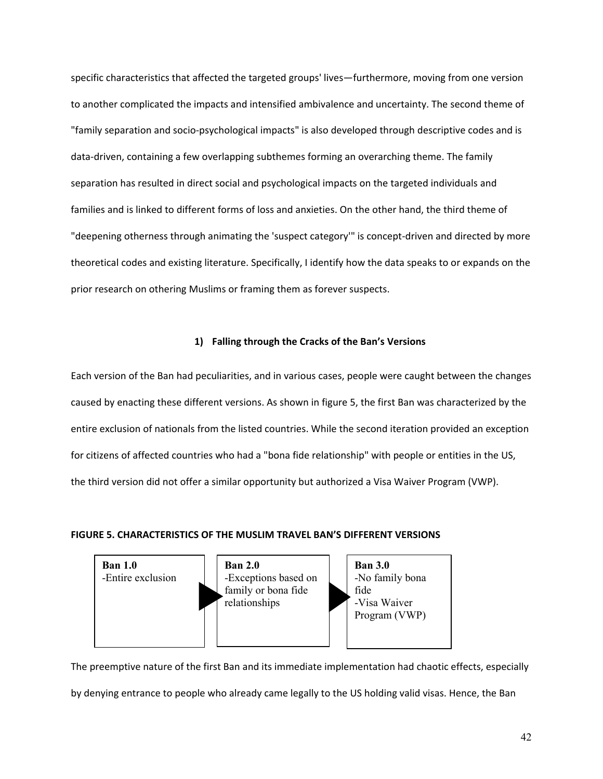specific characteristics that affected the targeted groups' lives—furthermore, moving from one version to another complicated the impacts and intensified ambivalence and uncertainty. The second theme of "family separation and socio-psychological impacts" is also developed through descriptive codes and is data-driven, containing a few overlapping subthemes forming an overarching theme. The family separation has resulted in direct social and psychological impacts on the targeted individuals and families and is linked to different forms of loss and anxieties. On the other hand, the third theme of "deepening otherness through animating the 'suspect category'" is concept-driven and directed by more theoretical codes and existing literature. Specifically, I identify how the data speaks to or expands on the prior research on othering Muslims or framing them as forever suspects.

# **1) Falling through the Cracks of the Ban's Versions**

Each version of the Ban had peculiarities, and in various cases, people were caught between the changes caused by enacting these different versions. As shown in figure 5, the first Ban was characterized by the entire exclusion of nationals from the listed countries. While the second iteration provided an exception for citizens of affected countries who had a "bona fide relationship" with people or entities in the US, the third version did not offer a similar opportunity but authorized a Visa Waiver Program (VWP).

#### **FIGURE 5. CHARACTERISTICS OF THE MUSLIM TRAVEL BAN'S DIFFERENT VERSIONS**



The preemptive nature of the first Ban and its immediate implementation had chaotic effects, especially

by denying entrance to people who already came legally to the US holding valid visas. Hence, the Ban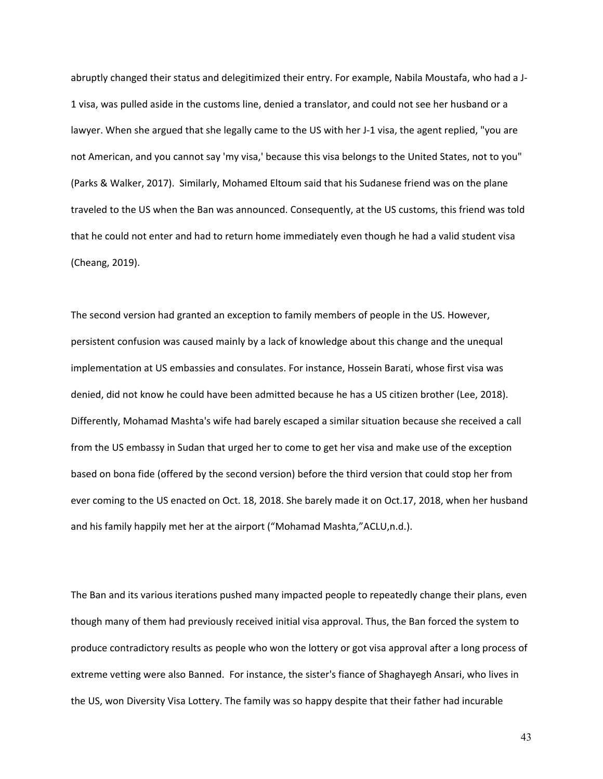abruptly changed their status and delegitimized their entry. For example, Nabila Moustafa, who had a J-1 visa, was pulled aside in the customs line, denied a translator, and could not see her husband or a lawyer. When she argued that she legally came to the US with her J-1 visa, the agent replied, "you are not American, and you cannot say 'my visa,' because this visa belongs to the United States, not to you" (Parks & Walker, 2017). Similarly, Mohamed Eltoum said that his Sudanese friend was on the plane traveled to the US when the Ban was announced. Consequently, at the US customs, this friend was told that he could not enter and had to return home immediately even though he had a valid student visa (Cheang, 2019).

The second version had granted an exception to family members of people in the US. However, persistent confusion was caused mainly by a lack of knowledge about this change and the unequal implementation at US embassies and consulates. For instance, Hossein Barati, whose first visa was denied, did not know he could have been admitted because he has a US citizen brother (Lee, 2018). Differently, Mohamad Mashta's wife had barely escaped a similar situation because she received a call from the US embassy in Sudan that urged her to come to get her visa and make use of the exception based on bona fide (offered by the second version) before the third version that could stop her from ever coming to the US enacted on Oct. 18, 2018. She barely made it on Oct.17, 2018, when her husband and his family happily met her at the airport ("Mohamad Mashta,"ACLU,n.d.).

The Ban and its various iterations pushed many impacted people to repeatedly change their plans, even though many of them had previously received initial visa approval. Thus, the Ban forced the system to produce contradictory results as people who won the lottery or got visa approval after a long process of extreme vetting were also Banned. For instance, the sister's fiance of Shaghayegh Ansari, who lives in the US, won Diversity Visa Lottery. The family was so happy despite that their father had incurable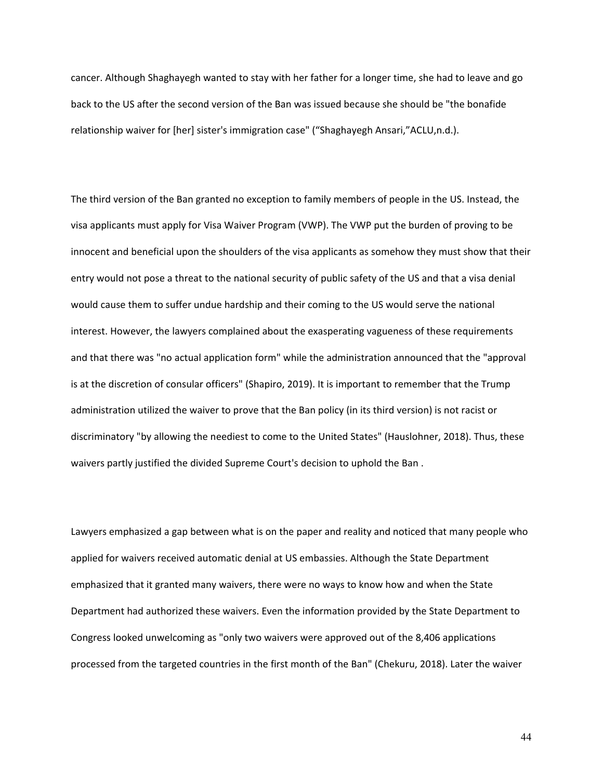cancer. Although Shaghayegh wanted to stay with her father for a longer time, she had to leave and go back to the US after the second version of the Ban was issued because she should be "the bonafide relationship waiver for [her] sister's immigration case" ("Shaghayegh Ansari,"ACLU,n.d.).

The third version of the Ban granted no exception to family members of people in the US. Instead, the visa applicants must apply for Visa Waiver Program (VWP). The VWP put the burden of proving to be innocent and beneficial upon the shoulders of the visa applicants as somehow they must show that their entry would not pose a threat to the national security of public safety of the US and that a visa denial would cause them to suffer undue hardship and their coming to the US would serve the national interest. However, the lawyers complained about the exasperating vagueness of these requirements and that there was "no actual application form" while the administration announced that the "approval is at the discretion of consular officers" (Shapiro, 2019). It is important to remember that the Trump administration utilized the waiver to prove that the Ban policy (in its third version) is not racist or discriminatory "by allowing the neediest to come to the United States" (Hauslohner, 2018). Thus, these waivers partly justified the divided Supreme Court's decision to uphold the Ban .

Lawyers emphasized a gap between what is on the paper and reality and noticed that many people who applied for waivers received automatic denial at US embassies. Although the State Department emphasized that it granted many waivers, there were no ways to know how and when the State Department had authorized these waivers. Even the information provided by the State Department to Congress looked unwelcoming as "only two waivers were approved out of the 8,406 applications processed from the targeted countries in the first month of the Ban" (Chekuru, 2018). Later the waiver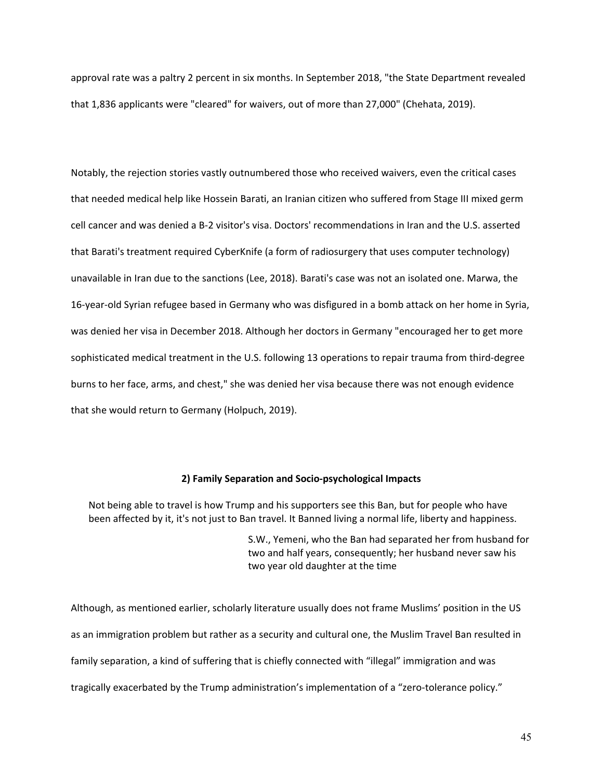approval rate was a paltry 2 percent in six months. In September 2018, "the State Department revealed that 1,836 applicants were "cleared" for waivers, out of more than 27,000" (Chehata, 2019).

Notably, the rejection stories vastly outnumbered those who received waivers, even the critical cases that needed medical help like Hossein Barati, an Iranian citizen who suffered from Stage III mixed germ cell cancer and was denied a B-2 visitor's visa. Doctors' recommendations in Iran and the U.S. asserted that Barati's treatment required CyberKnife (a form of radiosurgery that uses computer technology) unavailable in Iran due to the sanctions (Lee, 2018). Barati's case was not an isolated one. Marwa, the 16-year-old Syrian refugee based in Germany who was disfigured in a bomb attack on her home in Syria, was denied her visa in December 2018. Although her doctors in Germany "encouraged her to get more sophisticated medical treatment in the U.S. following 13 operations to repair trauma from third-degree burns to her face, arms, and chest," she was denied her visa because there was not enough evidence that she would return to Germany (Holpuch, 2019).

### **2) Family Separation and Socio-psychological Impacts**

Not being able to travel is how Trump and his supporters see this Ban, but for people who have been affected by it, it's not just to Ban travel. It Banned living a normal life, liberty and happiness.

> S.W., Yemeni, who the Ban had separated her from husband for two and half years, consequently; her husband never saw his two year old daughter at the time

Although, as mentioned earlier, scholarly literature usually does not frame Muslims' position in the US as an immigration problem but rather as a security and cultural one, the Muslim Travel Ban resulted in family separation, a kind of suffering that is chiefly connected with "illegal" immigration and was tragically exacerbated by the Trump administration's implementation of a "zero-tolerance policy."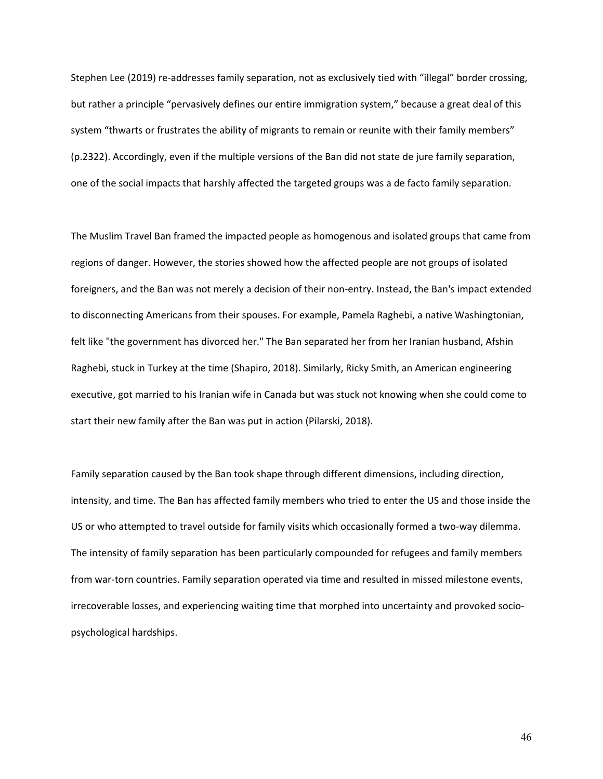Stephen Lee (2019) re-addresses family separation, not as exclusively tied with "illegal" border crossing, but rather a principle "pervasively defines our entire immigration system," because a great deal of this system "thwarts or frustrates the ability of migrants to remain or reunite with their family members" (p.2322). Accordingly, even if the multiple versions of the Ban did not state de jure family separation, one of the social impacts that harshly affected the targeted groups was a de facto family separation.

The Muslim Travel Ban framed the impacted people as homogenous and isolated groups that came from regions of danger. However, the stories showed how the affected people are not groups of isolated foreigners, and the Ban was not merely a decision of their non-entry. Instead, the Ban's impact extended to disconnecting Americans from their spouses. For example, Pamela Raghebi, a native Washingtonian, felt like "the government has divorced her." The Ban separated her from her Iranian husband, Afshin Raghebi, stuck in Turkey at the time (Shapiro, 2018). Similarly, Ricky Smith, an American engineering executive, got married to his Iranian wife in Canada but was stuck not knowing when she could come to start their new family after the Ban was put in action (Pilarski, 2018).

Family separation caused by the Ban took shape through different dimensions, including direction, intensity, and time. The Ban has affected family members who tried to enter the US and those inside the US or who attempted to travel outside for family visits which occasionally formed a two-way dilemma. The intensity of family separation has been particularly compounded for refugees and family members from war-torn countries. Family separation operated via time and resulted in missed milestone events, irrecoverable losses, and experiencing waiting time that morphed into uncertainty and provoked sociopsychological hardships.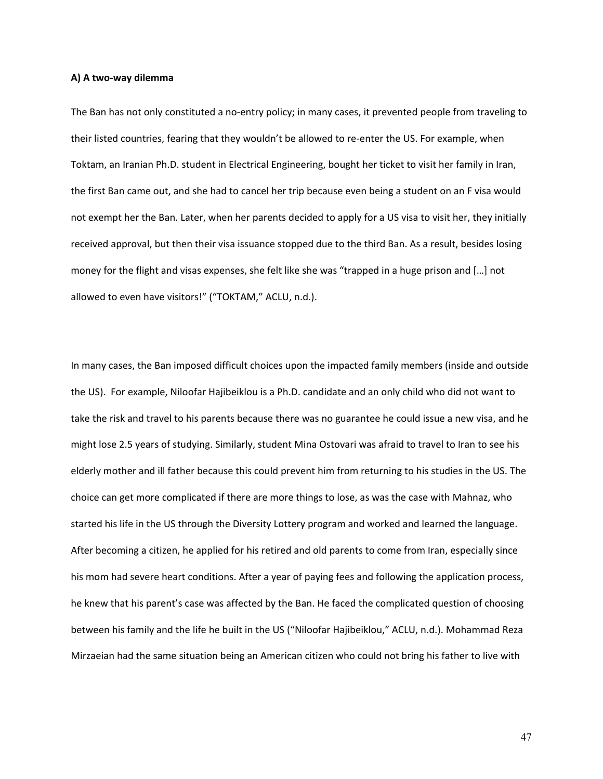#### **A) A two-way dilemma**

The Ban has not only constituted a no-entry policy; in many cases, it prevented people from traveling to their listed countries, fearing that they wouldn't be allowed to re-enter the US. For example, when Toktam, an Iranian Ph.D. student in Electrical Engineering, bought her ticket to visit her family in Iran, the first Ban came out, and she had to cancel her trip because even being a student on an F visa would not exempt her the Ban. Later, when her parents decided to apply for a US visa to visit her, they initially received approval, but then their visa issuance stopped due to the third Ban. As a result, besides losing money for the flight and visas expenses, she felt like she was "trapped in a huge prison and […] not allowed to even have visitors!" ("TOKTAM," ACLU, n.d.).

In many cases, the Ban imposed difficult choices upon the impacted family members (inside and outside the US). For example, Niloofar Hajibeiklou is a Ph.D. candidate and an only child who did not want to take the risk and travel to his parents because there was no guarantee he could issue a new visa, and he might lose 2.5 years of studying. Similarly, student Mina Ostovari was afraid to travel to Iran to see his elderly mother and ill father because this could prevent him from returning to his studies in the US. The choice can get more complicated if there are more things to lose, as was the case with Mahnaz, who started his life in the US through the Diversity Lottery program and worked and learned the language. After becoming a citizen, he applied for his retired and old parents to come from Iran, especially since his mom had severe heart conditions. After a year of paying fees and following the application process, he knew that his parent's case was affected by the Ban. He faced the complicated question of choosing between his family and the life he built in the US ("Niloofar Hajibeiklou," ACLU, n.d.). Mohammad Reza Mirzaeian had the same situation being an American citizen who could not bring his father to live with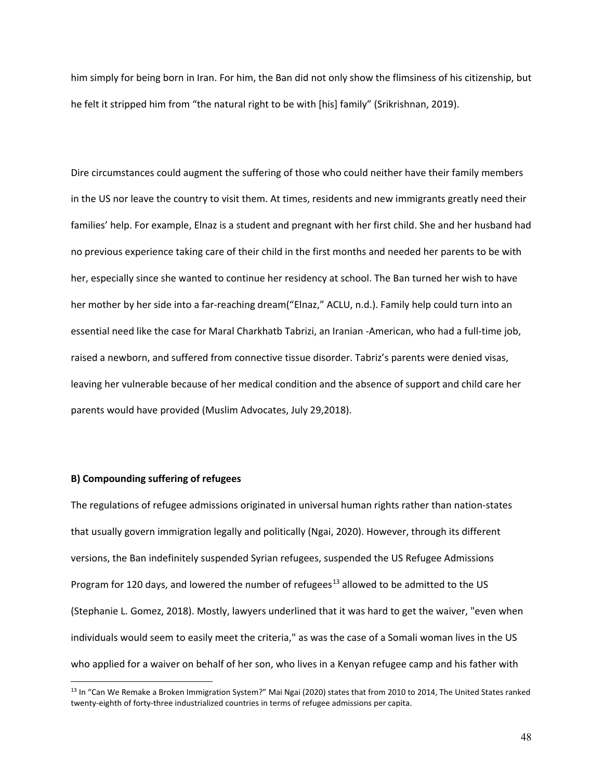him simply for being born in Iran. For him, the Ban did not only show the flimsiness of his citizenship, but he felt it stripped him from "the natural right to be with [his] family" (Srikrishnan, 2019).

Dire circumstances could augment the suffering of those who could neither have their family members in the US nor leave the country to visit them. At times, residents and new immigrants greatly need their families' help. For example, Elnaz is a student and pregnant with her first child. She and her husband had no previous experience taking care of their child in the first months and needed her parents to be with her, especially since she wanted to continue her residency at school. The Ban turned her wish to have her mother by her side into a far-reaching dream("Elnaz," ACLU, n.d.). Family help could turn into an essential need like the case for Maral Charkhatb Tabrizi, an Iranian -American, who had a full-time job, raised a newborn, and suffered from connective tissue disorder. Tabriz's parents were denied visas, leaving her vulnerable because of her medical condition and the absence of support and child care her parents would have provided (Muslim Advocates, July 29,2018).

# **B) Compounding suffering of refugees**

 $\overline{a}$ 

The regulations of refugee admissions originated in universal human rights rather than nation-states that usually govern immigration legally and politically (Ngai, 2020). However, through its different versions, the Ban indefinitely suspended Syrian refugees, suspended the US Refugee Admissions Program for 120 days, and lowered the number of refugees<sup>[13](#page-56-0)</sup> allowed to be admitted to the US (Stephanie L. Gomez, 2018). Mostly, lawyers underlined that it was hard to get the waiver, "even when individuals would seem to easily meet the criteria," as was the case of a Somali woman lives in the US who applied for a waiver on behalf of her son, who lives in a Kenyan refugee camp and his father with

<span id="page-56-0"></span><sup>&</sup>lt;sup>13</sup> In "Can We Remake a Broken Immigration System?" Mai Ngai (2020) states that from 2010 to 2014, The United States ranked twenty-eighth of forty-three industrialized countries in terms of refugee admissions per capita.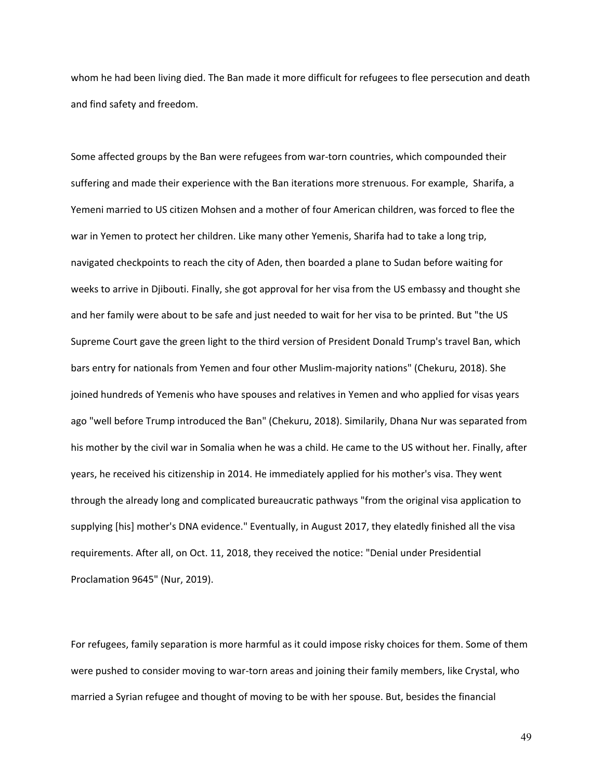whom he had been living died. The Ban made it more difficult for refugees to flee persecution and death and find safety and freedom.

Some affected groups by the Ban were refugees from war-torn countries, which compounded their suffering and made their experience with the Ban iterations more strenuous. For example, Sharifa, a Yemeni married to US citizen Mohsen and a mother of four American children, was forced to flee the war in Yemen to protect her children. Like many other Yemenis, Sharifa had to take a long trip, navigated checkpoints to reach the city of Aden, then boarded a plane to Sudan before waiting for weeks to arrive in Djibouti. Finally, she got approval for her visa from the US embassy and thought she and her family were about to be safe and just needed to wait for her visa to be printed. But "the US Supreme Court gave the green light to the third version of President Donald Trump's travel Ban, which bars entry for nationals from Yemen and four other Muslim-majority nations" (Chekuru, 2018). She joined hundreds of Yemenis who have spouses and relatives in Yemen and who applied for visas years ago "well before Trump introduced the Ban" (Chekuru, 2018). Similarily, Dhana Nur was separated from his mother by the civil war in Somalia when he was a child. He came to the US without her. Finally, after years, he received his citizenship in 2014. He immediately applied for his mother's visa. They went through the already long and complicated bureaucratic pathways "from the original visa application to supplying [his] mother's DNA evidence." Eventually, in August 2017, they elatedly finished all the visa requirements. After all, on Oct. 11, 2018, they received the notice: "Denial under Presidential Proclamation 9645" (Nur, 2019).

For refugees, family separation is more harmful as it could impose risky choices for them. Some of them were pushed to consider moving to war-torn areas and joining their family members, like Crystal, who married a Syrian refugee and thought of moving to be with her spouse. But, besides the financial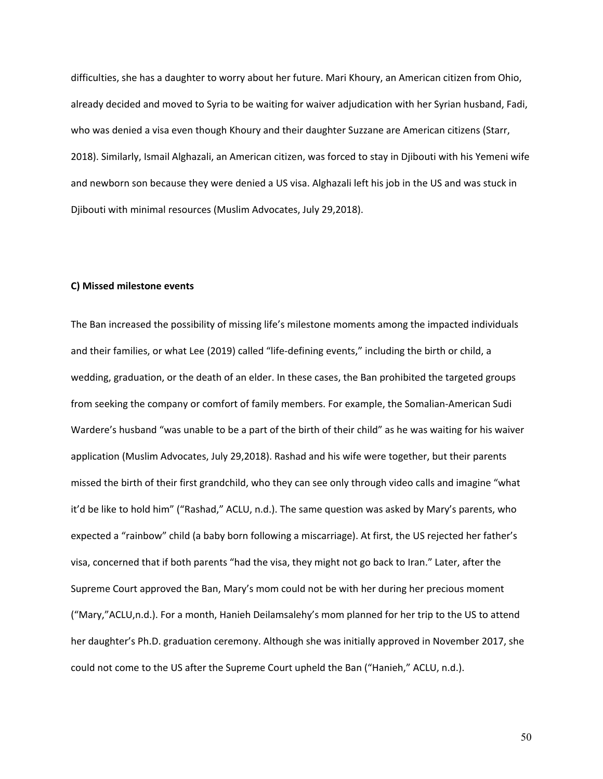difficulties, she has a daughter to worry about her future. Mari Khoury, an American citizen from Ohio, already decided and moved to Syria to be waiting for waiver adjudication with her Syrian husband, Fadi, who was denied a visa even though Khoury and their daughter Suzzane are American citizens (Starr, 2018). Similarly, Ismail Alghazali, an American citizen, was forced to stay in Djibouti with his Yemeni wife and newborn son because they were denied a US visa. Alghazali left his job in the US and was stuck in Djibouti with minimal resources (Muslim Advocates, July 29,2018).

### **C) Missed milestone events**

The Ban increased the possibility of missing life's milestone moments among the impacted individuals and their families, or what Lee (2019) called "life-defining events," including the birth or child, a wedding, graduation, or the death of an elder. In these cases, the Ban prohibited the targeted groups from seeking the company or comfort of family members. For example, the Somalian-American Sudi Wardere's husband "was unable to be a part of the birth of their child" as he was waiting for his waiver application (Muslim Advocates, July 29,2018). Rashad and his wife were together, but their parents missed the birth of their first grandchild, who they can see only through video calls and imagine "what it'd be like to hold him" ("Rashad," ACLU, n.d.). The same question was asked by Mary's parents, who expected a "rainbow" child (a baby born following a miscarriage). At first, the US rejected her father's visa, concerned that if both parents "had the visa, they might not go back to Iran." Later, after the Supreme Court approved the Ban, Mary's mom could not be with her during her precious moment ("Mary,"ACLU,n.d.). For a month, Hanieh Deilamsalehy's mom planned for her trip to the US to attend her daughter's Ph.D. graduation ceremony. Although she was initially approved in November 2017, she could not come to the US after the Supreme Court upheld the Ban ("Hanieh," ACLU, n.d.).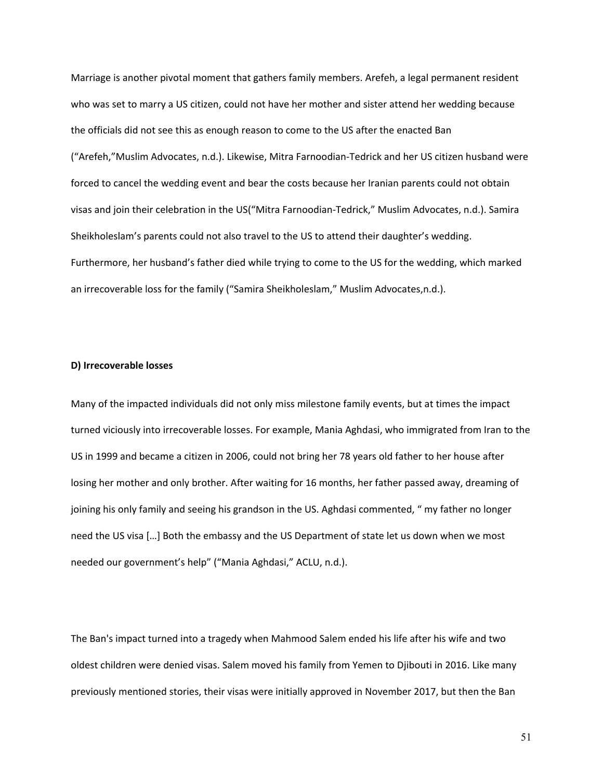Marriage is another pivotal moment that gathers family members. Arefeh, a legal permanent resident who was set to marry a US citizen, could not have her mother and sister attend her wedding because the officials did not see this as enough reason to come to the US after the enacted Ban ("Arefeh,"Muslim Advocates, n.d.). Likewise, Mitra Farnoodian-Tedrick and her US citizen husband were forced to cancel the wedding event and bear the costs because her Iranian parents could not obtain visas and join their celebration in the US("Mitra Farnoodian-Tedrick," Muslim Advocates, n.d.). Samira Sheikholeslam's parents could not also travel to the US to attend their daughter's wedding. Furthermore, her husband's father died while trying to come to the US for the wedding, which marked an irrecoverable loss for the family ("Samira Sheikholeslam," Muslim Advocates,n.d.).

## **D) Irrecoverable losses**

Many of the impacted individuals did not only miss milestone family events, but at times the impact turned viciously into irrecoverable losses. For example, Mania Aghdasi, who immigrated from Iran to the US in 1999 and became a citizen in 2006, could not bring her 78 years old father to her house after losing her mother and only brother. After waiting for 16 months, her father passed away, dreaming of joining his only family and seeing his grandson in the US. Aghdasi commented, " my father no longer need the US visa […] Both the embassy and the US Department of state let us down when we most needed our government's help" ("Mania Aghdasi," ACLU, n.d.).

The Ban's impact turned into a tragedy when Mahmood Salem ended his life after his wife and two oldest children were denied visas. Salem moved his family from Yemen to Djibouti in 2016. Like many previously mentioned stories, their visas were initially approved in November 2017, but then the Ban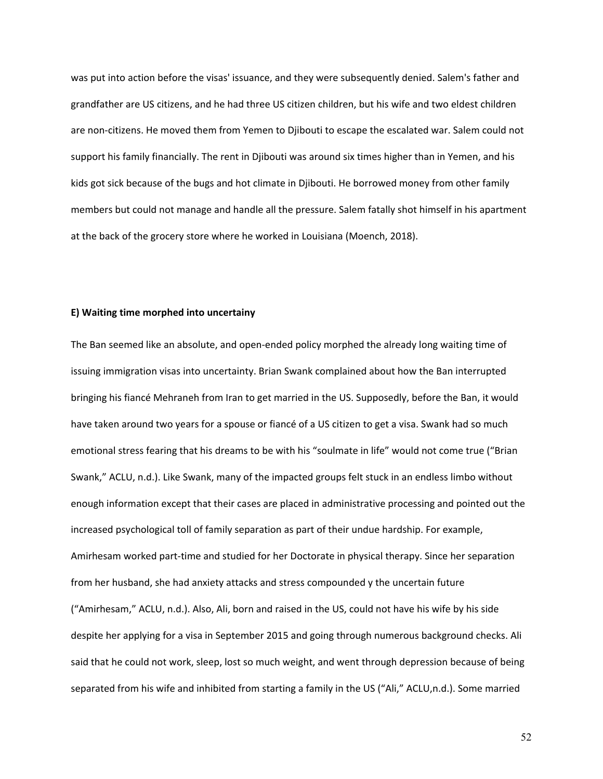was put into action before the visas' issuance, and they were subsequently denied. Salem's father and grandfather are US citizens, and he had three US citizen children, but his wife and two eldest children are non-citizens. He moved them from Yemen to Djibouti to escape the escalated war. Salem could not support his family financially. The rent in Djibouti was around six times higher than in Yemen, and his kids got sick because of the bugs and hot climate in Djibouti. He borrowed money from other family members but could not manage and handle all the pressure. Salem fatally shot himself in his apartment at the back of the grocery store where he worked in Louisiana (Moench, 2018).

# **E) Waiting time morphed into uncertainy**

The Ban seemed like an absolute, and open-ended policy morphed the already long waiting time of issuing immigration visas into uncertainty. Brian Swank complained about how the Ban interrupted bringing his fiancé Mehraneh from Iran to get married in the US. Supposedly, before the Ban, it would have taken around two years for a spouse or fiancé of a US citizen to get a visa. Swank had so much emotional stress fearing that his dreams to be with his "soulmate in life" would not come true ("Brian Swank," ACLU, n.d.). Like Swank, many of the impacted groups felt stuck in an endless limbo without enough information except that their cases are placed in administrative processing and pointed out the increased psychological toll of family separation as part of their undue hardship. For example, Amirhesam worked part-time and studied for her Doctorate in physical therapy. Since her separation from her husband, she had anxiety attacks and stress compounded y the uncertain future ("Amirhesam," ACLU, n.d.). Also, Ali, born and raised in the US, could not have his wife by his side despite her applying for a visa in September 2015 and going through numerous background checks. Ali said that he could not work, sleep, lost so much weight, and went through depression because of being separated from his wife and inhibited from starting a family in the US ("Ali," ACLU,n.d.). Some married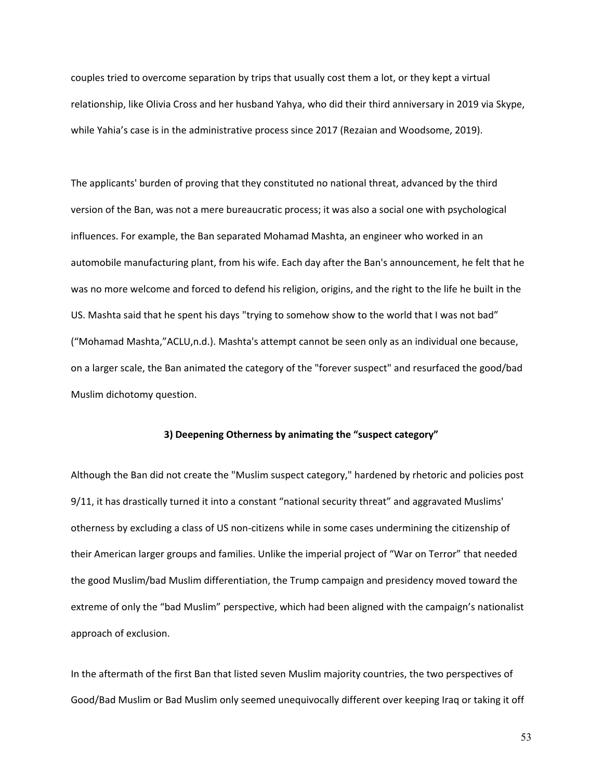couples tried to overcome separation by trips that usually cost them a lot, or they kept a virtual relationship, like Olivia Cross and her husband Yahya, who did their third anniversary in 2019 via Skype, while Yahia's case is in the administrative process since 2017 (Rezaian and Woodsome, 2019).

The applicants' burden of proving that they constituted no national threat, advanced by the third version of the Ban, was not a mere bureaucratic process; it was also a social one with psychological influences. For example, the Ban separated Mohamad Mashta, an engineer who worked in an automobile manufacturing plant, from his wife. Each day after the Ban's announcement, he felt that he was no more welcome and forced to defend his religion, origins, and the right to the life he built in the US. Mashta said that he spent his days "trying to somehow show to the world that I was not bad" ("Mohamad Mashta,"ACLU,n.d.). Mashta's attempt cannot be seen only as an individual one because, on a larger scale, the Ban animated the category of the "forever suspect" and resurfaced the good/bad Muslim dichotomy question.

### **3) Deepening Otherness by animating the "suspect category"**

Although the Ban did not create the "Muslim suspect category," hardened by rhetoric and policies post 9/11, it has drastically turned it into a constant "national security threat" and aggravated Muslims' otherness by excluding a class of US non-citizens while in some cases undermining the citizenship of their American larger groups and families. Unlike the imperial project of "War on Terror" that needed the good Muslim/bad Muslim differentiation, the Trump campaign and presidency moved toward the extreme of only the "bad Muslim" perspective, which had been aligned with the campaign's nationalist approach of exclusion.

In the aftermath of the first Ban that listed seven Muslim majority countries, the two perspectives of Good/Bad Muslim or Bad Muslim only seemed unequivocally different over keeping Iraq or taking it off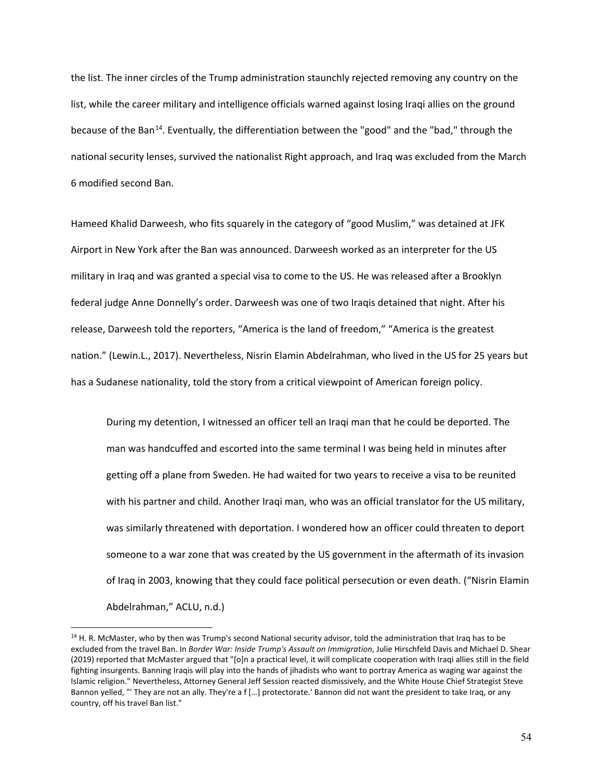the list. The inner circles of the Trump administration staunchly rejected removing any country on the list, while the career military and intelligence officials warned against losing Iraqi allies on the ground because of the Ban<sup>14</sup>. Eventually, the differentiation between the "good" and the "bad," through the national security lenses, survived the nationalist Right approach, and Iraq was excluded from the March 6 modified second Ban.

Hameed Khalid Darweesh, who fits squarely in the category of "good Muslim," was detained at JFK Airport in New York after the Ban was announced. Darweesh worked as an interpreter for the US military in Iraq and was granted a special visa to come to the US. He was released after a Brooklyn federal judge Anne Donnelly's order. Darweesh was one of two Iraqis detained that night. After his release, Darweesh told the reporters, "America is the land of freedom," "America is the greatest nation." (Lewin.L., 2017). Nevertheless, Nisrin Elamin Abdelrahman, who lived in the US for 25 years but has a Sudanese nationality, told the story from a critical viewpoint of American foreign policy.

During my detention, I witnessed an officer tell an Iraqi man that he could be deported. The man was handcuffed and escorted into the same terminal I was being held in minutes after getting off a plane from Sweden. He had waited for two years to receive a visa to be reunited with his partner and child. Another Iraqi man, who was an official translator for the US military, was similarly threatened with deportation. I wondered how an officer could threaten to deport someone to a war zone that was created by the US government in the aftermath of its invasion of Iraq in 2003, knowing that they could face political persecution or even death. ("Nisrin Elamin Abdelrahman," ACLU, n.d.)

 $\overline{a}$ 

<span id="page-62-0"></span><sup>&</sup>lt;sup>14</sup> H. R. McMaster, who by then was Trump's second National security advisor, told the administration that Iraq has to be excluded from the travel Ban. In *Border War: Inside Trump's Assault on Immigration*, Julie Hirschfeld Davis and Michael D. Shear (2019) reported that McMaster argued that "[o]n a practical level, it will complicate cooperation with Iraqi allies still in the field fighting insurgents. Banning Iraqis will play into the hands of jihadists who want to portray America as waging war against the Islamic religion." Nevertheless, Attorney General Jeff Session reacted dismissively, and the White House Chief Strategist Steve Bannon yelled, "' They are not an ally. They're a f […] protectorate.' Bannon did not want the president to take Iraq, or any country, off his travel Ban list."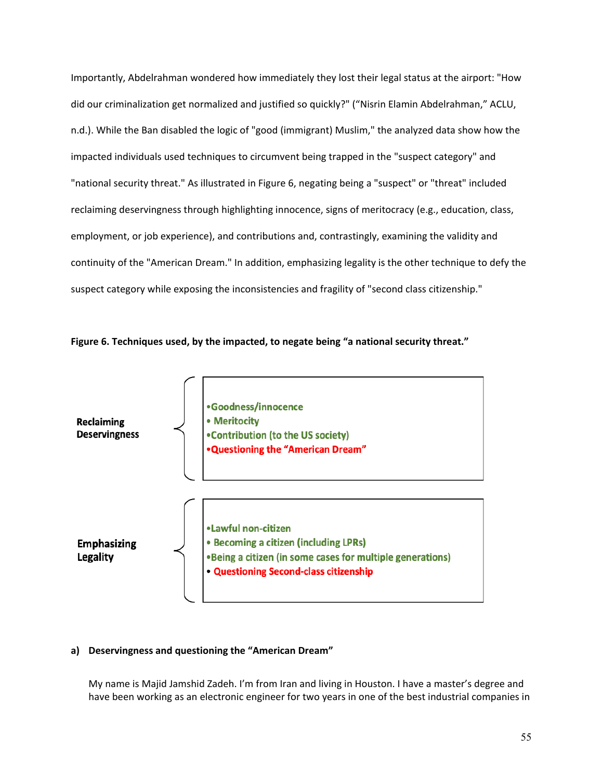Importantly, Abdelrahman wondered how immediately they lost their legal status at the airport: "How did our criminalization get normalized and justified so quickly?" ("Nisrin Elamin Abdelrahman," ACLU, n.d.). While the Ban disabled the logic of "good (immigrant) Muslim," the analyzed data show how the impacted individuals used techniques to circumvent being trapped in the "suspect category" and "national security threat." As illustrated in Figure 6, negating being a "suspect" or "threat" included reclaiming deservingness through highlighting innocence, signs of meritocracy (e.g., education, class, employment, or job experience), and contributions and, contrastingly, examining the validity and continuity of the "American Dream." In addition, emphasizing legality is the other technique to defy the suspect category while exposing the inconsistencies and fragility of "second class citizenship."

**Figure 6. Techniques used, by the impacted, to negate being "a national security threat."**



# **a) Deservingness and questioning the "American Dream"**

My name is Majid Jamshid Zadeh. I'm from Iran and living in Houston. I have a master's degree and have been working as an electronic engineer for two years in one of the best industrial companies in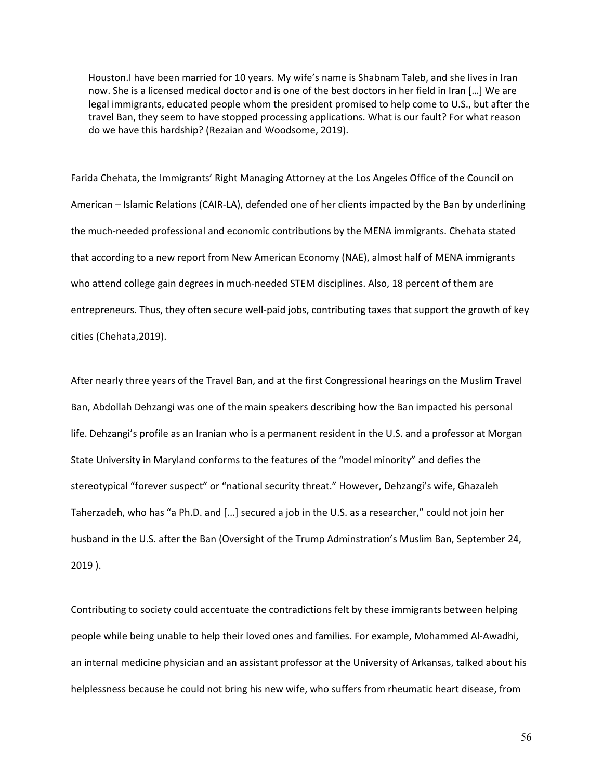Houston.I have been married for 10 years. My wife's name is Shabnam Taleb, and she lives in Iran now. She is a licensed medical doctor and is one of the best doctors in her field in Iran […] We are legal immigrants, educated people whom the president promised to help come to U.S., but after the travel Ban, they seem to have stopped processing applications. What is our fault? For what reason do we have this hardship? (Rezaian and Woodsome, 2019).

Farida Chehata, the Immigrants' Right Managing Attorney at the Los Angeles Office of the Council on American – Islamic Relations (CAIR-LA), defended one of her clients impacted by the Ban by underlining the much-needed professional and economic contributions by the MENA immigrants. Chehata stated that according to a new report from New American Economy (NAE), almost half of MENA immigrants who attend college gain degrees in much-needed STEM disciplines. Also, 18 percent of them are entrepreneurs. Thus, they often secure well-paid jobs, contributing taxes that support the growth of key cities (Chehata,2019).

After nearly three years of the Travel Ban, and at the first Congressional hearings on the Muslim Travel Ban, Abdollah Dehzangi was one of the main speakers describing how the Ban impacted his personal life. Dehzangi's profile as an Iranian who is a permanent resident in the U.S. and a professor at Morgan State University in Maryland conforms to the features of the "model minority" and defies the stereotypical "forever suspect" or "national security threat." However, Dehzangi's wife, Ghazaleh Taherzadeh, who has "a Ph.D. and [...] secured a job in the U.S. as a researcher," could not join her husband in the U.S. after the Ban (Oversight of the Trump Adminstration's Muslim Ban, September 24, 2019 ).

Contributing to society could accentuate the contradictions felt by these immigrants between helping people while being unable to help their loved ones and families. For example, Mohammed Al-Awadhi, an internal medicine physician and an assistant professor at the University of Arkansas, talked about his helplessness because he could not bring his new wife, who suffers from rheumatic heart disease, from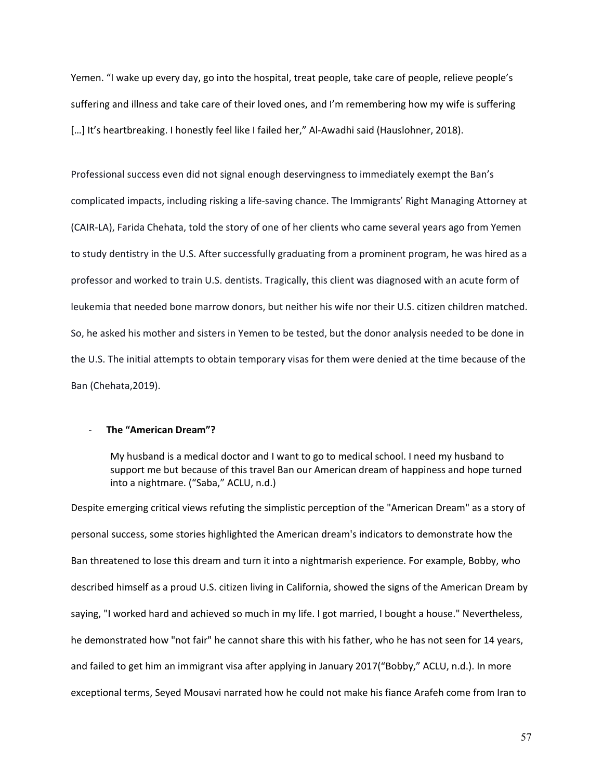Yemen. "I wake up every day, go into the hospital, treat people, take care of people, relieve people's suffering and illness and take care of their loved ones, and I'm remembering how my wife is suffering [...] It's heartbreaking. I honestly feel like I failed her," Al-Awadhi said (Hauslohner, 2018).

Professional success even did not signal enough deservingness to immediately exempt the Ban's complicated impacts, including risking a life-saving chance. The Immigrants' Right Managing Attorney at (CAIR-LA), Farida Chehata, told the story of one of her clients who came several years ago from Yemen to study dentistry in the U.S. After successfully graduating from a prominent program, he was hired as a professor and worked to train U.S. dentists. Tragically, this client was diagnosed with an acute form of leukemia that needed bone marrow donors, but neither his wife nor their U.S. citizen children matched. So, he asked his mother and sisters in Yemen to be tested, but the donor analysis needed to be done in the U.S. The initial attempts to obtain temporary visas for them were denied at the time because of the Ban (Chehata,2019).

### - **The "American Dream"?**

My husband is a medical doctor and I want to go to medical school. I need my husband to support me but because of this travel Ban our American dream of happiness and hope turned into a nightmare. ("Saba," ACLU, n.d.)

Despite emerging critical views refuting the simplistic perception of the "American Dream" as a story of personal success, some stories highlighted the American dream's indicators to demonstrate how the Ban threatened to lose this dream and turn it into a nightmarish experience. For example, Bobby, who described himself as a proud U.S. citizen living in California, showed the signs of the American Dream by saying, "I worked hard and achieved so much in my life. I got married, I bought a house." Nevertheless, he demonstrated how "not fair" he cannot share this with his father, who he has not seen for 14 years, and failed to get him an immigrant visa after applying in January 2017("Bobby," ACLU, n.d.). In more exceptional terms, Seyed Mousavi narrated how he could not make his fiance Arafeh come from Iran to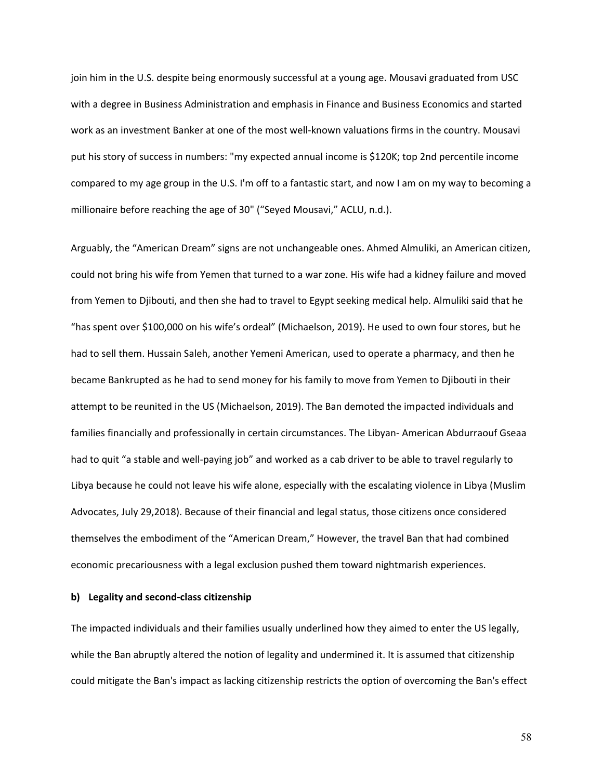join him in the U.S. despite being enormously successful at a young age. Mousavi graduated from USC with a degree in Business Administration and emphasis in Finance and Business Economics and started work as an investment Banker at one of the most well-known valuations firms in the country. Mousavi put his story of success in numbers: "my expected annual income is \$120K; top 2nd percentile income compared to my age group in the U.S. I'm off to a fantastic start, and now I am on my way to becoming a millionaire before reaching the age of 30" ("Seyed Mousavi," ACLU, n.d.).

Arguably, the "American Dream" signs are not unchangeable ones. Ahmed Almuliki, an American citizen, could not bring his wife from Yemen that turned to a war zone. His wife had a kidney failure and moved from Yemen to Djibouti, and then she had to travel to Egypt seeking medical help. Almuliki said that he "has spent over \$100,000 on his wife's ordeal" (Michaelson, 2019). He used to own four stores, but he had to sell them. Hussain Saleh, another Yemeni American, used to operate a pharmacy, and then he became Bankrupted as he had to send money for his family to move from Yemen to Djibouti in their attempt to be reunited in the US (Michaelson, 2019). The Ban demoted the impacted individuals and families financially and professionally in certain circumstances. The Libyan- American Abdurraouf Gseaa had to quit "a stable and well-paying job" and worked as a cab driver to be able to travel regularly to Libya because he could not leave his wife alone, especially with the escalating violence in Libya (Muslim Advocates, July 29,2018). Because of their financial and legal status, those citizens once considered themselves the embodiment of the "American Dream," However, the travel Ban that had combined economic precariousness with a legal exclusion pushed them toward nightmarish experiences.

# **b) Legality and second-class citizenship**

The impacted individuals and their families usually underlined how they aimed to enter the US legally, while the Ban abruptly altered the notion of legality and undermined it. It is assumed that citizenship could mitigate the Ban's impact as lacking citizenship restricts the option of overcoming the Ban's effect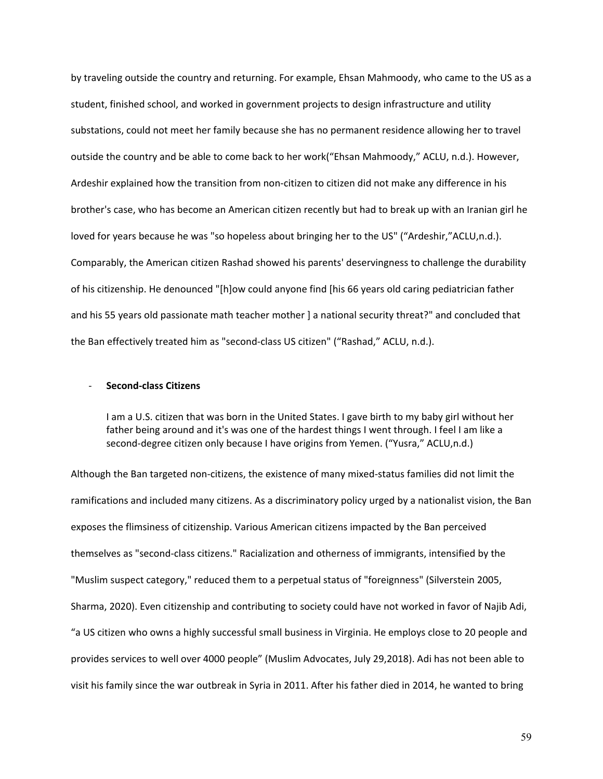by traveling outside the country and returning. For example, Ehsan Mahmoody, who came to the US as a student, finished school, and worked in government projects to design infrastructure and utility substations, could not meet her family because she has no permanent residence allowing her to travel outside the country and be able to come back to her work("Ehsan Mahmoody," ACLU, n.d.). However, Ardeshir explained how the transition from non-citizen to citizen did not make any difference in his brother's case, who has become an American citizen recently but had to break up with an Iranian girl he loved for years because he was "so hopeless about bringing her to the US" ("Ardeshir,"ACLU,n.d.). Comparably, the American citizen Rashad showed his parents' deservingness to challenge the durability of his citizenship. He denounced "[h]ow could anyone find [his 66 years old caring pediatrician father and his 55 years old passionate math teacher mother I a national security threat?" and concluded that the Ban effectively treated him as "second-class US citizen" ("Rashad," ACLU, n.d.).

# - **Second-class Citizens**

I am a U.S. citizen that was born in the United States. I gave birth to my baby girl without her father being around and it's was one of the hardest things I went through. I feel I am like a second-degree citizen only because I have origins from Yemen. ("Yusra," ACLU,n.d.)

Although the Ban targeted non-citizens, the existence of many mixed-status families did not limit the ramifications and included many citizens. As a discriminatory policy urged by a nationalist vision, the Ban exposes the flimsiness of citizenship. Various American citizens impacted by the Ban perceived themselves as "second-class citizens." Racialization and otherness of immigrants, intensified by the "Muslim suspect category," reduced them to a perpetual status of "foreignness" (Silverstein 2005, Sharma, 2020). Even citizenship and contributing to society could have not worked in favor of Najib Adi, "a US citizen who owns a highly successful small business in Virginia. He employs close to 20 people and provides services to well over 4000 people" (Muslim Advocates, July 29,2018). Adi has not been able to visit his family since the war outbreak in Syria in 2011. After his father died in 2014, he wanted to bring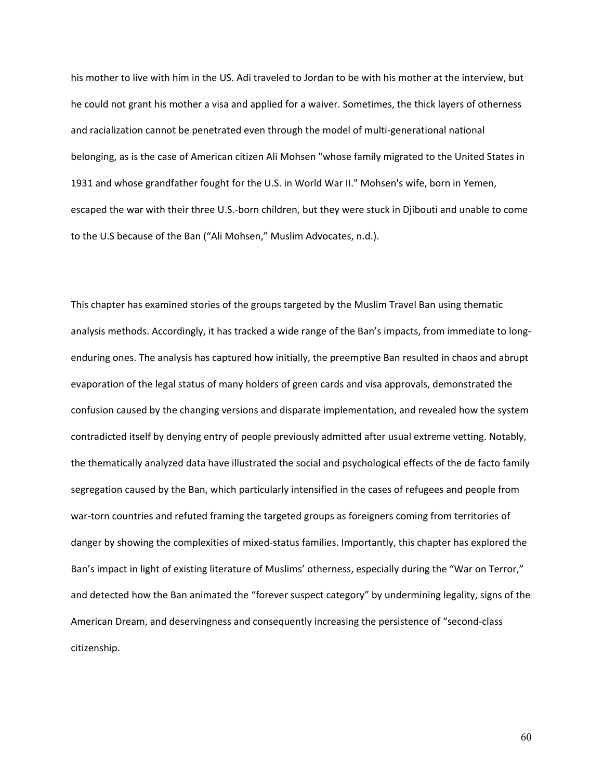his mother to live with him in the US. Adi traveled to Jordan to be with his mother at the interview, but he could not grant his mother a visa and applied for a waiver. Sometimes, the thick layers of otherness and racialization cannot be penetrated even through the model of multi-generational national belonging, as is the case of American citizen Ali Mohsen "whose family migrated to the United States in 1931 and whose grandfather fought for the U.S. in World War II." Mohsen's wife, born in Yemen, escaped the war with their three U.S.-born children, but they were stuck in Djibouti and unable to come to the U.S because of the Ban ("Ali Mohsen," Muslim Advocates, n.d.).

This chapter has examined stories of the groups targeted by the Muslim Travel Ban using thematic analysis methods. Accordingly, it has tracked a wide range of the Ban's impacts, from immediate to longenduring ones. The analysis has captured how initially, the preemptive Ban resulted in chaos and abrupt evaporation of the legal status of many holders of green cards and visa approvals, demonstrated the confusion caused by the changing versions and disparate implementation, and revealed how the system contradicted itself by denying entry of people previously admitted after usual extreme vetting. Notably, the thematically analyzed data have illustrated the social and psychological effects of the de facto family segregation caused by the Ban, which particularly intensified in the cases of refugees and people from war-torn countries and refuted framing the targeted groups as foreigners coming from territories of danger by showing the complexities of mixed-status families. Importantly, this chapter has explored the Ban's impact in light of existing literature of Muslims' otherness, especially during the "War on Terror," and detected how the Ban animated the "forever suspect category" by undermining legality, signs of the American Dream, and deservingness and consequently increasing the persistence of "second-class citizenship.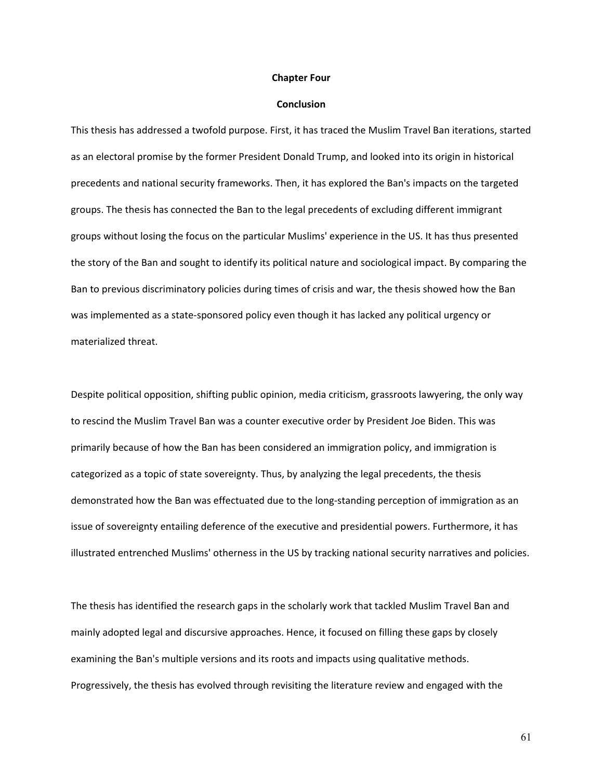#### **Chapter Four**

#### **Conclusion**

This thesis has addressed a twofold purpose. First, it has traced the Muslim Travel Ban iterations, started as an electoral promise by the former President Donald Trump, and looked into its origin in historical precedents and national security frameworks. Then, it has explored the Ban's impacts on the targeted groups. The thesis has connected the Ban to the legal precedents of excluding different immigrant groups without losing the focus on the particular Muslims' experience in the US. It has thus presented the story of the Ban and sought to identify its political nature and sociological impact. By comparing the Ban to previous discriminatory policies during times of crisis and war, the thesis showed how the Ban was implemented as a state-sponsored policy even though it has lacked any political urgency or materialized threat.

Despite political opposition, shifting public opinion, media criticism, grassroots lawyering, the only way to rescind the Muslim Travel Ban was a counter executive order by President Joe Biden. This was primarily because of how the Ban has been considered an immigration policy, and immigration is categorized as a topic of state sovereignty. Thus, by analyzing the legal precedents, the thesis demonstrated how the Ban was effectuated due to the long-standing perception of immigration as an issue of sovereignty entailing deference of the executive and presidential powers. Furthermore, it has illustrated entrenched Muslims' otherness in the US by tracking national security narratives and policies.

The thesis has identified the research gaps in the scholarly work that tackled Muslim Travel Ban and mainly adopted legal and discursive approaches. Hence, it focused on filling these gaps by closely examining the Ban's multiple versions and its roots and impacts using qualitative methods. Progressively, the thesis has evolved through revisiting the literature review and engaged with the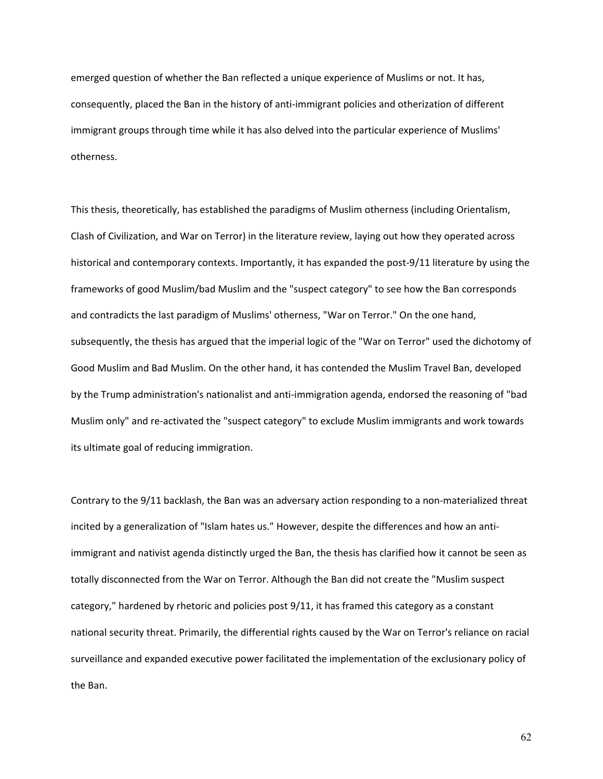emerged question of whether the Ban reflected a unique experience of Muslims or not. It has, consequently, placed the Ban in the history of anti-immigrant policies and otherization of different immigrant groups through time while it has also delved into the particular experience of Muslims' otherness.

This thesis, theoretically, has established the paradigms of Muslim otherness (including Orientalism, Clash of Civilization, and War on Terror) in the literature review, laying out how they operated across historical and contemporary contexts. Importantly, it has expanded the post-9/11 literature by using the frameworks of good Muslim/bad Muslim and the "suspect category" to see how the Ban corresponds and contradicts the last paradigm of Muslims' otherness, "War on Terror." On the one hand, subsequently, the thesis has argued that the imperial logic of the "War on Terror" used the dichotomy of Good Muslim and Bad Muslim. On the other hand, it has contended the Muslim Travel Ban, developed by the Trump administration's nationalist and anti-immigration agenda, endorsed the reasoning of "bad Muslim only" and re-activated the "suspect category" to exclude Muslim immigrants and work towards its ultimate goal of reducing immigration.

Contrary to the 9/11 backlash, the Ban was an adversary action responding to a non-materialized threat incited by a generalization of "Islam hates us." However, despite the differences and how an antiimmigrant and nativist agenda distinctly urged the Ban, the thesis has clarified how it cannot be seen as totally disconnected from the War on Terror. Although the Ban did not create the "Muslim suspect category," hardened by rhetoric and policies post 9/11, it has framed this category as a constant national security threat. Primarily, the differential rights caused by the War on Terror's reliance on racial surveillance and expanded executive power facilitated the implementation of the exclusionary policy of the Ban.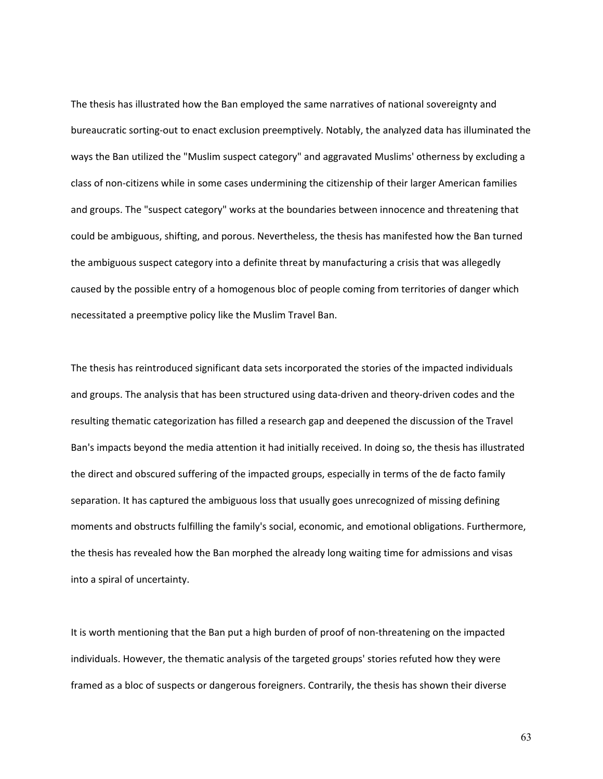The thesis has illustrated how the Ban employed the same narratives of national sovereignty and bureaucratic sorting-out to enact exclusion preemptively. Notably, the analyzed data has illuminated the ways the Ban utilized the "Muslim suspect category" and aggravated Muslims' otherness by excluding a class of non-citizens while in some cases undermining the citizenship of their larger American families and groups. The "suspect category" works at the boundaries between innocence and threatening that could be ambiguous, shifting, and porous. Nevertheless, the thesis has manifested how the Ban turned the ambiguous suspect category into a definite threat by manufacturing a crisis that was allegedly caused by the possible entry of a homogenous bloc of people coming from territories of danger which necessitated a preemptive policy like the Muslim Travel Ban.

The thesis has reintroduced significant data sets incorporated the stories of the impacted individuals and groups. The analysis that has been structured using data-driven and theory-driven codes and the resulting thematic categorization has filled a research gap and deepened the discussion of the Travel Ban's impacts beyond the media attention it had initially received. In doing so, the thesis has illustrated the direct and obscured suffering of the impacted groups, especially in terms of the de facto family separation. It has captured the ambiguous loss that usually goes unrecognized of missing defining moments and obstructs fulfilling the family's social, economic, and emotional obligations. Furthermore, the thesis has revealed how the Ban morphed the already long waiting time for admissions and visas into a spiral of uncertainty.

It is worth mentioning that the Ban put a high burden of proof of non-threatening on the impacted individuals. However, the thematic analysis of the targeted groups' stories refuted how they were framed as a bloc of suspects or dangerous foreigners. Contrarily, the thesis has shown their diverse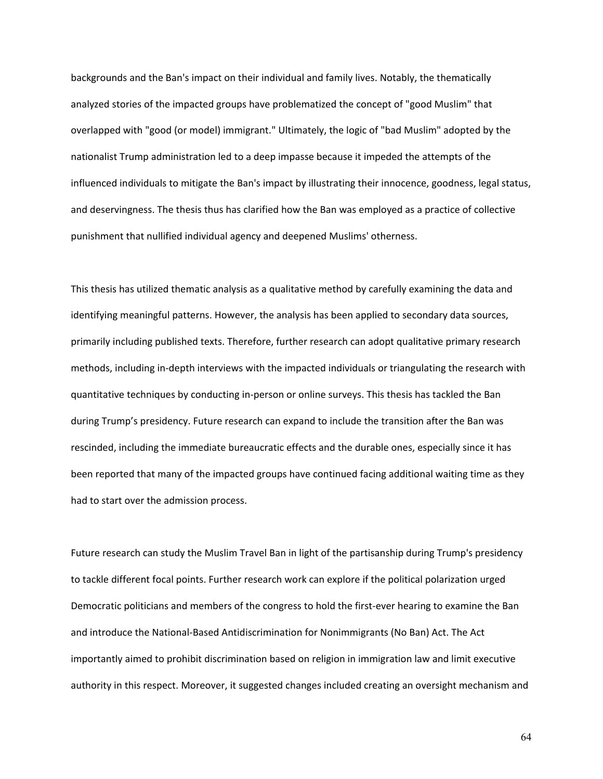backgrounds and the Ban's impact on their individual and family lives. Notably, the thematically analyzed stories of the impacted groups have problematized the concept of "good Muslim" that overlapped with "good (or model) immigrant." Ultimately, the logic of "bad Muslim" adopted by the nationalist Trump administration led to a deep impasse because it impeded the attempts of the influenced individuals to mitigate the Ban's impact by illustrating their innocence, goodness, legal status, and deservingness. The thesis thus has clarified how the Ban was employed as a practice of collective punishment that nullified individual agency and deepened Muslims' otherness.

This thesis has utilized thematic analysis as a qualitative method by carefully examining the data and identifying meaningful patterns. However, the analysis has been applied to secondary data sources, primarily including published texts. Therefore, further research can adopt qualitative primary research methods, including in-depth interviews with the impacted individuals or triangulating the research with quantitative techniques by conducting in-person or online surveys. This thesis has tackled the Ban during Trump's presidency. Future research can expand to include the transition after the Ban was rescinded, including the immediate bureaucratic effects and the durable ones, especially since it has been reported that many of the impacted groups have continued facing additional waiting time as they had to start over the admission process.

Future research can study the Muslim Travel Ban in light of the partisanship during Trump's presidency to tackle different focal points. Further research work can explore if the political polarization urged Democratic politicians and members of the congress to hold the first-ever hearing to examine the Ban and introduce the National-Based Antidiscrimination for Nonimmigrants (No Ban) Act. The Act importantly aimed to prohibit discrimination based on religion in immigration law and limit executive authority in this respect. Moreover, it suggested changes included creating an oversight mechanism and

64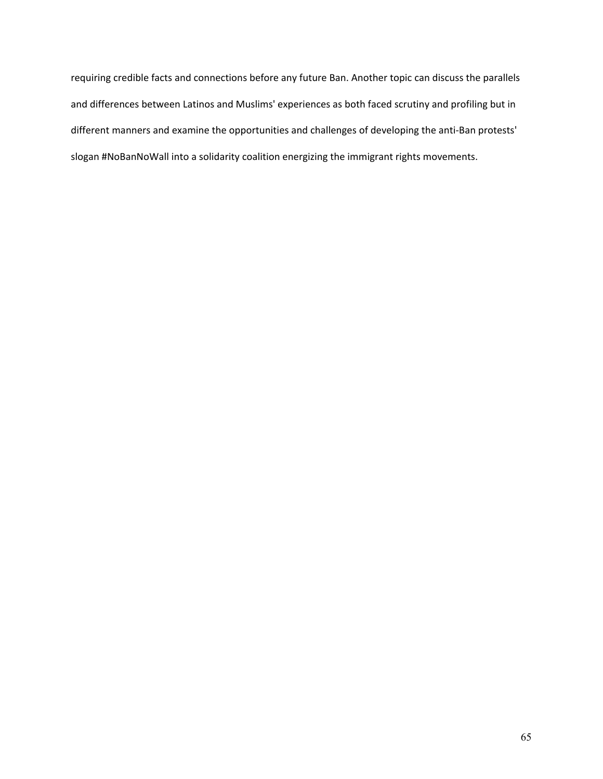requiring credible facts and connections before any future Ban. Another topic can discuss the parallels and differences between Latinos and Muslims' experiences as both faced scrutiny and profiling but in different manners and examine the opportunities and challenges of developing the anti-Ban protests' slogan #NoBanNoWall into a solidarity coalition energizing the immigrant rights movements.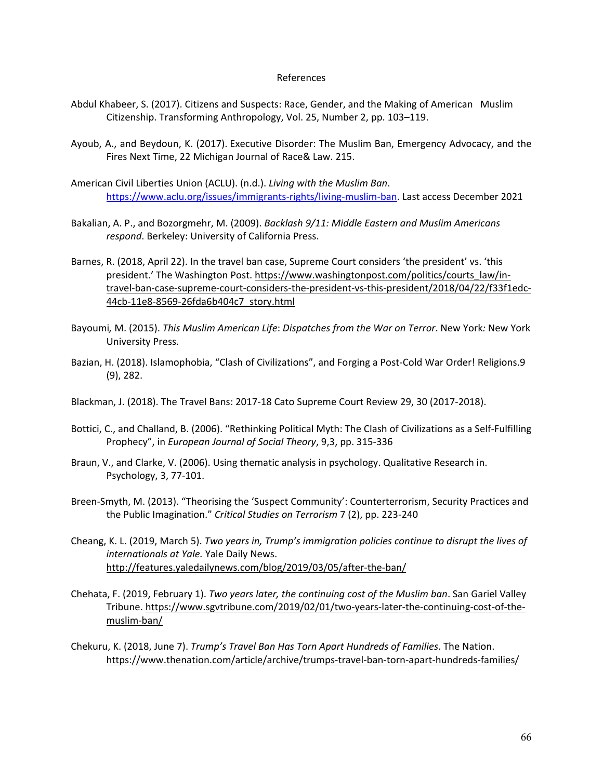## References

- Abdul Khabeer, S. (2017). Citizens and Suspects: Race, Gender, and the Making of American Muslim Citizenship. Transforming Anthropology, Vol. 25, Number 2, pp. 103–119.
- Ayoub, A., and Beydoun, K. (2017). Executive Disorder: The Muslim Ban, Emergency Advocacy, and the Fires Next Time, 22 Michigan Journal of Race& Law. 215.
- American Civil Liberties Union (ACLU). (n.d.). *Living with the Muslim Ban*. [https://www.aclu.org/issues/immigrants-rights/living-muslim-ban.](https://www.aclu.org/issues/immigrants-rights/living-muslim-ban) Last access December 2021
- Bakalian, A. P., and Bozorgmehr, M. (2009). *Backlash 9/11: Middle Eastern and Muslim Americans respond*. Berkeley: University of California Press.
- Barnes, R. (2018, April 22). In the travel ban case, Supreme Court considers 'the president' vs. 'this president.' The Washington Post. [https://www.washingtonpost.com/politics/courts\\_law/in](https://www.washingtonpost.com/politics/courts_law/in-travel-ban-case-supreme-court-considers-the-president-vs-this-president/2018/04/22/f33f1edc-44cb-11e8-8569-26fda6b404c7_story.html)[travel-ban-case-supreme-court-considers-the-president-vs-this-president/2018/04/22/f33f1edc-](https://www.washingtonpost.com/politics/courts_law/in-travel-ban-case-supreme-court-considers-the-president-vs-this-president/2018/04/22/f33f1edc-44cb-11e8-8569-26fda6b404c7_story.html)[44cb-11e8-8569-26fda6b404c7\\_story.html](https://www.washingtonpost.com/politics/courts_law/in-travel-ban-case-supreme-court-considers-the-president-vs-this-president/2018/04/22/f33f1edc-44cb-11e8-8569-26fda6b404c7_story.html)
- Bayoumi*,* M. (2015). *This Muslim American Life*: *Dispatches from the War on Terror*. New York*:* New York University Press*.*
- Bazian, H. (2018). Islamophobia, "Clash of Civilizations", and Forging a Post-Cold War Order! Religions.9 (9), 282.
- Blackman, J. (2018). The Travel Bans: 2017-18 Cato Supreme Court Review 29, 30 (2017-2018).
- Bottici, C., and Challand, B. (2006). "Rethinking Political Myth: The Clash of Civilizations as a Self-Fulfilling Prophecy", in *European Journal of Social Theory*, 9,3, pp. 315-336
- Braun, V., and Clarke, V. (2006). Using thematic analysis in psychology. Qualitative Research in. Psychology, 3, 77-101.
- Breen-Smyth, M. (2013). "Theorising the 'Suspect Community': Counterterrorism, Security Practices and the Public Imagination." *Critical Studies on Terrorism* 7 (2), pp. 223-240
- Cheang, K. L. (2019, March 5). *Two years in, Trump's immigration policies continue to disrupt the lives of internationals at Yale.* Yale Daily News. <http://features.yaledailynews.com/blog/2019/03/05/after-the-ban/>
- Chehata, F. (2019, February 1). *Two years later, the continuing cost of the Muslim ban*. San Gariel Valley Tribune. [https://www.sgvtribune.com/2019/02/01/two-years-later-the-continuing-cost-of-the](https://www.sgvtribune.com/2019/02/01/two-years-later-the-continuing-cost-of-the-muslim-ban/)[muslim-ban/](https://www.sgvtribune.com/2019/02/01/two-years-later-the-continuing-cost-of-the-muslim-ban/)
- Chekuru, K. (2018, June 7). *Trump's Travel Ban Has Torn Apart Hundreds of Families*. The Nation. <https://www.thenation.com/article/archive/trumps-travel-ban-torn-apart-hundreds-families/>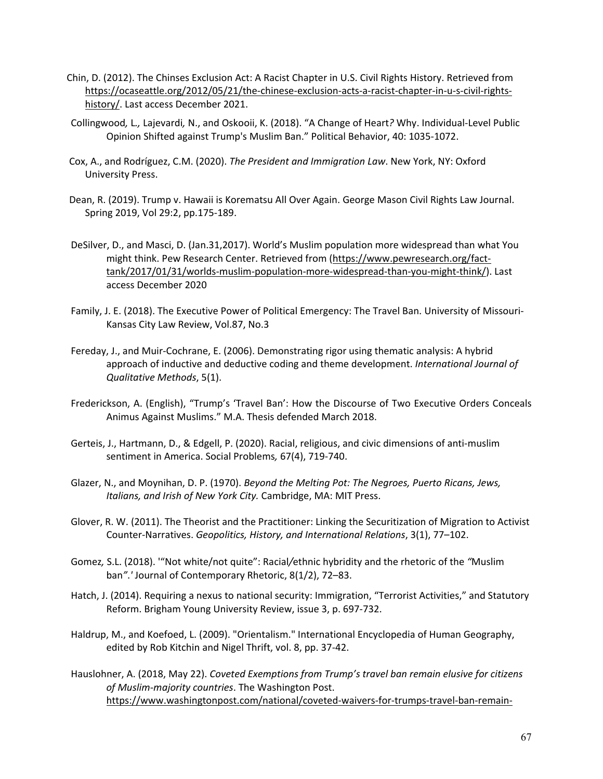- Chin, D. (2012). The Chinses Exclusion Act: A Racist Chapter in U.S. Civil Rights History. Retrieved from [https://ocaseattle.org/2012/05/21/the-chinese-exclusion-acts-a-racist-chapter-in-u-s-civil-rights](https://ocaseattle.org/2012/05/21/the-chinese-exclusion-acts-a-racist-chapter-in-u-s-civil-rights-history/)[history/.](https://ocaseattle.org/2012/05/21/the-chinese-exclusion-acts-a-racist-chapter-in-u-s-civil-rights-history/) Last access December 2021.
- Collingwood*,* L*.,* Lajevardi*,* N., and Oskooii, K. (2018). "A Change of Heart*?* Why. Individual-Level Public Opinion Shifted against Trump's Muslim Ban." Political Behavior, 40: 1035-1072.
- Cox, A., and Rodríguez, C.M. (2020). *The President and Immigration Law*. New York, NY: Oxford University Press.
- Dean, R. (2019). Trump v. Hawaii is Korematsu All Over Again. George Mason Civil Rights Law Journal. Spring 2019, Vol 29:2, pp.175-189.
- DeSilver, D., and Masci, D. (Jan.31,2017). World's Muslim population more widespread than what You might think. Pew Research Center. Retrieved from [\(https://www.pewresearch.org/fact](https://www.pewresearch.org/fact-tank/2017/01/31/worlds-muslim-population-more-widespread-than-you-might-think/)[tank/2017/01/31/worlds-muslim-population-more-widespread-than-you-might-think/\)](https://www.pewresearch.org/fact-tank/2017/01/31/worlds-muslim-population-more-widespread-than-you-might-think/). Last access December 2020
- Family, J. E. (2018). The Executive Power of Political Emergency: The Travel Ban. University of Missouri-Kansas City Law Review, Vol.87, No.3
- Fereday, J., and Muir-Cochrane, E. (2006). Demonstrating rigor using thematic analysis: A hybrid approach of inductive and deductive coding and theme development. *International Journal of Qualitative Methods*, 5(1).
- Frederickson, A. (English), "Trump's 'Travel Ban': How the Discourse of Two Executive Orders Conceals Animus Against Muslims." M.A. Thesis defended March 2018.
- Gerteis, J., Hartmann, D., & Edgell, P. (2020). Racial, religious, and civic dimensions of anti-muslim sentiment in America. Social Problems*,* 67(4), 719-740.
- Glazer, N., and Moynihan, D. P. (1970). *Beyond the Melting Pot: The Negroes, Puerto Ricans, Jews, Italians, and Irish of New York City.* Cambridge, MA: MIT Press.
- Glover, R. W. (2011). The Theorist and the Practitioner: Linking the Securitization of Migration to Activist Counter-Narratives. *Geopolitics, History, and International Relations*, 3(1), 77–102.
- Gomez*,* S.L. (2018). '"Not white/not quite": Racial*/*ethnic hybridity and the rhetoric of the *"*Muslim ban*"*.*'* Journal of Contemporary Rhetoric, 8(1/2), 72–83.
- Hatch, J. (2014). Requiring a nexus to national security: Immigration, "Terrorist Activities," and Statutory Reform. Brigham Young University Review, issue 3, p. 697-732.
- Haldrup, M., and Koefoed, L. (2009). "Orientalism." International Encyclopedia of Human Geography, edited by Rob Kitchin and Nigel Thrift, vol. 8, pp. 37-42.
- Hauslohner, A. (2018, May 22). *Coveted Exemptions from Trump's travel ban remain elusive for citizens of Muslim-majority countries*. The Washington Post. [https://www.washingtonpost.com/national/coveted-waivers-for-trumps-travel-ban-remain-](https://www.washingtonpost.com/national/coveted-waivers-for-trumps-travel-ban-remain-elusive-for-citizens-of-muslim-majority-countries/2018/05/22/d48cc8d8-48b6-11e8-827e-190efaf1f1ee_story.html)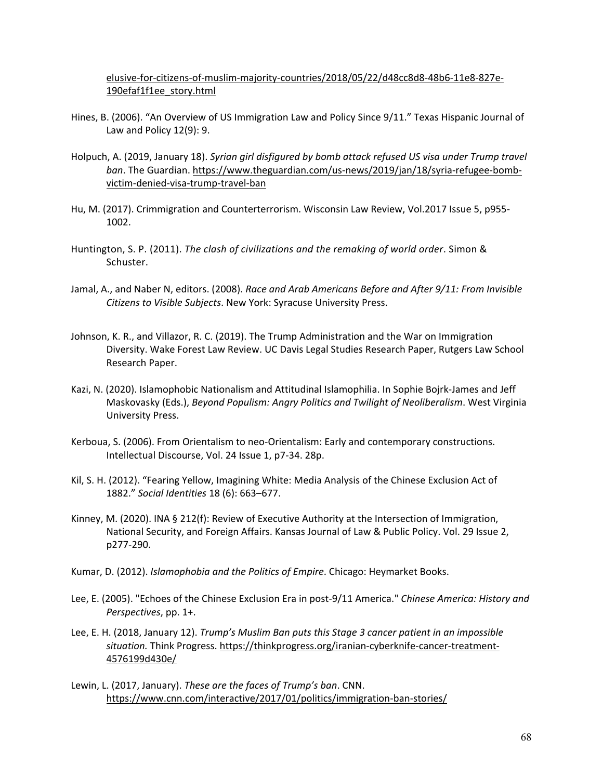[elusive-for-citizens-of-muslim-majority-countries/2018/05/22/d48cc8d8-48b6-11e8-827e-](https://www.washingtonpost.com/national/coveted-waivers-for-trumps-travel-ban-remain-elusive-for-citizens-of-muslim-majority-countries/2018/05/22/d48cc8d8-48b6-11e8-827e-190efaf1f1ee_story.html)[190efaf1f1ee\\_story.html](https://www.washingtonpost.com/national/coveted-waivers-for-trumps-travel-ban-remain-elusive-for-citizens-of-muslim-majority-countries/2018/05/22/d48cc8d8-48b6-11e8-827e-190efaf1f1ee_story.html)

- Hines, B. (2006). "An Overview of US Immigration Law and Policy Since 9/11." Texas Hispanic Journal of Law and Policy 12(9): 9.
- Holpuch, A. (2019, January 18). *Syrian girl disfigured by bomb attack refused US visa under Trump travel ban*. The Guardian. [https://www.theguardian.com/us-news/2019/jan/18/syria-refugee-bomb](https://www.theguardian.com/us-news/2019/jan/18/syria-refugee-bomb-victim-denied-visa-trump-travel-ban)[victim-denied-visa-trump-travel-ban](https://www.theguardian.com/us-news/2019/jan/18/syria-refugee-bomb-victim-denied-visa-trump-travel-ban)
- Hu, M. (2017). Crimmigration and Counterterrorism. Wisconsin Law Review, Vol.2017 Issue 5, p955- 1002.
- Huntington, S. P. (2011). *The clash of civilizations and the remaking of world order*. Simon & Schuster.
- Jamal, A., and Naber N, editors. (2008). *Race and Arab Americans Before and After 9/11: From Invisible Citizens to Visible Subjects*. New York: Syracuse University Press.
- Johnson, K. R., and Villazor, R. C. (2019). The Trump Administration and the War on Immigration Diversity. Wake Forest Law Review. UC Davis Legal Studies Research Paper, Rutgers Law School Research Paper.
- Kazi, N. (2020). Islamophobic Nationalism and Attitudinal Islamophilia. In Sophie Bojrk-James and Jeff Maskovasky (Eds.), *Beyond Populism: Angry Politics and Twilight of Neoliberalism*. West Virginia University Press.
- Kerboua, S. (2006). From Orientalism to neo-Orientalism: Early and contemporary constructions. Intellectual Discourse, Vol. 24 Issue 1, p7-34. 28p.
- Kil, S. H. (2012). "Fearing Yellow, Imagining White: Media Analysis of the Chinese Exclusion Act of 1882." *Social Identities* 18 (6): 663–677.
- Kinney, M. (2020). INA § 212(f): Review of Executive Authority at the Intersection of Immigration, National Security, and Foreign Affairs. Kansas Journal of Law & Public Policy. Vol. 29 Issue 2, p277-290.
- Kumar, D. (2012). *Islamophobia and the Politics of Empire*. Chicago: Heymarket Books.
- Lee, E. (2005). "Echoes of the Chinese Exclusion Era in post-9/11 America." *Chinese America: History and Perspectives*, pp. 1+.
- Lee, E. H. (2018, January 12). *Trump's Muslim Ban puts this Stage 3 cancer patient in an impossible situation.* Think Progress. [https://thinkprogress.org/iranian-cyberknife-cancer-treatment-](https://thinkprogress.org/iranian-cyberknife-cancer-treatment-4576199d430e/)[4576199d430e/](https://thinkprogress.org/iranian-cyberknife-cancer-treatment-4576199d430e/)
- Lewin, L. (2017, January). *These are the faces of Trump's ban*. CNN. <https://www.cnn.com/interactive/2017/01/politics/immigration-ban-stories/>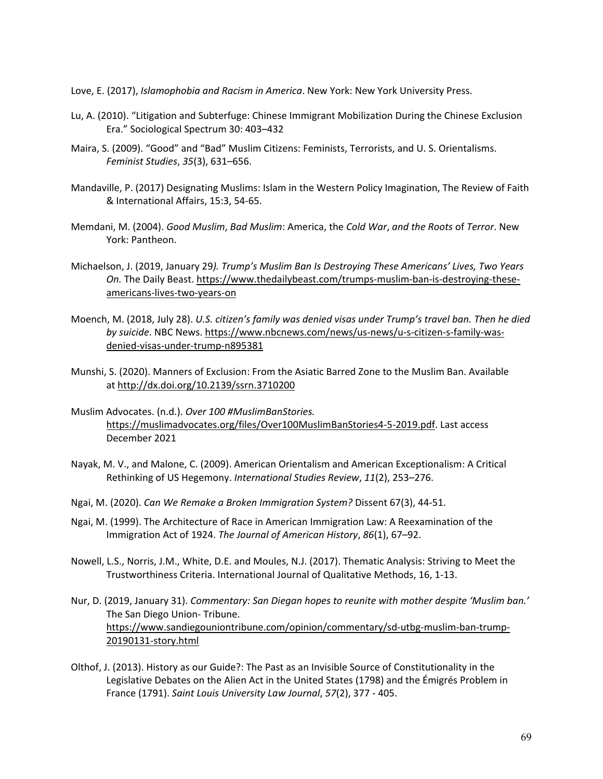Love, E. (2017), *Islamophobia and Racism in America*. New York: New York University Press.

- Lu, A. (2010). "Litigation and Subterfuge: Chinese Immigrant Mobilization During the Chinese Exclusion Era." Sociological Spectrum 30: 403–432
- Maira, S. (2009). "Good" and "Bad" Muslim Citizens: Feminists, Terrorists, and U. S. Orientalisms. *Feminist Studies*, *35*(3), 631–656.
- Mandaville, P. (2017) Designating Muslims: Islam in the Western Policy Imagination, The Review of Faith & International Affairs, 15:3, 54-65.
- Memdani, M. (2004). *Good Muslim*, *Bad Muslim*: America, the *Cold War*, *and the Roots* of *Terror*. New York: Pantheon.
- Michaelson, J. (2019, January 29*). Trump's Muslim Ban Is Destroying These Americans' Lives, Two Years On.* The Daily Beast[. https://www.thedailybeast.com/trumps-muslim-ban-is-destroying-these](https://www.thedailybeast.com/trumps-muslim-ban-is-destroying-these-americans-lives-two-years-on)[americans-lives-two-years-on](https://www.thedailybeast.com/trumps-muslim-ban-is-destroying-these-americans-lives-two-years-on)
- Moench, M. (2018, July 28). *U.S. citizen's family was denied visas under Trump's travel ban. Then he died by suicide*. NBC News. [https://www.nbcnews.com/news/us-news/u-s-citizen-s-family-was](https://www.nbcnews.com/news/us-news/u-s-citizen-s-family-was-denied-visas-under-trump-n895381)[denied-visas-under-trump-n895381](https://www.nbcnews.com/news/us-news/u-s-citizen-s-family-was-denied-visas-under-trump-n895381)
- Munshi, S. (2020). Manners of Exclusion: From the Asiatic Barred Zone to the Muslim Ban. Available at [http://dx.doi.org/10.2139/ssrn.3710200](https://dx.doi.org/10.2139/ssrn.3710200)
- Muslim Advocates. (n.d.). *Over 100 #MuslimBanStories.* [https://muslimadvocates.org/files/Over100MuslimBanStories4-5-2019.pdf.](https://muslimadvocates.org/files/Over100MuslimBanStories4-5-2019.pdf) Last access December 2021
- Nayak, M. V., and Malone, C. (2009). American Orientalism and American Exceptionalism: A Critical Rethinking of US Hegemony. *International Studies Review*, *11*(2), 253–276.
- Ngai, M. (2020). *Can We Remake a Broken Immigration System?* Dissent 67(3), 44-51.
- Ngai, M. (1999). The Architecture of Race in American Immigration Law: A Reexamination of the Immigration Act of 1924. *The Journal of American History*, *86*(1), 67–92.
- Nowell, L.S., Norris, J.M., White, D.E. and Moules, N.J. (2017). Thematic Analysis: Striving to Meet the Trustworthiness Criteria. International Journal of Qualitative Methods, 16, 1-13.
- Nur, D. (2019, January 31). *Commentary: San Diegan hopes to reunite with mother despite 'Muslim ban.'* The San Diego Union- Tribune. [https://www.sandiegouniontribune.com/opinion/commentary/sd-utbg-muslim-ban-trump-](https://www.sandiegouniontribune.com/opinion/commentary/sd-utbg-muslim-ban-trump-20190131-story.html)[20190131-story.html](https://www.sandiegouniontribune.com/opinion/commentary/sd-utbg-muslim-ban-trump-20190131-story.html)
- Olthof, J. (2013). History as our Guide?: The Past as an Invisible Source of Constitutionality in the Legislative Debates on the Alien Act in the United States (1798) and the Émigrés Problem in France (1791). *Saint Louis University Law Journal*, *57*(2), 377 - 405.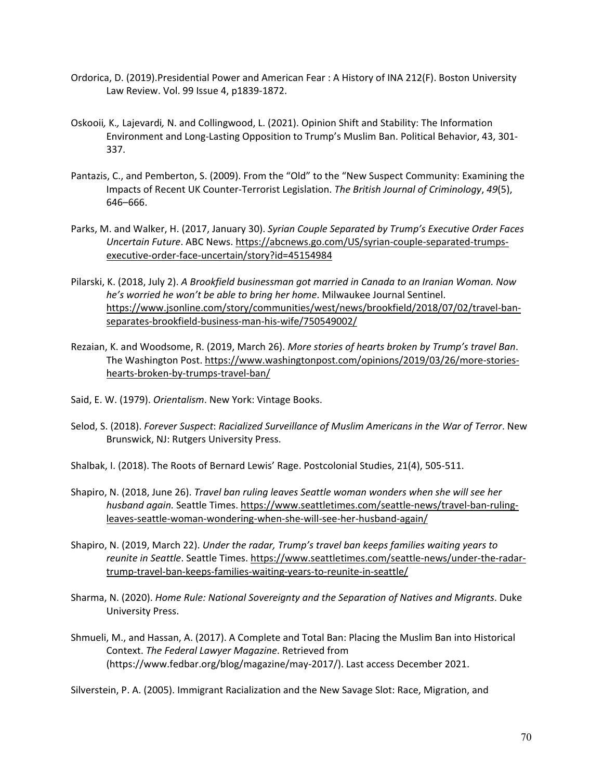- Ordorica, D. (2019).Presidential Power and American Fear : A History of INA 212(F). Boston University Law Review. Vol. 99 Issue 4, p1839-1872.
- Oskooii*,* K.*,* Lajevardi*,* N. and Collingwood, L. (2021). Opinion Shift and Stability: The Information Environment and Long-Lasting Opposition to Trump's Muslim Ban. Political Behavior, 43, 301- 337.
- Pantazis, C., and Pemberton, S. (2009). From the "Old" to the "New Suspect Community: Examining the Impacts of Recent UK Counter-Terrorist Legislation. *The British Journal of Criminology*, *49*(5), 646–666.
- Parks, M. and Walker, H. (2017, January 30). *Syrian Couple Separated by Trump's Executive Order Faces Uncertain Future*. ABC News. [https://abcnews.go.com/US/syrian-couple-separated-trumps](https://abcnews.go.com/US/syrian-couple-separated-trumps-executive-order-face-uncertain/story?id=45154984)[executive-order-face-uncertain/story?id=45154984](https://abcnews.go.com/US/syrian-couple-separated-trumps-executive-order-face-uncertain/story?id=45154984)
- Pilarski, K. (2018, July 2). *A Brookfield businessman got married in Canada to an Iranian Woman. Now he's worried he won't be able to bring her home*. Milwaukee Journal Sentinel. [https://www.jsonline.com/story/communities/west/news/brookfield/2018/07/02/travel-ban](https://www.jsonline.com/story/communities/west/news/brookfield/2018/07/02/travel-ban-separates-brookfield-business-man-his-wife/750549002/)[separates-brookfield-business-man-his-wife/750549002/](https://www.jsonline.com/story/communities/west/news/brookfield/2018/07/02/travel-ban-separates-brookfield-business-man-his-wife/750549002/)
- Rezaian, K. and Woodsome, R. (2019, March 26). *More stories of hearts broken by Trump's travel Ban*. The Washington Post. [https://www.washingtonpost.com/opinions/2019/03/26/more-stories](https://www.washingtonpost.com/opinions/2019/03/26/more-stories-hearts-broken-by-trumps-travel-ban/)[hearts-broken-by-trumps-travel-ban/](https://www.washingtonpost.com/opinions/2019/03/26/more-stories-hearts-broken-by-trumps-travel-ban/)
- Said, E. W. (1979). *Orientalism*. New York: Vintage Books.
- Selod, S. (2018). *Forever Suspect*: *Racialized Surveillance of Muslim Americans in the War of Terror*. New Brunswick, NJ: Rutgers University Press.
- Shalbak, I. (2018). The Roots of Bernard Lewis' Rage. Postcolonial Studies, 21(4), 505-511.
- Shapiro, N. (2018, June 26). *Travel ban ruling leaves Seattle woman wonders when she will see her husband again.* Seattle Times. [https://www.seattletimes.com/seattle-news/travel-ban-ruling](https://www.seattletimes.com/seattle-news/travel-ban-ruling-leaves-seattle-woman-wondering-when-she-will-see-her-husband-again/)[leaves-seattle-woman-wondering-when-she-will-see-her-husband-again/](https://www.seattletimes.com/seattle-news/travel-ban-ruling-leaves-seattle-woman-wondering-when-she-will-see-her-husband-again/)
- Shapiro, N. (2019, March 22). *Under the radar, Trump's travel ban keeps families waiting years to reunite in Seattle*. Seattle Times[. https://www.seattletimes.com/seattle-news/under-the-radar](https://www.seattletimes.com/seattle-news/under-the-radar-trump-travel-ban-keeps-families-waiting-years-to-reunite-in-seattle/)[trump-travel-ban-keeps-families-waiting-years-to-reunite-in-seattle/](https://www.seattletimes.com/seattle-news/under-the-radar-trump-travel-ban-keeps-families-waiting-years-to-reunite-in-seattle/)
- Sharma, N. (2020). *Home Rule: National Sovereignty and the Separation of Natives and Migrants*. Duke University Press.
- Shmueli, M., and Hassan, A. (2017). A Complete and Total Ban: Placing the Muslim Ban into Historical Context. *The Federal Lawyer Magazine*. Retrieved from (https://www.fedbar.org/blog/magazine/may-2017/). Last access December 2021.

Silverstein, P. A. (2005). Immigrant Racialization and the New Savage Slot: Race, Migration, and